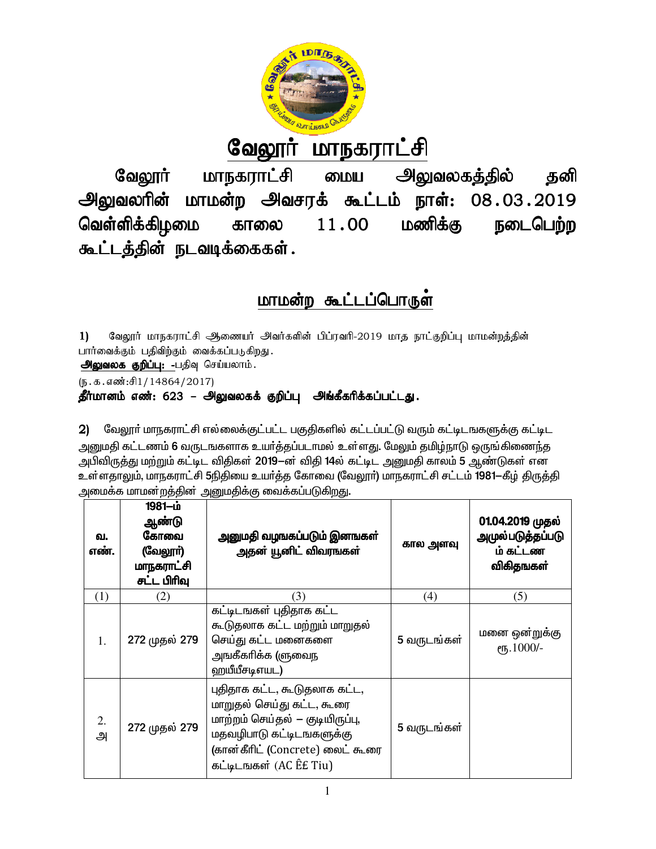

 $\mathring{\Pi}$ வேலூ <u>மாநகராட்சி</u>

<u>அலுவலகத்தில்</u> மாநகராட்சி வேலூர் தனி மைய <u>அலுவலரின்</u> மாமன்ற அவசரக் கூட்டம் நாள்: 08.03.2019 வெள்ளிக்கிழமை மணிக்கு நடைபெற்ற 11.00 காலை கூட்டத்தின் நடவடிக்கைகள்.

# மாமன்ற கூட்டப்பொருள்

வேலூர் மாநகராட்சி ஆணையர் அவர்களின் பிப்ரவரி-2019 மாத நாட்குறிப்பு மாமன்றத்தின்  $1)$ பார்வைக்கும் பதிவிற்கும் வைக்கப்படுகிறது.

அலுவலக குறிப்பு: -பதிவு செய்யலாம்.

(ந.க.எண்:சி1/14864/2017)

தீர்மானம் எண்: 623 – அலுவலகக் குறிப்பு அங்கீகரிக்கப்பட்டது.

2) மேலூர் மாநகராட்சி எல்லைக்குட்பட்ட பகுதிகளில் கட்டப்பட்டு வரும் கட்டிடஙகளுக்கு கட்டிட அனுமதி கட்டணம் 6 வருடஙகளாக உயர்த்தப்படாமல் உள்ளது. மேலும் தமிழ்நாடு ஒருங்கிணைந்த அபிவிருத்து மற்றும் கட்டிட விதிகள் 2019–ன் விதி 14ல் கட்டிட அனுமதி காலம் 5 ஆண்டுகள் என உள்ளதாலும், மாநகராட்சி 5நிதியை உயர்த்த கோவை (வேலூர்) மாநகராட்சி சட்டம் 1981—கீழ் திருத்தி அமைக்க மாமன்றத்தின் அனுமதிக்கு வைக்கப்படுகிறது.

| ഖ.<br>எண். | 1981-ம்<br>ஆண்டு<br>கோவை<br>(வேலூர்)<br>மாநகராட்சி<br>சட்ட பிரிவு | அனுமதி வழஙகப்படும் இனஙகள்<br>அதன் யூனிட் விவரஙகள்                                                                                                                                      | கால அளவு    | 01.04.2019 முதல்<br><u>அமு</u> ல்படுத்தப்படு<br>ம் கட்டண<br>விகிதஙகள் |
|------------|-------------------------------------------------------------------|----------------------------------------------------------------------------------------------------------------------------------------------------------------------------------------|-------------|-----------------------------------------------------------------------|
| (1)        | (2)                                                               | (3)                                                                                                                                                                                    | (4)         | (5)                                                                   |
| 1.         | 272 முதல் 279                                                     | கட்டிடஙகள் புதிதாக கட்ட<br>கூடுதலாக கட்ட மற்றும் மாறுதல்<br>செய்து கட்ட மனைகளை<br>அஙகீகரிக்க (ளுவைந<br>ஹயீயீசடிஎயட)                                                                    | 5 வருடங்கள் | மனை ஒன்றுக்கு<br>ет, 1000/-                                           |
| 2.<br>அ    | 272 முதல் 279                                                     | புதிதாக கட்ட, கூடுதலாக கட்ட,<br>மாறுதல் செய்து கட்ட, கூரை<br>மாற்றம் செய்தல் — குடியிருப்பு,<br>மதவழிபாடு கட்டிடஙகளுக்கு<br>(கான்கீரிட் (Concrete) லைட் கூரை<br>கட்டிடஙகள் (AC EE Tiu) | 5 வருடங்கள் |                                                                       |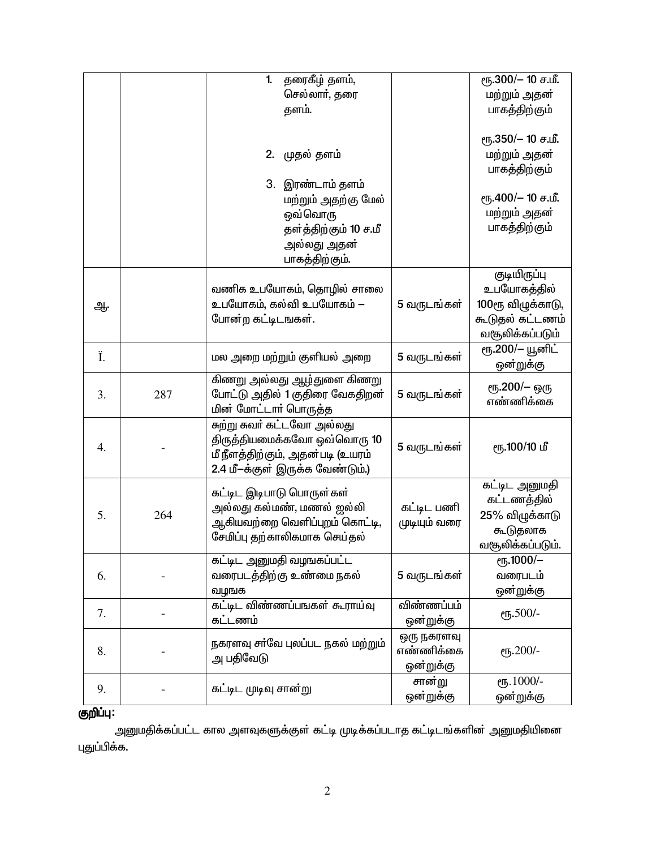|    |     | தரைகீழ் தளம்,<br>$\mathbf{1}$     |              | ரு.300/- 10 ச.மீ.   |
|----|-----|-----------------------------------|--------------|---------------------|
|    |     | செல்லாா், தரை                     |              | மற்றும் அதன்        |
|    |     | தளம்.                             |              | பாகத்திற்கும்       |
|    |     |                                   |              |                     |
|    |     |                                   |              | ரூ.350/- 10 ச.மீ.   |
|    |     | முதல் தளம்<br>2.                  |              | மற்றும் அதன்        |
|    |     |                                   |              | பாகத்திற்கும்       |
|    |     | 3. இரண்டாம் தளம்                  |              |                     |
|    |     | மற்றும் அதற்கு மேல்               |              | ரு.400/- 10 ச.மீ.   |
|    |     | ஒவ்வொரு                           |              | மற்றும் அதன்        |
|    |     | தள்த்திற்கும் 10 ச.மீ             |              | பாகத்திற்கும்       |
|    |     | அல்லது அதன்                       |              |                     |
|    |     | பாகத்திற்கும்.                    |              |                     |
|    |     |                                   |              | <b>குடியிருப்பு</b> |
|    |     | வணிக உபயோகம், தொழில் சாலை         |              | உபயோகத்தில்         |
| ஆ. |     | உபயோகம், கல்வி உபயோகம் —          | 5 வருடங்கள்  | 100ரூ விழுக்காடு,   |
|    |     | போன்ற கட்டிடஙகள்.                 |              | கூடுதல் கட்டணம்     |
|    |     |                                   |              | வசூலிக்கப்படும்     |
| Ï. |     | மல அறை மற்றும் குளியல் அறை        | 5 வருடங்கள்  | ரூ.200/– யூனிட்     |
|    |     |                                   |              | ஔ்றுக்கு            |
|    |     | கிணறு அல்லது ஆழ்துளை கிணறு        |              | ரூ.200/– ஒரு        |
| 3. | 287 | போட்டு அதில் 1 குதிரை வேகதிறன்    | 5 வருடங்கள்  | எண்ணிக்கை           |
|    |     | மின் மோட்டார் பொருத்த             |              |                     |
|    |     | சுற்று சுவர் கட்டவோ அல்லது        |              |                     |
| 4. |     | திருத்தியமைக்கவோ ஒவ்வொரு 10       | 5 வருடங்கள்  | ரூ.100/10 மீ        |
|    |     | மீ நீளத்திற்கும், அதன்படி (உயரம்  |              |                     |
|    |     | 2.4 மீ-க்குள் இருக்க வேண்டும்.)   |              |                     |
|    |     | கட்டிட இடிபாடு பொருள்கள்          |              | கட்டிட அனுமதி       |
|    |     | அல்லது கல்மண், மணல் ஜல்லி         | கட்டிட பணி   | கட்டணத்தில்         |
| 5. | 264 | ஆகியவற்றை வெளிப்புறம் கொட்டி,     | முடியும் வரை | 25% விழுக்காடு      |
|    |     | சேமிப்பு தற்காலிகமாக செய்தல்      |              | கூடுதலாக            |
|    |     |                                   |              | வசூலிக்கப்படும்.    |
|    |     | கட்டிட அனுமதி வழஙகப்பட்ட          |              | еҧ.1000/-           |
| 6. |     | வரைபடத்திற்கு உண்மை நகல்          | 5 வருடங்கள்  | வரைபடம்             |
|    |     | வழங்க                             |              | ஔ்றுக்கு            |
| 7. |     | கட்டிட விண்ணப்பஙகள் கூராய்வு      | விண்ணப்பம்   | еҧ.500/-            |
|    |     | கட்டணம்                           | ஔ்றுக்கு     |                     |
|    |     | நகரளவு சர்வே புலப்பட நகல் மற்றும் | ஒரு நகரளவு   |                     |
| 8. |     | அ பதிவேடு                         | எண்ணிக்கை    | еҧ.200/-            |
|    |     |                                   | ஔ்றுக்கு     |                     |
| 9. |     | கட்டிட முடிவு சான்று              | சான்று       | еҧ.1000/-           |
|    |     |                                   | ஒன்றுக்கு    | ஔ்றுக்கு            |

# <mark>ஞறிப்பு:</mark>

அனுமதிக்கப்பட்ட கால அளவுகளுக்குள் கட்டி முடிக்கப்படாத கட்டிடங்களின் அனுமதியினை புதுப்பிக்க.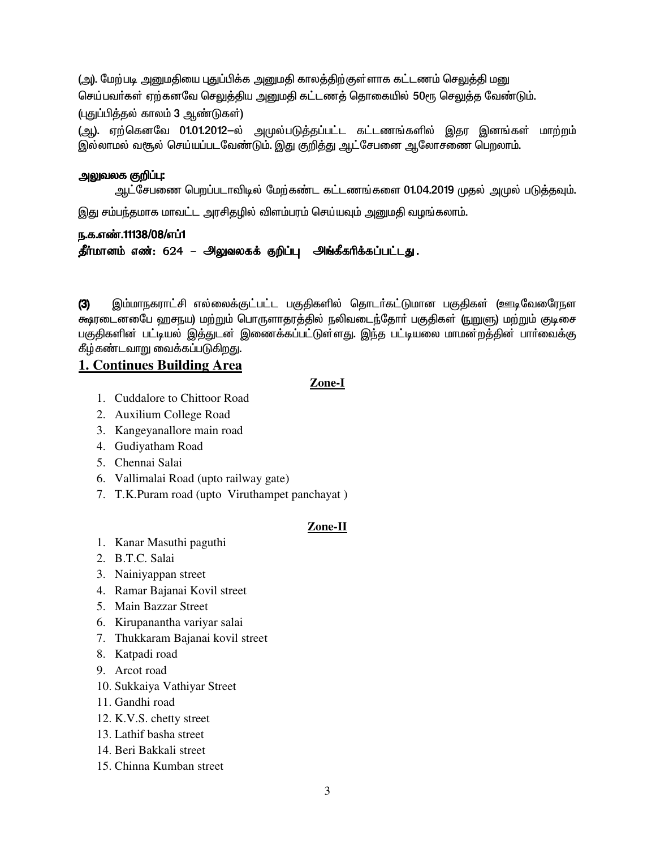(அ). மேற்படி அனுமதியை புதுப்பிக்க அனுமதி காலத்திற்குள்ளாக கட்டணம் செலுத்தி மனு செய்பவா்கள் ஏற்கனவே செலுத்திய அனுமதி கட்டணத் தொகையில் 50ரூ செலுத்த வேண்டும். (புதுப்பித்தல் காலம் 3 ஆண்டுகள்)

(ஆ). ஏற்கெனவே 01.01.2012–ல் அமுல்படுத்தப்பட்ட கட்டணங்களில் இதர இனங்கள் மாற்றம் இல்லாமல் வசூல் செய்யப்படவேண்டும். இது குறித்து ஆட்சேபனை ஆலோசணை பெறலாம்.

# அலுவலக குறி**ப்**பு:

ஆட்சேபணை பெறப்படாவிடில் மேற்கண்ட கட்டணங்களை 01.04.2019 முதல் அமுல் படுத்தவும்.

இது சம்பந்தமாக மாவட்ட அரசிதழில் விளம்பரம் செய்யவும் அனுமதி வழங்கலாம்.

# ந.க.எண்.11138/08/எப்1

தீர்மானம் எண்: 624 – அலுவலகக் குறிப்பு அங்கீகரிக்கப்பட்டது.

இம்மாநகராட்சி எல்லைக்குட்பட்ட பகுதிகளில் தொடர்கட்டுமான பகுதிகள் (ஊடிவேரைநள  $(3)$ க்ஷரடைன&ைப ஹசநய) மற்றும் பொருளாதரத்தில் நலிவடைந்தோர் பகுதிகள் (நுறுளு) மற்றும் குடிசை பகுதிகளின் பட்டியல் இத்துடன் இணைக்கப்பட்டுள்ளது. இந்த பட்டியலை மாமன்றத்தின் பாா்வைக்கு கீழ்கண்டவாறு வைக்கப்படுகிறது.

# 1. Continues Building Area

## Zone-I

- 1. Cuddalore to Chittoor Road
- 2. Auxilium College Road
- 3. Kangeyanallore main road
- 4. Gudiyatham Road
- 5. Chennai Salai
- 6. Vallimalai Road (upto railway gate)
- 7. T.K.Puram road (upto Viruthampet panchayat)

## Zone-II

- 1. Kanar Masuthi paguthi
- 2. B.T.C. Salai
- 3. Nainiyappan street
- 4. Ramar Bajanai Kovil street
- 5. Main Bazzar Street
- 6. Kirupanantha variyar salai
- 7. Thukkaram Bajanai kovil street
- 8. Katpadi road
- 9. Arcot road
- 10. Sukkaiya Vathiyar Street
- 11. Gandhi road
- 12. K.V.S. chetty street
- 13. Lathif basha street
- 14. Beri Bakkali street
- 15. Chinna Kumban street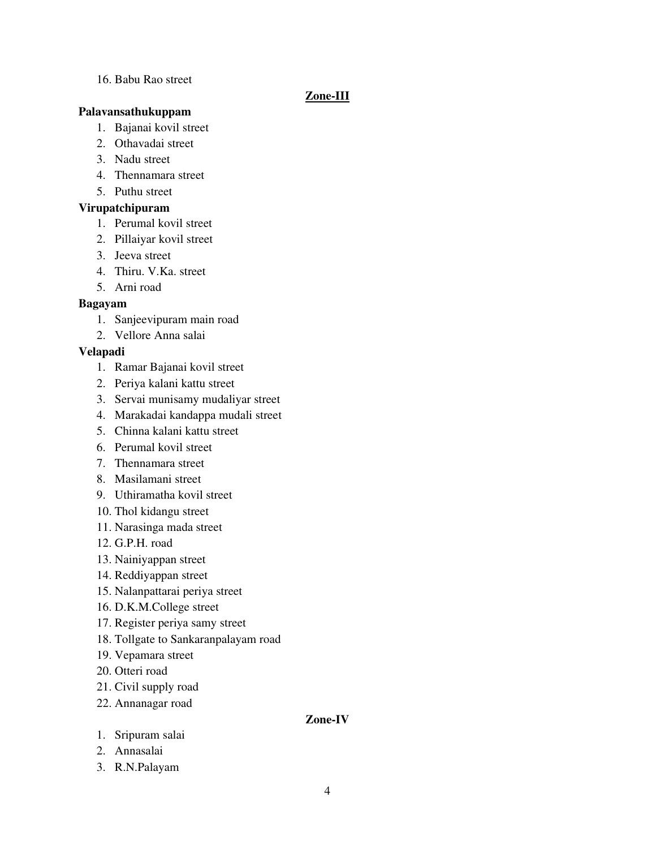# 16. Babu Rao street

# **Zone-III**

# **Palavansathukuppam**

- 1. Bajanai kovil street
- 2. Othavadai street
- 3. Nadu street
- 4. Thennamara street
- 5. Puthu street

# **Virupatchipuram**

- 1. Perumal kovil street
- 2. Pillaiyar kovil street
- 3. Jeeva street
- 4. Thiru. V.Ka. street
- 5. Arni road

# **Bagayam**

- 1. Sanjeevipuram main road
- 2. Vellore Anna salai

# **Velapadi**

- 1. Ramar Bajanai kovil street
- 2. Periya kalani kattu street
- 3. Servai munisamy mudaliyar street
- 4. Marakadai kandappa mudali street
- 5. Chinna kalani kattu street
- 6. Perumal kovil street
- 7. Thennamara street
- 8. Masilamani street
- 9. Uthiramatha kovil street
- 10. Thol kidangu street
- 11. Narasinga mada street
- 12. G.P.H. road
- 13. Nainiyappan street
- 14. Reddiyappan street
- 15. Nalanpattarai periya street
- 16. D.K.M.College street
- 17. Register periya samy street
- 18. Tollgate to Sankaranpalayam road
- 19. Vepamara street
- 20. Otteri road
- 21. Civil supply road
- 22. Annanagar road

# **Zone-IV**

- 1. Sripuram salai
- 2. Annasalai
- 3. R.N.Palayam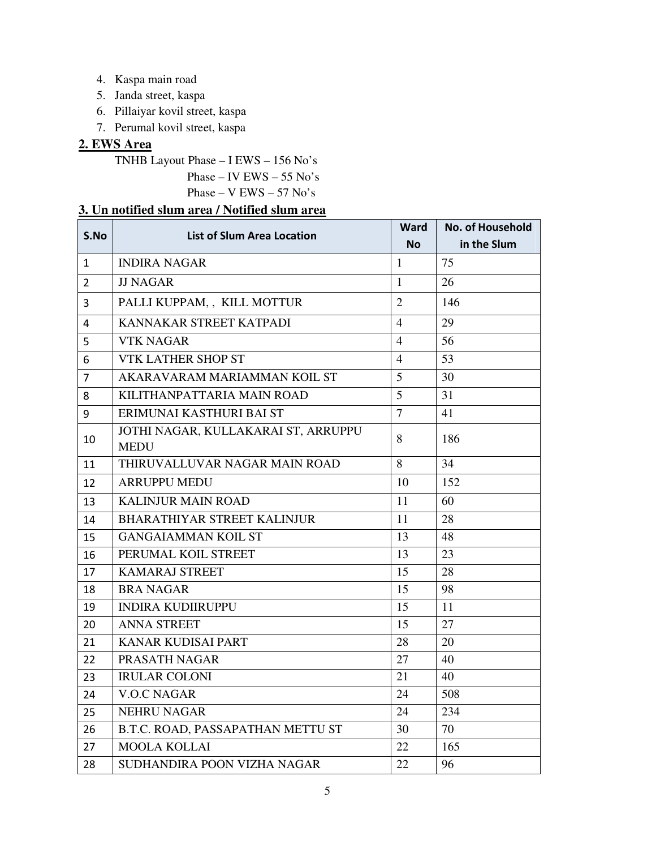- 4. Kaspa main road
- 5. Janda street, kaspa
- 6. Pillaiyar kovil street, kaspa
- 7. Perumal kovil street, kaspa

# **2. EWS Area**

TNHB Layout Phase – I EWS – 156 No's

Phase – IV EWS – 55 No's

Phase – V EWS – 57 No's

# **3. Un notified slum area / Notified slum area**

| S.No           | <b>List of Slum Area Location</b>                  |                | No. of Household |
|----------------|----------------------------------------------------|----------------|------------------|
|                |                                                    | <b>No</b>      | in the Slum      |
| $\mathbf{1}$   | <b>INDIRA NAGAR</b>                                | $\mathbf{1}$   | 75               |
| $\overline{2}$ | <b>JJ NAGAR</b>                                    | $\mathbf{1}$   | 26               |
| 3              | PALLI KUPPAM,, KILL MOTTUR                         | $\overline{2}$ | 146              |
| 4              | KANNAKAR STREET KATPADI                            | $\overline{4}$ | 29               |
| 5              | <b>VTK NAGAR</b>                                   | $\overline{4}$ | 56               |
| 6              | VTK LATHER SHOP ST                                 | $\overline{4}$ | 53               |
| 7              | AKARAVARAM MARIAMMAN KOIL ST                       | 5              | 30               |
| 8              | KILITHANPATTARIA MAIN ROAD                         | 5              | 31               |
| 9              | ERIMUNAI KASTHURI BAI ST                           | $\overline{7}$ | 41               |
| 10             | JOTHI NAGAR, KULLAKARAI ST, ARRUPPU<br><b>MEDU</b> | 8              | 186              |
| 11             | THIRUVALLUVAR NAGAR MAIN ROAD                      | 8              | 34               |
| 12             | ARRUPPU MEDU                                       | 10             | 152              |
| 13             | <b>KALINJUR MAIN ROAD</b>                          | 11             | 60               |
| 14             | <b>BHARATHIYAR STREET KALINJUR</b>                 | 11             | 28               |
| 15             | <b>GANGAIAMMAN KOIL ST</b>                         | 13             | 48               |
| 16             | PERUMAL KOIL STREET                                | 13             | 23               |
| 17             | <b>KAMARAJ STREET</b>                              | 15             | 28               |
| 18             | <b>BRA NAGAR</b>                                   | 15             | 98               |
| 19             | <b>INDIRA KUDIIRUPPU</b>                           | 15             | 11               |
| 20             | <b>ANNA STREET</b>                                 | 15             | 27               |
| 21             | <b>KANAR KUDISAI PART</b>                          | 28             | 20               |
| 22             | PRASATH NAGAR                                      | 27             | 40               |
| 23             | <b>IRULAR COLONI</b>                               | 21             | 40               |
| 24             | <b>V.O.C NAGAR</b>                                 | 24             | 508              |
| 25             | <b>NEHRU NAGAR</b>                                 | 24             | 234              |
| 26             | B.T.C. ROAD, PASSAPATHAN METTU ST                  | 30             | 70               |
| 27             | <b>MOOLA KOLLAI</b>                                | 22             | 165              |
| 28             | SUDHANDIRA POON VIZHA NAGAR                        | 22             | 96               |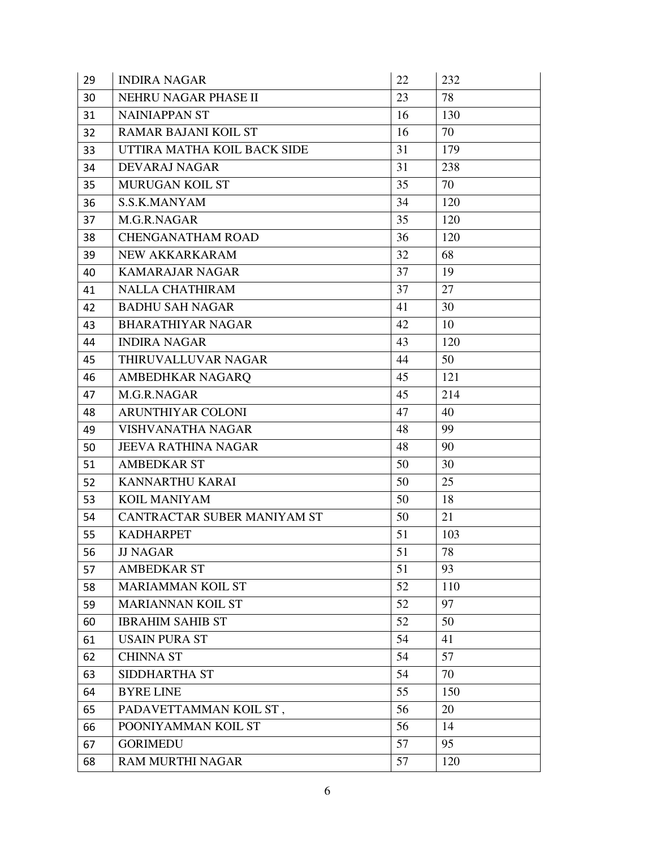| 29 | <b>INDIRA NAGAR</b>         |    | 232 |
|----|-----------------------------|----|-----|
| 30 | NEHRU NAGAR PHASE II<br>23  |    | 78  |
| 31 | <b>NAINIAPPAN ST</b>        | 16 | 130 |
| 32 | <b>RAMAR BAJANI KOIL ST</b> | 16 | 70  |
| 33 | UTTIRA MATHA KOIL BACK SIDE | 31 | 179 |
| 34 | <b>DEVARAJ NAGAR</b>        | 31 | 238 |
| 35 | <b>MURUGAN KOIL ST</b>      | 35 | 70  |
| 36 | S.S.K.MANYAM                | 34 | 120 |
| 37 | M.G.R.NAGAR                 | 35 | 120 |
| 38 | <b>CHENGANATHAM ROAD</b>    | 36 | 120 |
| 39 | NEW AKKARKARAM              | 32 | 68  |
| 40 | KAMARAJAR NAGAR             | 37 | 19  |
| 41 | <b>NALLA CHATHIRAM</b>      | 37 | 27  |
| 42 | <b>BADHU SAH NAGAR</b>      | 41 | 30  |
| 43 | <b>BHARATHIYAR NAGAR</b>    | 42 | 10  |
| 44 | <b>INDIRA NAGAR</b>         | 43 | 120 |
| 45 | THIRUVALLUVAR NAGAR         | 44 | 50  |
| 46 | AMBEDHKAR NAGARQ            | 45 | 121 |
| 47 | M.G.R.NAGAR                 | 45 | 214 |
| 48 | <b>ARUNTHIYAR COLONI</b>    | 47 | 40  |
| 49 | VISHVANATHA NAGAR           | 48 | 99  |
| 50 | <b>JEEVA RATHINA NAGAR</b>  | 48 | 90  |
| 51 | <b>AMBEDKAR ST</b>          | 50 | 30  |
| 52 | KANNARTHU KARAI             | 50 | 25  |
| 53 | <b>KOIL MANIYAM</b>         | 50 | 18  |
| 54 | CANTRACTAR SUBER MANIYAM ST | 50 | 21  |
| 55 | <b>KADHARPET</b>            | 51 | 103 |
| 56 | <b>JJ NAGAR</b>             | 51 | 78  |
| 57 | <b>AMBEDKAR ST</b>          | 51 | 93  |
| 58 | <b>MARIAMMAN KOIL ST</b>    | 52 | 110 |
| 59 | <b>MARIANNAN KOIL ST</b>    | 52 | 97  |
| 60 | <b>IBRAHIM SAHIB ST</b>     | 52 | 50  |
| 61 | <b>USAIN PURA ST</b>        | 54 | 41  |
| 62 | <b>CHINNA ST</b>            | 54 | 57  |
| 63 | SIDDHARTHA ST               | 54 | 70  |
| 64 | <b>BYRE LINE</b>            | 55 | 150 |
| 65 | PADAVETTAMMAN KOIL ST,      | 56 | 20  |
| 66 | POONIYAMMAN KOIL ST         | 56 | 14  |
| 67 | <b>GORIMEDU</b>             | 57 | 95  |
| 68 | <b>RAM MURTHI NAGAR</b>     | 57 | 120 |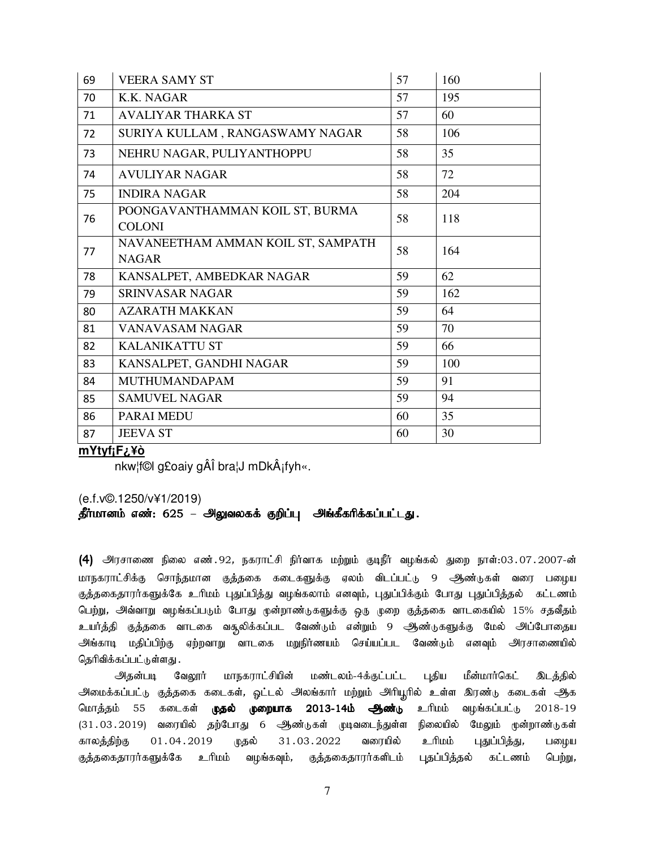| 69 | <b>VEERA SAMY ST</b>                               | 57 | 160 |
|----|----------------------------------------------------|----|-----|
| 70 | K.K. NAGAR                                         | 57 | 195 |
| 71 | <b>AVALIYAR THARKA ST</b>                          | 57 | 60  |
| 72 | SURIYA KULLAM, RANGASWAMY NAGAR                    | 58 | 106 |
| 73 | NEHRU NAGAR, PULIYANTHOPPU                         | 58 | 35  |
| 74 | <b>AVULIYAR NAGAR</b>                              | 58 | 72  |
| 75 | <b>INDIRA NAGAR</b>                                | 58 | 204 |
| 76 | POONGAVANTHAMMAN KOIL ST, BURMA<br><b>COLONI</b>   | 58 | 118 |
| 77 | NAVANEETHAM AMMAN KOIL ST, SAMPATH<br><b>NAGAR</b> | 58 | 164 |
| 78 | KANSALPET, AMBEDKAR NAGAR                          | 59 | 62  |
| 79 | <b>SRINVASAR NAGAR</b>                             | 59 | 162 |
| 80 | <b>AZARATH MAKKAN</b>                              | 59 | 64  |
| 81 | VANAVASAM NAGAR                                    | 59 | 70  |
| 82 | <b>KALANIKATTU ST</b>                              | 59 | 66  |
| 83 | KANSALPET, GANDHI NAGAR                            | 59 | 100 |
| 84 | <b>MUTHUMANDAPAM</b>                               | 59 | 91  |
| 85 | <b>SAMUVEL NAGAR</b>                               | 59 | 94  |
| 86 | PARAI MEDU                                         | 60 | 35  |
| 87 | <b>JEEVA ST</b>                                    | 60 | 30  |

# mYtyf<sub>i</sub>F<sub>¿</sub>¥ò

nkw¦f©l g£oaiy gÂÎ bra¦J mDkÂjfyh«.

### (e.f.v©.1250/v¥1/2019)

# தீர்மானம் எண்: 625 – அலுவலகக் குறிப்பு அங்கீகரிக்கப்பட்டது.

(4) அரசாணை நிலை எண். 92, நகராட்சி நிர்வாக மற்றும் குடிநீர் வழங்கல் துறை நாள்:03.07.2007-ன் மாநகராட்சிக்கு சொந்தமான குத்தகை கடைகளுக்கு ஏலம் விடப்பட்டு 9 ஆண்டுகள் வரை பழைய குத்தகைதாரர்களுக்கே உரிமம் புதுப்பித்து வழங்கலாம் எனவும், புதுப்பிக்கும் போது புதுப்பித்தல் கட்டணம் பெற்று, அவ்வாறு வழங்கப்படும் போது முன்றாண்டுகளுக்கு ஒரு முறை குத்தகை வாடகையில் 15% சதவீதம் உயர்த்தி குத்தகை வாடகை வசூலிக்கப்பட வேண்டும் என்றும் 9 ஆண்டுகளுக்கு மேல் அப்போதைய அங்காடி மதிப்பிற்கு ஏற்றவாறு வாடகை மறுநிர்ணயம் செய்யப்பட வேண்டும் எனவும் அரசாணையில் தெரிவிக்கப்பட்டுள்ளது .

மாநகராட்சியின் மண்டலம்-4க்குட்பட்ட புதிய மீன்மார்கெட் அதன்படி வேலூர் <u>இடத்தி</u>ல் அமைக்கப்பட்டு குத்தகை கடைகள், ஒட்டல் அலங்கார் மற்றும் அரியூரில் உள்ள இரண்டு கடைகள் <del>அ</del>த மொத்தம் 55 கடைகள் **முதல் முறையாக 2013-14ம் ஆண்**டு <u>ப்பரி உ</u> வழங்கப்பட்டு 2018-19 (31.03.2019) வரையில் தற்போது 6 ஆண்டுகள் முடிவடைந்துள்ள நிலையில் மேலும் முன்றாண்டுகள் புதுப்பித்து, காலத்திற்கு 01.04.2019 31.03.2022 வரையில் <u>ப்பரி உ</u> முதல் பழைய குத்தகைதாரர்களுக்கே உரிமம் குத்தகைதாரர்களிடம் புதப்பித்தல் வழங்கவும், கட்டணம் பெற்று,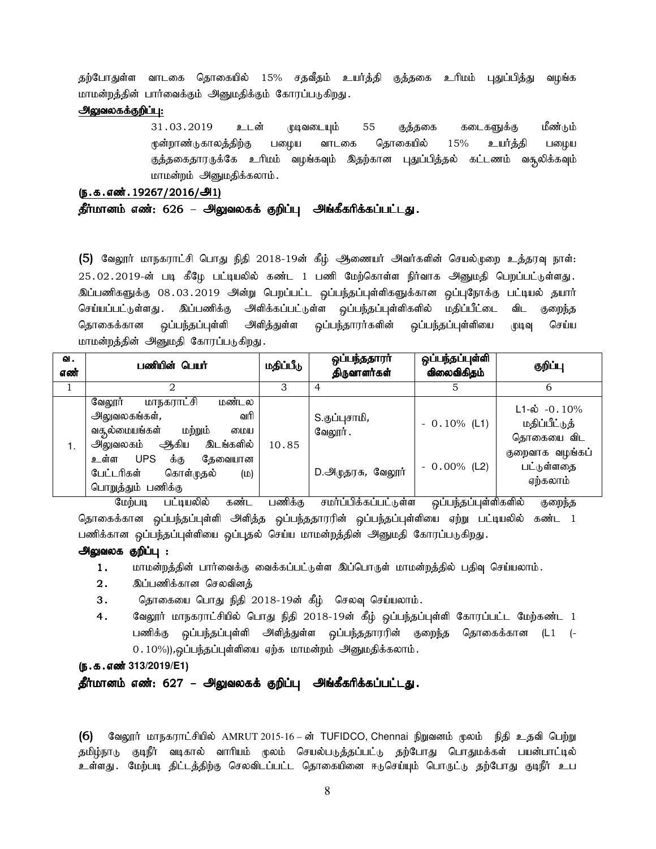தற்போதுள்ள வாடகை தொகையில் 15% சதவீதம் உயர்த்தி குத்தகை உரிமம் புதுப்பித்து வழங்க மாமன்றத்தின் பார்வைக்கும் அனுமதிக்கும் கோரப்படுகிறது.

#### அலுவலகக்குறிப்பு:

31.03.2019 உடன் முடிவடையும் 55 குத்தகை கடைகளுக்கு மீண்டும் முன்றாண்டுகாலத்திற்கு பழைய வாடகை தொகையில் 15% உயர்த்தி பழைய குத்தகைதாரருக்கே உரிமம் வழங்கவும் இதற்கான புதுப்பித்தல் கட்டணம் வசூலிக்கவும் மாமன்றம் அனுமதிக்கலாம்.

### (ந.க.எண். 19267/2016/அ1)

### தீர்மானம் எண்: 626 – அலுவலகக் குறிப்பு அங்கீகரிக்கப்பட்டது.

(5) வேலூர் மாநகராட்சி பொது நிதி 2018-19ன் கீழ் ஆணையர் அவர்களின் செயல்முறை உத்தரவு நாள்: 25.02.2019-ன் படி கீழே பட்டியலில் கண்ட 1 பணி மேற்கொள்ள நிர்வாக அனுமதி பெறப்பட்டுள்ளது. இப்பணிகளுக்கு 08.03.2019 அன்று பெறப்பட்ட ஒப்பந்தப்புள்ளிகளுக்கான ஒப்புநோக்கு பட்டியல் தயார் செய்யப்பட்டுள்ளது . இப்பணிக்கு அிளிக்கப்பட்டுள்ள ஒப்பந்தப்புள்ளிகளில் மதிப்பீட்டை விட குறைந்த தொகைக்கான ஒப்பந்தப்புள்ளி அளித்துள்ள ஒப்பந்தாரர்களின் ஒப்பந்தப்புள்ளியை முடிவு செய்ய மாமன்றத்தின் அனுமதி கோரப்படுகிறது.

| ഖ.<br>எண் | பணியின் பெயர்                                                                                                                                                                                                          | மதிப்பீடு | ஒப்பந்ததாரா்<br>திருவாளர்கள்                          | ஒப்பந்தப்புள்ளி<br>விலைவிகிதம்   | குறிப்பு                                                                                       |
|-----------|------------------------------------------------------------------------------------------------------------------------------------------------------------------------------------------------------------------------|-----------|-------------------------------------------------------|----------------------------------|------------------------------------------------------------------------------------------------|
|           |                                                                                                                                                                                                                        | З         | 4                                                     |                                  | 6                                                                                              |
| 1.        | மாநகராட்சி<br>மண்டல<br>வேலூர்<br>வரி<br>அலுவலகங்கள்,<br>வசூல்மையங்கள்<br>மற்றும்<br>மைய<br>அலுவலகம் ஆகிய<br>இடங்களில்<br><b>UPS</b><br>க்கு<br>தேவையான<br>உள்ள<br>பேட்டரிகள்<br>கொள்முதல்<br>(D)<br>பொறுத்தும் பணிக்கு | 10.85     | S.குப்புசாமி <i>,</i><br>வேலூர்.<br>D.அருதரசு, வேலூர் | $-0.10\%$ (L1)<br>$-0.00\%$ (L2) | $L1 - \phi$ -0.10%<br>மதிப்பீட்டுத்<br>தொகையை விட<br>குறைவாக வழங்கப்<br>பட்டுள்ளதை<br>ஏற்கலாம் |

மேற்படி பட்டியலில் கண்ட பணிக்கு சமர்ப்பிக்கப்பட்டுள்ள ஒப்பந்தப்புள்ளிகளில் குறைந்த தொகைக்கான ஒப்பந்தப்புள்ளி அளித்த ஒப்பந்ததாரரின் ஒப்பந்தப்புள்ளியை ஏற்று பட்டியலில் கண்ட 1 பணிக்கான ஒப்பந்தப்புள்ளியை ஒப்புதல் செய்ய மாமன்றத்தின் அனுமதி கோரப்படுகிறது.

### அலுவலக குறிப்பு :

- $1.$  khr மன்றத்தின் பார்வைக்கு வைக்கப்பட்டுள்ள இப்பொருள் மாமன்றத்தில் பதிவு செய்யலாம்.
- 2. இப்பணிக்கான செலவினக்
- 3. தொகையை பொது நிதி 2018-19ன் கீழ் செலவு செய்யலாம்.
- 4. கேலூர் மாநகராட்சியில் பொது நிதி 2018-19ன் கீழ் ஒப்பந்தப்புள்ளி கோரப்பட்ட மேற்கண்ட 1 பணிக்கு ஒப்பந்தப்புள்ளி அளித்துள்ள ஒப்பந்ததாரரின் குறைந்த தொகைக்கான (L1 (- $(0.10\%)$ ),ஒப்பந்தப்புள்ளியை ஏற்க மாமன்றம் அனுமதிக்கலாம்.

#### (ந.க.எண்<sup>313/2019/E1)</sup>

### தீர்மானம் எண்: 627 – அலுவலகக் குறிப்பு அங்கீகரிக்கப்பட்டது.

 $(6)$  B்வலூர் மாநகராட்சியில் AMRUT 2015-16 – ன் TUFIDCO, Chennai நிறுவனம் முலம் நிதி உதவி பெற்று தமிழ்நாடு குடிநீர் வடிகால் வாரியம் மூலம் செயல்படுத்தப்பட்டு தற்போது பொதுமக்கள் பயன்பாட்டில் உள்ளது .மேற்படி திட்டத்திற்கு செலவிடப்பட்ட தொகையினை ஈடுசெய்யும் பொருட்டு தற்போது குடிநீர் உப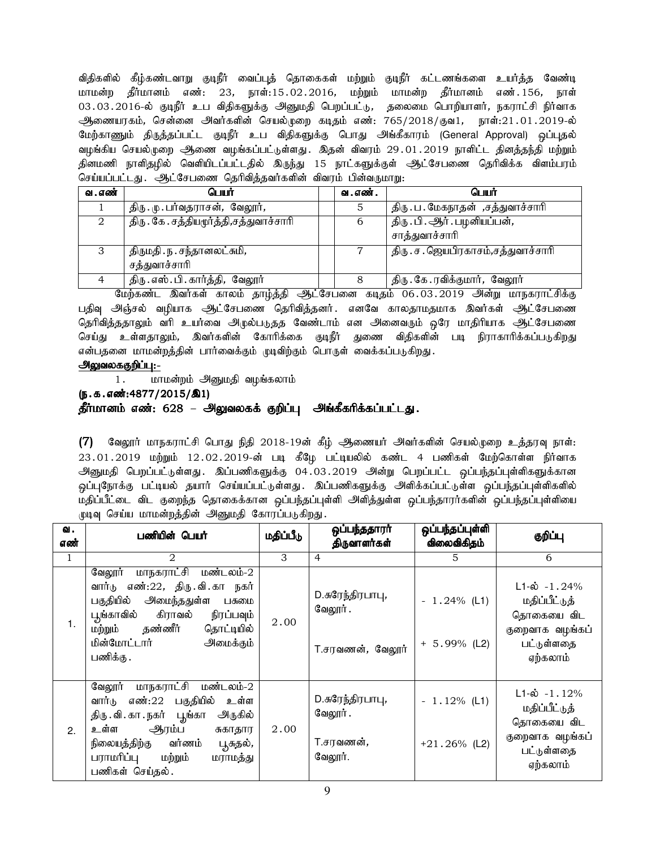விதிகளில் கீழ்கண்டவாறு குடிநீர் வைப்புத் தொகைகள் மற்றும் குடிநீர் கட்டணங்களை உயர்த்த வேண்டி மாமன்ற தீர்மானம் எண்: 23, நாள்:15.02.2016, மற்றும் மாமன்ற தீர்மானம் எண்.156, நாள் 03.03.2016-ல் குடிநீர் உப விதிகளுக்கு அனுமதி பெறப்பட்டு, தலைமை பொறியாளர், நகராட்சி நிர்வாக ஆணையரகம், சென்னை அவர்களின் செயல்முறை கடிதம் எண்: 765/2018/குவ1, நாள்:21.01.2019-ல் மேற்காணும் திருத்தப்பட்ட குடிநீர் உப விதிகளுக்கு பொது அங்கீகாரம் (General Approval) ஒப்புதல் வழங்கிய செயல்முறை ஆணை வழங்கப்பட்டுள்ளது. இதன் விவரம் 29.01.2019 நாளிட்ட தினத்தந்தி மற்றும் தினமணி நாளிதழில் வெளியிடப்பட்டதில் இருந்து 15 நாட்களுக்குள் <del>அ</del>ட்சேபணை தெரிவிக்க விளம்பரம் செய்யப்பட்டது. ஆட்சேபணை தெரிவித்தவர்களின் விவரம் பின்வருமாறு:

| வ . எண் | பெயர்                                    | வ . எண் . | பெயர்                              |
|---------|------------------------------------------|-----------|------------------------------------|
|         | திரு. மு. பர்வதராசன், வேலூர்,            |           | திரு . ப . மேகநாதன் ,சத்துவாச்சாரி |
|         | திரு . கே . சத்தியமூர்த்தி,சத்துவாச்சாரி | 6         | திரு . பி . ஆர் . பழனியப்பன்,      |
|         |                                          |           | சாத்துவாச்சாரி                     |
| 3       | திருமதி . ந . சந்தானலட்சுமி,             |           | திரு. ச. ஜெயபிரகாசம்,சத்துவாச்சாரி |
|         | சத்துவாச்சாரி                            |           |                                    |
|         | திரு. எஸ். பி. கார்த்தி, வேலூர்          |           | திரு. கே.ரவிக்குமார், வேலூர்       |

மேற்கண்ட இவர்கள் காலம் தாழ்த்தி ஆட்சேபனை கடிதம் 06.03.2019 அன்று மாநகராட்சிக்கு பதிவு அஞ்சல் வழியாக ஆட்சேபணை தெரிவித்தனர். எனவே காலதாமதமாக இவர்கள் ஆட்சேபணை தெரிவித்ததாலும் வரி உயர்வை அழுல்படுதத வேண்டாம் என அனைவரும் ஒரே மாதிரியாக ஆட்சேபணை செய்து உள்ளதாலும், இவர்களின் கோரிக்கை குடிநீர் துணை விதிகளின் படி நிராகாரிக்கப்படுகிறது என்பதனை மாமன்றத்தின் பார்வைக்கும் முடிவிற்கும் பொருள் வைக்கப்படுகிறது.

### அலுவலககுறிப்பு:-

1. மாமன்றம் அனுமதி வழங்கலாம்

 $(5.5.5.5\cdot\frac{1000(1.5)}{2015/81})$ 

# தீர்மானம் எண்: 628 – அலுவலகக் குறிப்பு அங்கீகரிக்கப்பட்டது.

(7) வேலூர் மாநகராட்சி பொது நிதி 2018-19ன் கீழ் ஆணையர் அவர்களின் செயல்முறை உத்தரவு நாள்:  $23.01.2019$  மற்றும்  $12.02.2019$ -ன் படி கீழே பட்டியலில் கண்ட 4 பணிகள் மேற்கொள்ள நிர்வாக அனுமதி பெறப்பட்டுள்ளது. இப்பணிகளுக்கு 04.03.2019 அன்று பெறப்பட்ட ஒப்பந்தப்புள்ளிகளுக்கான ஒப்புநோக்கு பட்டியல் தயார் செய்யப்பட்டுள்ளது. இப்பணிகளுக்கு அளிக்கப்பட்டுள்ள ஒப்பந்தப்புள்ளிகளில் மதிப்பீட்டை விட குறைந்த தொகைக்கான ஒப்பந்தப்புள்ளி அளித்துள்ள ஒப்பந்தாரர்களின் ஒப்பந்தப்புள்ளியை முடிவு செய்ய மாமன்றத்தின் அனுமதி கோரப்படுகிறது.

| ഖ.           | பணியின் பெயர்                                                                                                                                                                                                               | மதிப்பீடு | ஒப்பந்ததாரா்                                                | ஒப்பந்தப்புள்ளி                   | குறிப்பு                                                                                               |
|--------------|-----------------------------------------------------------------------------------------------------------------------------------------------------------------------------------------------------------------------------|-----------|-------------------------------------------------------------|-----------------------------------|--------------------------------------------------------------------------------------------------------|
| எண்          |                                                                                                                                                                                                                             |           | திருவாளர்கள்                                                | விலைவிகிதம்                       |                                                                                                        |
| $\mathbf{1}$ | 2                                                                                                                                                                                                                           | 3         | $\overline{4}$                                              | 5                                 | 6                                                                                                      |
| 1.           | மாநகராட்சி மண்டலம்-2<br>வேலூர்<br>வார்டு எண்:22, திரு.வி.கா நகர்<br>பகுதியில் அமைந்ததுள்ள பசுமை<br>பூங்காவில் கிராவல் நிரப்பவும்<br>மற்றும் தண்ணீர் தொட்டியில்<br>மின்மோட்டார்<br>அமைக்கும்<br>பணிக்கு .                    | 2.00      | D.சுரேந்திரபாபு,<br>வேலூர் .<br>T.சரவணன், வேலூர்            | $-1.24\%$ (L1)<br>$+ 5.99\%$ (L2) | $L1-\dot{\omega} - 1.24\%$<br>மதிப்பீட்டுத்<br>தொகையை விட<br>குறைவாக வழங்கப்<br>பட்டுள்ளதை<br>ஏற்கலாம் |
| 2.           | வேலூர் மாநகராட்சி மண்டலம்-2<br>வார்டு எண்:22 பகுதியில்<br>உள்ள<br>திரு வி. கா . நகர் பூங்கா<br>அருகில்<br>ஆரம்ப<br>உள்ள<br>சுகாதார<br>நிலையத்திற்கு வர்ணம்<br>பூசுதல்,<br>பராமரிப்பு மற்றும்<br>மராமத்து<br>பணிகள் செய்தல். | 2.00      | D.சுரேந்திரபாபு,<br>வேலூர்.<br>T.சரவணன் <i>,</i><br>வேலூர். | $-1.12%$ (L1)<br>$+21.26\%$ (L2)  | $L1-\dot{\omega} - 1.12\%$<br>மதிப்பீட்டுத்<br>தொகையை விட<br>குறைவாக வழங்கப்<br>பட்டுள்ளதை<br>ஏற்கலாம் |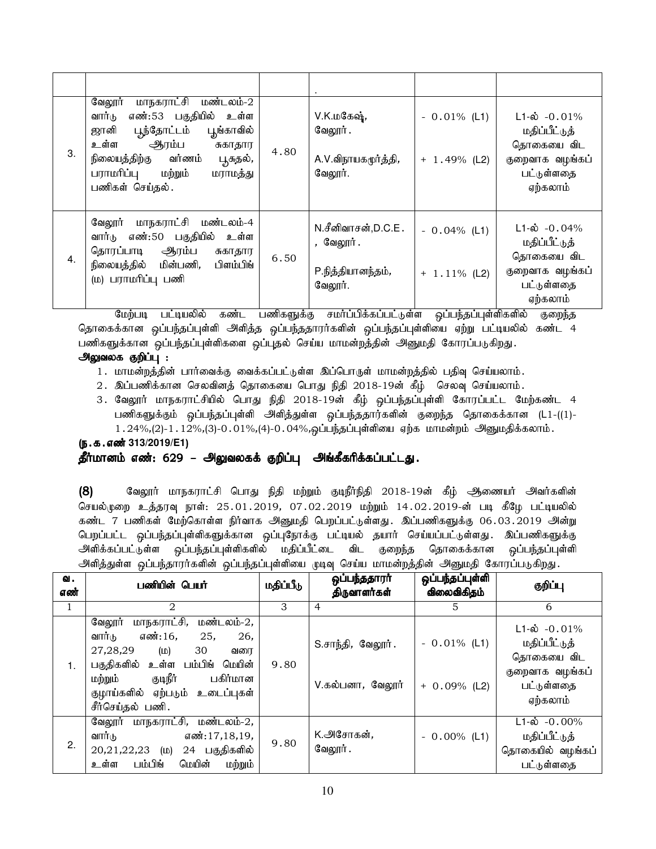| 3.               | மாநகராட்சி மண்டலம்-2<br>வேலூர்<br>எண்:53 பகுதியில் உள்ள<br>வார்டு<br>ஜானி பூந்தோட்டம்<br>பூங்காவில்<br>ஆரம்ப<br>உள்ள<br>சுகாதார<br>நிலையத்திற்கு வர்ணம்<br>பூசுதல்,<br>பராமரிப்பு மற்றும்<br>மராமத்து<br>பணிகள் செய்தல். | 4.80 | V.K.மகேஷ்,<br>வேலூர்.<br>A.V.விநாயகமூர்த்தி,<br>வேலூர்.         | $-0.01\%$ (L1)<br>$+ 1.49%$ (L2)  | $L1-\hat{\omega}$ -0.01%<br>மதிப்பீட்டுத்<br>தொகையை விட<br>குறைவாக வழங்கப்<br>பட்டுள்ளதை<br>ஏற்கலாம் |
|------------------|--------------------------------------------------------------------------------------------------------------------------------------------------------------------------------------------------------------------------|------|-----------------------------------------------------------------|-----------------------------------|------------------------------------------------------------------------------------------------------|
| $\overline{4}$ . | வேலூர் மாநகராட்சி மண்டலம்-4<br>வார்டு எண்:50 பகுதியில்<br>உள்ள<br>தொரப்பாடி ஆரம்ப<br>சுகாதார<br>பிளம்பிங்<br>நிலையத்தில் மின்பணி,<br>(ம) பராமரிப்பு பணி                                                                  | 6.50 | N.சீனிவாசன்,D.C.E.<br>, வேலூர்.<br>P.நித்தியானந்தம்,<br>வேலூர். | $-0.04\%$ (L1)<br>$+ 1.11\%$ (L2) | $L1-\dot{\omega}$ -0.04%<br>மதிப்பீட்டுத்<br>தொகையை விட<br>குறைவாக வழங்கப்<br>பட்டுள்ளதை<br>ஏற்கலாம் |

மேற்படி பட்டியலில் கண்ட பணிகளுக்கு சமா்ப்பிக்கப்பட்டுள்ள ஒப்பந்தப்புள்ளிகளில் குறைந்த தொகைக்கான ஒப்பந்தப்புள்ளி அளித்த ஒப்பந்ததாரர்களின் ஒப்பந்தப்புள்ளியை ஏற்று பட்டியலில் கண்ட 4 பணிகளுக்கான ஒப்பந்தப்புள்ளிகளை ஒப்புதல் செய்ய மாமன்றத்தின் அனுமதி கோரப்படுகிறது.

# அலுவலக குறிப்பு :

- 1. மாமன்றத்தின் பார்வைக்கு வைக்கப்பட்டுள்ள இப்பொருள் மாமன்றத்தில் பதிவு செய்யலாம்.
- 2. இப்பணிக்கான செலவினத் தொகையை பொது நிதி 2018-19ன் கீழ் செலவு செய்யலாம்.
- 3. வேலூர் மாநகராட்சியில் பொது நிதி 2018-19ன் கீழ் ஒப்பந்தப்புள்ளி கோரப்பட்ட மேற்கண்ட 4 பணிகளுக்கும் ஒப்பந்தப்புள்ளி அளித்துள்ள ஒப்பந்ததார்களின் குறைந்த தொகைக்கான (L1-((1)- $1.24\%,(2)$ -1.12%,(3)-0.01%,(4)-0.04%,ஒப்பந்தப்புள்ளியை ஏற்க மாமன்றம் அனுமதிக்கலாம்.

# (ந.க.எண் 313/2019/E1) தீர்மானம் எண்: 629 – அலுவலகக் குறிப்பு அங்கீகரிக்கப்பட்டது.

(8) வேலூர் மாநகராட்சி பொது நிதி மற்றும் குடிநீர்நிதி 2018-19ன் கீழ் ஆணையர் அவர்களின் செயல்முறை உத்தரவு நாள்: 25.01.2019, 07.02.2019 மற்றும் 14.02.2019-ன் படி கீழே பட்டியலில் .<br>கண்ட 7 பணிகள் மேற்கொள்ள நிர்வாக அனுமதி பெறப்பட்டுள்ளது. இப்பணிகளுக்கு 06.03.2019 அன்று பெறப்பட்ட ஒப்பந்தப்புள்ளிகளுக்கான ஒப்புநோக்கு பட்டியல் தயார் செய்யப்பட்டுள்ளது. இப்பணிகளுக்கு அளிக்கப்பட்டுள்ள ஒப்பந்தப்புள்ளிகளில் மதிப்பீட்டை விட குறைந்த தொகைக்கான ஒப்பந்தப்புள்ளி அளித்துள்ள ஒப்பந்தாரர்களின் ஒப்பந்தப்புள்ளியை முடிவு செய்ய மாமன்றத்தின் அனுமதி கோரப்படுகிறது.

| ഖ.<br>எண் | பணியின் பெயர்                                                                                                                                                                                                                               | மதிப்பீடு | ஒப்பந்ததாரா்<br>திருவாளர்கள்          | ஒப்பந்தப்புள்ளி<br>விலைவிகிதம்   | குறிப்பு                                                                                                 |
|-----------|---------------------------------------------------------------------------------------------------------------------------------------------------------------------------------------------------------------------------------------------|-----------|---------------------------------------|----------------------------------|----------------------------------------------------------------------------------------------------------|
| 1         | 2                                                                                                                                                                                                                                           | 3         | 4                                     | 5.                               | 6                                                                                                        |
| 1.        | மாநகராட்சி,<br>மண்டலம்-2,<br>வேலூர்<br>வார்டு<br>எண்:16,<br>25,<br>26,<br>27,28,29<br>30<br>(D)<br>வரை<br>பகுதிகளில் உள்ள<br>பம்பிங்<br>மெயின்<br>குடிநீர்<br>பகிர்மான<br>மற்றும்<br>குழாய்களில் ஏற்படும்<br>உடைப்புகள்<br>சீர்செய்தல் பணி. | 9.80      | S.சாந்தி, வேலூர்.<br>V.கல்பனா, வேலூர் | $-0.01\%$ (L1)<br>$+ 0.09%$ (L2) | $L1 - \dot{\omega} - 0.01\%$<br>மதிப்பீட்டுத்<br>தொகையை விட<br>குறைவாக வழங்கப்<br>பட்டுள்ளதை<br>ஏற்கலாம் |
| 2.        | வேலூர் மாநகராட்சி, மண்டலம்-2,<br>வார்டு<br>எண்:17,18,19,<br>$20,21,22,23$ (LD)<br>24 பகுதிகளில்<br>மெயின்<br>பம்பிங்<br>மற்றும்<br>உள்ள                                                                                                     | 9.80      | K.அசோகன்,<br>வேலூர் .                 | $-0.00\%$ (L1)                   | $L1 - \dot{\omega} - 0.00\%$<br>மதிப்பீட்டுத்<br>தொகையில் வழங்கப்<br>பட்டுள்ளதை                          |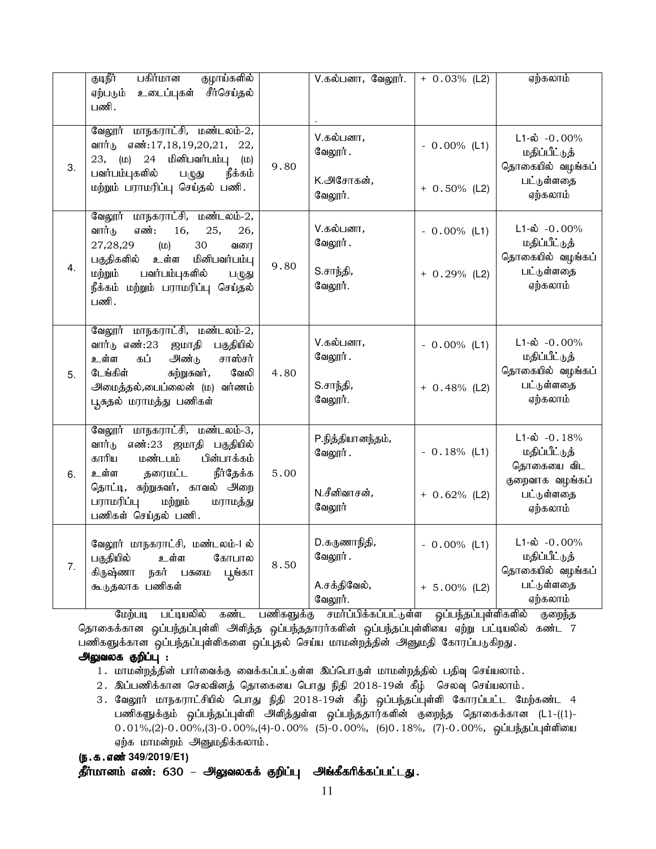|    | குடிநீர்<br>பகிர்மான<br>குழாய்களில்<br>சீர்செய்தல்<br>உடைப்புகள்<br>ஏற்படும்<br>பணி.                                                                                         |      | V.கல்பனா, வேலூர்.             | $+ 0.03%$ (L2)  | ஏற்கலாம்                                                        |
|----|------------------------------------------------------------------------------------------------------------------------------------------------------------------------------|------|-------------------------------|-----------------|-----------------------------------------------------------------|
| 3. | வேலூர் மாநகராட்சி, மண்டலம்-2,<br>எண்:17,18,19,20,21,<br>வார்டு<br>22,<br>மினிபவர்பம்பு<br>23,<br>(D)<br>24<br>(D)<br>நீக்கம்<br>பவர்பம்புகளில்<br>ப $(\mathbb{R}\mathbb{Z})$ | 9.80 | V.கல்பனா,<br>வேலூர்.          | $-0.00\%$ (L1)  | $L1-\dot{\omega} - 0.00\%$<br>மதிப்பீட்டுத்<br>தொகையில் வழங்கப் |
|    | மற்றும் பராமரிப்பு செய்தல் பணி.                                                                                                                                              |      | K. <u>அ</u> சோகன்,<br>வேலூர். | $+ 0.50\%$ (L2) | பட்டுள்ளதை<br>ஏற்கலாம்                                          |
|    | வேலூர் மாநகராட்சி, மண்டலம்-2,<br>வார்டு<br>எண்:<br>16,<br>25,<br>26,<br>27,28,29<br>30<br>(D)<br>வரை                                                                         |      | V.கல்பனா,<br>வேலூர்.          | $-0.00\%$ (L1)  | $L1-\dot{\omega}$ -0.00%<br>மதிப்பீட்டுத்                       |
| 4. | பகுதிகளில்<br>உள்ள<br>மினிபவர்பம்பு<br>ம்ற்றும்<br>பவர்பம்புகளில்<br>பழுது<br>நீக்கம் மற்றும் பராமரிப்பு செய்தல்<br>பணி.                                                     | 9.80 | S.சாந்தி,<br>வேலூர்.          | $+ 0.29%$ (L2)  | தொகையில் வழங்கப்<br>பட்டுள்ளதை<br>ஏற்கலாம்                      |
|    | வேலூர் மாநகராட்சி, மண்டலம்-2,<br>வார்டு எண்:23<br>பகுதியில்<br>ஜமாதி<br>கப்<br>அண்டு<br>சாஸ்சர்<br>உள்ள<br>டேங்கிள்<br>வேலி<br>சுற்றுசுவர்,                                  |      | V.கல்பனா,<br>வேலூர்.          | $-0.00\%$ (L1)  | $L1-\dot{\omega}$ -0.00%<br>மதிப்பீட்டுத்<br>தொகையில் வழங்கப்   |
| 5. | அமைத்தல்,பைப்லைன் (ம) வர்ணம்<br>பூசுதல் மராமத்து பணிகள்                                                                                                                      | 4.80 | S.சாந்தி,<br>வேலூர்.          | $+ 0.48%$ (L2)  | பட்டுள்ளதை<br>ஏற்கலாம்                                          |
|    | வேலூர் மாநகராட்சி, மண்டலம்-3,<br>எண்:23 ஜமாதி பகுதியில்<br>வார்டு<br>மண்டபம்<br>பின்பாக்கம்<br>காரிய                                                                         | 5.00 | P.நித்தியானந்தம்,<br>வேலூர்.  | $-0.18%$ (L1)   | $L1-\dot{\omega}$ -0.18%<br>மதிப்பீட்டுத்<br>தொகையை விட         |
| 6. | <b>நீர்தேக்க</b><br>உள்ள<br>தரைமட்ட<br>தொட்டி, சுற்றுசுவர், காவல் அறை<br>பராமரிப்பு<br>மற்றும்<br>மராமத்து<br>பணிகள் செய்தல் பணி.                                            |      | N.சீனிவாசன்,<br>வேலூர்        | $+ 0.62%$ (L2)  | குறைவாக வழங்கப்<br>பட்டுள்ளதை<br>ஏற்கலாம்                       |
| 7. | வேலூர் மாநகராட்சி, மண்டலம்-1 ல்<br>பகுதியில்<br>உள்ள<br>கோபால<br>கிருஷ்ணா<br>நகர் பசுமை<br>பூங்கா                                                                            | 8.50 | D.கருணாநிதி,<br>வேலூர்.       | $-0.00\%$ (L1)  | $L1-\dot{\omega} - 0.00\%$<br>மதிப்பீட்டுத்<br>தொகையில் வழங்கப் |
|    | கூடுதலாக பணிகள்                                                                                                                                                              |      | A.சக்திவேல்,<br>வேலூர்.       | $+ 5.00\%$ (L2) | பட்டுள்ளதை<br>ஏற்கலாம்                                          |

மேற்படி பட்டியலில் கண்ட பணிகளுக்கு சமா்ப்பிக்கப்பட்டுள்ள ஒப்பந்தப்புள்ளிகளில் குறைந்த தொகைக்கான ஒப்பந்தப்புள்ளி அளித்த ஒப்பந்ததாரர்களின் ஒப்பந்தப்புள்ளியை ஏற்று பட்டியலில் கண்ட 7 பணிகளுக்கான ஒப்பந்தப்புள்ளிகளை ஒப்புதல் செய்ய மாமன்றத்தின் அனுமதி கோரப்படுகிறது.

# அலுவலக குறிப்பு :

- 1. மாமன்றத்தின் பார்வைக்கு வைக்கப்பட்டுள்ள இப்பொருள் மாமன்றத்தில் பதிவு செய்யலாம்.
- 2. இப்பணிக்கான செலவினத் தொகையை பொது நிதி 2018-19ன் கீழ் செலவு செய்யலாம்.
- 3. வேலூர் மாநகராட்சியில் பொது நிதி 2018-19ன் கீழ் ஒப்பந்தப்புள்ளி கோரப்பட்ட மேற்கண்ட 4 பணிகளுக்கும் ஒப்பந்தப்புள்ளி அளித்துள்ள ஒப்பந்ததார்களின் குறைந்த தொகைக்கான (L1-((1)- $0.01\%, (2)$ -0.00%,(3)-0.00%,(4)-0.00% (5)-0.00%, (6)0.18%, (7)-0.00%, ஒட்பந்தட்புள்ளியை ஏற்க மாமன்றம் அனுமதிக்கலாம்.

# (e.f.vz;**349/2019/E1**)

தீர்மானம் எண்: 630 – அலுவலகக் குறிப்பு அங்கீகரிக்கப்பட்டது.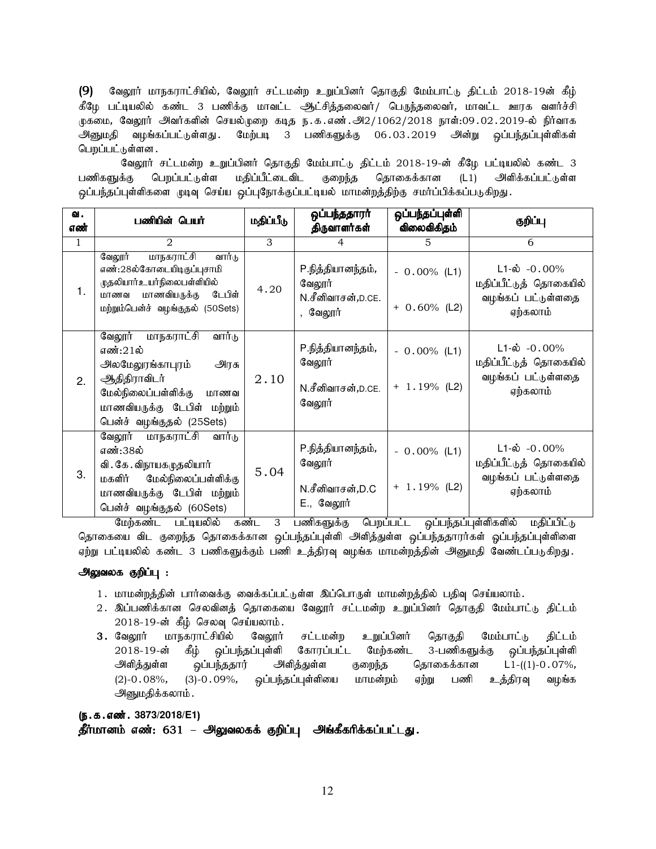(9) வேலூர் மாநகராட்சியில், வேலூர் சட்டமன்ற உறுப்பினர் தொகுதி மேம்பாட்டு திட்டம் 2018-19ன் கீழ் கீழே பட்டியலில் கண்ட 3 பணிக்கு மாவட்ட ஆட்சித்தலைவர்/ பெருந்தலைவர், மாவட்ட ஊரக வளர்ச்சி முகமை, வேலூர் அவர்களின் செயல்முறை கடித ந.க.எண்.அ $2/1062/2018$  நாள்:09.02.2019-ல் நிர்வாக அனுமதி வழங்கப்பட்டுள்ளது .மேற்படி 3 பணிகளுக்கு 06.03.2019 அன்று ஒப்பந்தப்புள்ளிகள் பெறப்பட்டுள்ளன .

வேலூர் சட்டமன்ற உறுப்பினர் தொகுதி மேம்பாட்டு திட்டம் 2018-19-ன் கீழே பட்டியலில் கண்ட 3 பணிகளுக்கு பெறப்பட்டுள்ள மதிப்பீட்டைவிட குறைந்த தொகைக்கான (L1) அளிக்கப்பட்டுள்ள ஒப்பந்தப்புள்ளிகளை முடிவு செய்ய ஒப்புநோக்குப்பட்டியல் மாமன்றத்திற்கு சமாப்பிக்கப்படுகிறது.

| ഖ.<br>எண்    | பணியின் பெயர்                                                                                                                                                                     | மதிப்பீடு | ஒப்பந்ததாரா்<br>திருவாளர்கள்                                 | ஒப்பந்தப்புள்ளி<br>விலைவிகிதம்    | குறிப்பு                                                                             |
|--------------|-----------------------------------------------------------------------------------------------------------------------------------------------------------------------------------|-----------|--------------------------------------------------------------|-----------------------------------|--------------------------------------------------------------------------------------|
| $\mathbf{1}$ | 2                                                                                                                                                                                 | 3         | 4                                                            | 5                                 | 6                                                                                    |
| 1.           | வேலூர்<br>மாநகராட்சி<br>வார்டு<br>எண்:28ல்கோடையிடிகுப்புசாமி<br><u>முத</u> லியார்உயர்நிலைபள்ளியில்<br>டேபிள்<br>மாணவியருக்கு<br>மாணவ<br>மற்றும்பென்ச் வழங்குதல் (50Sets)          | 4.20      | P.நித்தியானந்தம்,<br>வேலூர்<br>N.சீனிவாசன்,D.CE.<br>, வேலூர் | $-0.00\%$ (L1)<br>$+ 0.60\%$ (L2) | $L1-\dot{\omega}$ -0.00%<br>மதிப்பீட்டுத் தொகையில்<br>வழங்கப் பட்டுள்ளதை<br>ஏற்கலாம் |
| 2.           | வேலூர்<br>மாநகராட்சி<br>வார்டு<br>எண்:21ல்<br>அலமேலூங்காபுரம்<br>அிரசு<br>ஆதிதிராவிடர்<br>மேல்நிலைப்பள்ளிக்கு<br>மாணவ<br>மாணவியருக்கு டேபிள் மற்றும்<br>பென்ச் வழங்குதல் (25Sets) | 2.10      | P.நித்தியானந்தம்,<br>வேலூர்<br>N.சீனிவாசன்,D.CE.<br>வேலூர்   | $-0.00\%$ (L1)<br>$+ 1.19%$ (L2)  | $L1-\dot{\omega}$ -0.00%<br>மதிப்பீட்டுத் தொகையில்<br>வழங்கப் பட்டுள்ளதை<br>ஏற்கலாம் |
| 3.           | வேலூர்<br>மாநகராட்சி<br>வார்டு<br>எண்:38ல்<br>வி . கே . விநாயகமுதலியார்<br>மேல்நிலைப்பள்ளிக்கு<br>மகளிர்<br>மாணவியருக்கு டேபிள் மற்றும்<br>பென்ச் வழங்குதல் (60Sets)              | 5.04      | P.நித்தியானந்தம்,<br>வேலூர்<br>N.சீனிவாசன்,D.C<br>E., வேலூர் | $-0.00\%$ (L1)<br>$+ 1.19%$ (L2)  | $L1-\omega$ -0.00%<br>மதிப்பீட்டுத் தொகையில்<br>வழங்கப் பட்டுள்ளதை<br>ஏற்கலாம்       |

மேற்கண்ட பட்டியலில் கண்ட 3 பணிகளுக்கு பெறப்பட்ட ஒப்பந்தப்புள்ளிகளில் மதிப்பிட்டு தொகையை விட குறைந்த தொகைக்கான ஒப்பந்தப்புள்ளி அளித்துள்ள ஒப்பந்ததாரர்கள் ஓப்பந்தப்புள்ளிளை ஏற்று பட்டியலில் கண்ட 3 பணிகளுக்கும் பணி உத்திரவு வழங்க மாமன்றத்தின் அனுமதி வேண்டப்படுகிறது.

# அலுவலக குறிப்பு :

- 1. மாமன்றத்தின் பார்வைக்கு வைக்கப்பட்டுள்ள இப்பொருள் மாமன்றத்தில் பதிவு செய்யலாம்.
- 2. இப்பணிக்கான செலவினத் தொகையை வேலூர் சட்டமன்ற உறுப்பினர் தொகுதி மேம்பாட்டு திட்டம்  $2018 - 19$ -ன் கீழ் செலவு செய்யலாம்.
- 3. வேலூர் மாநகராட்சியில் வேலூர் சட்டமன்ற உறுப்பினர் தொகுதி மேம்பாட்டு திட்டம்<br>2018-19-ன் கீழ் ஒப்பந்தப்புள்ளி கோரப்பட்ட மேற்கண்ட 3-பணிகளுக்கு ஒப்பந்தப்புள்ளி 2018-19-ன் கீழ் ஒப்பந்தப்புள்ளி கோரப்பட்ட மேற்கண்ட 3-பணிகளுக்கு அிளித்துள்ள ஒப்பந்ததார் அிளத்துள்ள குறைந்த தொகைக்கான L1-((1)-0.07%, (2)-0.08%, (3)-0.09%, ஒப்பந்தப்புள்ளியை மாமன்றம் ஏற்று பணி உத்திரவு வழங்க அனுமதிக்கலாம்.

(ந.க.எண். 3873/2018/E1)

தீர்மானம் எண்: 631 – அலுவலகக் குறிப்பு அங்கீகரிக்கப்பட்டது.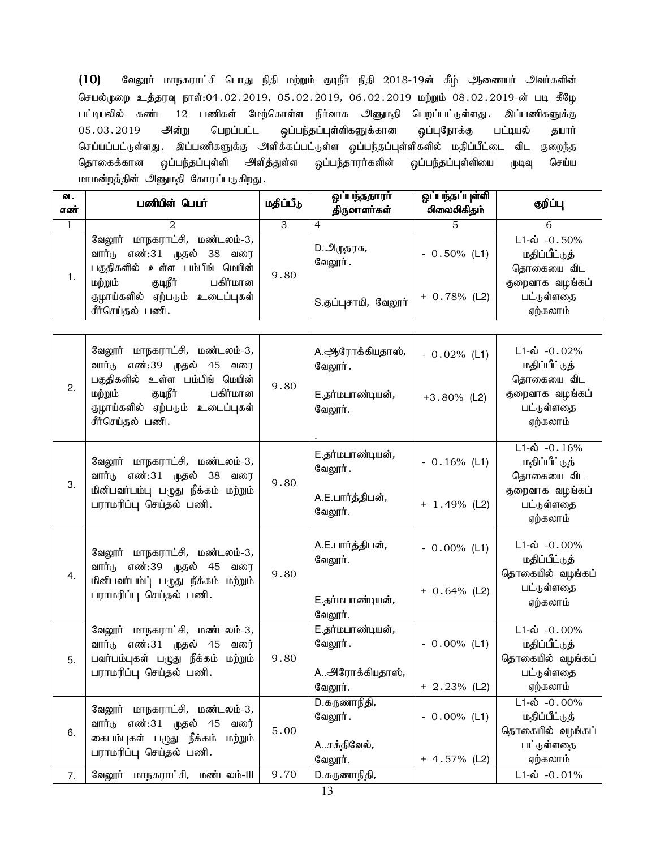$(10)$  கேலூர் மாநகராட்சி பொது நிதி மற்றும் குடிநீர் நிதி 2018-19ன் கீழ் ஆணையர் அவர்களின் செயல்முறை உத்தரவு நாள்:04.02.2019, 05.02.2019, 06.02.2019 மற்றும் 08.02.2019-ன் படி கீழே பட்டியலில் கண்ட 12 பணிகள் மேற்கொள்ள நிர்வாக அனுமதி பெறப்பட்டுள்ளது. இப்பணிகளுக்கு 05.03.2019 அன்று பெறப்பட்ட ஒப்பந்தப்புள்ளிகளுக்கான ஒப்புநோக்கு பட்டியல் தயார் செய்யப்பட்டுள்ளது . இப்பணிகளுக்கு அளிக்கப்பட்டுள்ள ஒப்பந்தப்புள்ளிகளில் மதிப்பீட்டை விட குறைந்த தொகைக்கான ஒப்பந்தப்புள்ளி அளித்துள்ள ஒப்பந்தாரர்களின் ஒப்பந்தப்புள்ளியை முடிவு செய்ய மாமன்றத்தின் அனுமதி கோரப்படுகிறது.

| வ.<br>எண் | பணியின் பெயர்                                                                                          | மதிப்பீடு | ஒப்பந்ததாரா்<br>திருவாளர்கள் | ஒப்பந்தப்புள்ளி<br>விலைவிகிதம் | குறிப்பு                                                    |
|-----------|--------------------------------------------------------------------------------------------------------|-----------|------------------------------|--------------------------------|-------------------------------------------------------------|
|           |                                                                                                        |           | 4                            |                                | 6                                                           |
| 1.        | மாநகராட்சி, மண்டலம்-3,<br>வேலூர்<br>எண்:31 முதல் 38<br>வார்டு<br>வரை<br>பகுதிகளில் உள்ள பம்பிங் மெயின் | 9.80      | D.அழுதரசு,<br>வேலூர் .       | $-0.50\%$ (L1)                 | $L1 - \dot{\omega} - 0.50\%$<br>மதிப்பீட்டுத்<br>தொகையை விட |
|           | குடிநீர்<br>ம்ற்றும்<br>பகிர்மான<br>குழாய்களில் ஏற்படும்<br>உடைப்புகள்<br>சீர்செய்தல் பணி.             |           | S.குப்புசாமி, வேலூர்         | $+ 0.78\%$ (L2)                | குறைவாக வழங்கப்<br>பட்டுள்ளதை<br>ஏற்கலாம்                   |

| 2. | வேலூர் மாநகராட்சி, மண்டலம்-3,<br>வார்டு எண்:39 முதல் 45 வரை<br>பகுதிகளில் உள்ள பம்பிங் மெயின்<br>குடிநீர்<br>பகிர்மான<br>மற்றும்<br>குழாய்களில் ஏற்படும் உடைப்புகள்<br>சீர்செய்தல் பணி. | 9.80         | A. ஆரோக்கியதாஸ்,<br>வேலூர்.<br>E.தர்மபாண்டியன்,<br>வேலூர். | $-0.02%$ (L1)<br>$+3.80\%$ (L2)   | $L1-\dot{\omega}$ -0.02%<br>மதிப்பீட்டுத்<br>தொகையை விட<br>குறைவாக வழங்கப்<br>பட்டுள்ளதை<br>ஏற்கலாம்                  |
|----|-----------------------------------------------------------------------------------------------------------------------------------------------------------------------------------------|--------------|------------------------------------------------------------|-----------------------------------|-----------------------------------------------------------------------------------------------------------------------|
| 3. | வேலூர் மாநகராட்சி, மண்டலம்-3,<br>வார்டு எண்:31 முதல் 38<br>வரை<br>மினிபவர்பம்பு பழுது நீக்கம் மற்றும்<br>பராமரிப்பு செய்தல் பணி.                                                        | 9.80         | E.தர்மபாண்டியன்,<br>வேலூர்.<br>A.E.பார்த்திபன்,<br>வேலூர். | $-0.16\%$ (L1)<br>$+ 1.49%$ (L2)  | $L1-\dot{\omega}$ - $0.16\%$<br>மதிப்பீட்டுத்<br>தொகையை விட<br>குறைவாக வழங்கப்<br>பட்டுள்ளதை<br>ஏற்கலாம்              |
| 4. | வேலூர் மாநகராட்சி, மண்டலம்-3,<br>வார்டு எண்:39 முதல் 45 வரை<br>மினிபவர்பம்ப் பழுது நீக்கம் மற்றும்<br>பராமரிப்பு செய்தல் பணி.                                                           | 9.80         | A.E.பார்த்திபன்,<br>வேலூர்.<br>E.தர்மபாண்டியன்,<br>வேலூர். | $-0.00\%$ (L1)<br>$+ 0.64\%$ (L2) | $L1-\dot{\omega}$ -0.00%<br>மதிப்பீட்டுத்<br>தொகையில் வழங்கப்<br>பட்டுள்ளதை<br>ஏற்கலாம்                               |
| 5. | வேலூர் மாநகராட்சி, மண்டலம்-3,<br>வார்டு எண்:31 முதல் 45<br>வரை்<br>பவர்பம்புகள் பழுது நீக்கம் மற்றும்<br>பராமரிப்பு செய்தல் பணி.                                                        | 9.80         | E.தர்மபாண்டியன்,<br>வேலூர்.<br>Aஅரோக்கியதாஸ்,<br>வேலூர்.   | $-0.00\%$ (L1)<br>$+ 2.23\%$ (L2) | $L1-\dot{\omega}$ -0.00%<br>மதிப்பீட்டுத்<br>தொகையில் வழங்கப்<br>பட்டுள்ளதை<br>ஏற்கலாம்                               |
| 6. | வேலூர் மாநகராட்சி, மண்டலம்-3,<br>வார்டு எண்:31 முதல் 45<br>வரை்<br>கைபம்புகள் பழுது நீக்கம்<br>மற்றும்<br>பராமரிப்பு செய்தல் பணி.<br>வேலூர் மாநகராட்சி, மண்டலம்-III                     | 5.00<br>9.70 | D.கருணாநிதி,<br>வேலூர்.<br>Aசக்திவேல்,<br>வேலூர்.          | $-0.00\%$ (L1)<br>$+ 4.57\%$ (L2) | $L1-\dot{\omega}$ -0.00%<br>மதிப்பீட்டுத்<br>தொகையில் வழங்கப்<br>பட்டுள்ளதை<br>ஏற்கலாம்<br>$L1-\dot{\omega} - 0.01\%$ |
| 7. |                                                                                                                                                                                         |              | D.கருணாநிதி,                                               |                                   |                                                                                                                       |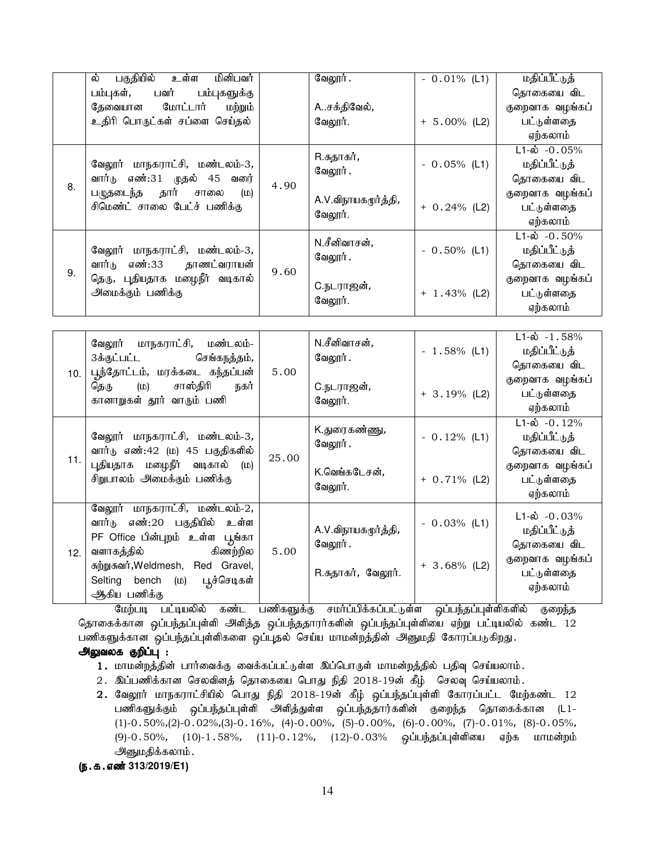|    | உள்ள<br>பகுதியில்<br>மினிபவர்<br>ல்                                                                                                  |      | வேலூர்.                        | $-0.01\%$ (L1)  | மதிப்பீட்டுத்            |
|----|--------------------------------------------------------------------------------------------------------------------------------------|------|--------------------------------|-----------------|--------------------------|
|    | பவர்<br>பம்புகளுக்கு<br>பம்புகள்,                                                                                                    |      |                                |                 | தொகையை விட               |
|    | தேவையான மோட்டார்<br>மற்றும்                                                                                                          |      | Aசக்திவேல்,                    |                 | குறைவாக வழங்கப்          |
|    | உதிரி பொருட்கள் சப்ளை செய்தல்                                                                                                        |      | வேலூர்.                        | $+ 5.00\%$ (L2) | பட்டுள்ளதை               |
|    |                                                                                                                                      |      |                                |                 | ஏற்கலாம்                 |
|    |                                                                                                                                      |      | R.சுதாகர் <i>,</i>             |                 | $L1-\dot{\omega}$ -0.05% |
| 8. | வேலூர் மாநகராட்சி, மண்டலம்-3,<br>வார்டு எண்:31 முதல் 45 வரை<br>பழுதடைந்த தார் சாலை<br>$(\mathsf{m})$<br>சிமெண்ட் சாலை பேட்ச் பணிக்கு | 4.90 | வேலூர்.                        | $-0.05\%$ (L1)  | மதிப்பீட்டுத்            |
|    |                                                                                                                                      |      |                                |                 | தொகையை விட               |
|    |                                                                                                                                      |      | A.V.விநாயகமூர்த்தி,<br>வேலூர். | $+ 0.24\%$ (L2) | குறைவாக வழங்கப்          |
|    |                                                                                                                                      |      |                                |                 | பட்டுள்ளதை               |
|    |                                                                                                                                      |      |                                |                 | ஏற்கலாம்                 |
|    |                                                                                                                                      |      | N.சீனிவாசன்,                   |                 | $L1-\dot{\omega}$ -0.50% |
|    | வேலூர் மாநகராட்சி, மண்டலம்-3,                                                                                                        |      |                                | $-0.50\%$ (L1)  | மதிப்பீட்டுத்            |
| 9. | எண்:33 தாணட்வராயன்<br>வார்டு                                                                                                         | 9.60 | வேலூர்.                        |                 | தொகையை விட               |
|    | தெரு, புதியதாக மழைநீர் வடிகால்<br>அமைக்கும் பணிக்கு                                                                                  |      | C.நடராஜன் <i>,</i><br>வேலூர்.  |                 | குறைவாக வழங்கப்          |
|    |                                                                                                                                      |      |                                | $+ 1.43\%$ (L2) | பட்டுள்ளதை               |
|    |                                                                                                                                      |      |                                |                 | ஏற்கலாம்                 |

| 10. | வேலூர் மாநகராட்சி, மண்டலம்-<br>3க்குட்பட்ட செங்கநத்தம்,<br>பூந்தோட்டம், மரக்கடை கந்தப்பன்                   | 5.00  | N.சீனிவாசன்,<br>வேலூர் .         | $-1.58\%$ (L1)  | $L1-\dot{\omega} - 1.58\%$<br>மதிப்பீட்டுத்<br>தொகையை விட |
|-----|-------------------------------------------------------------------------------------------------------------|-------|----------------------------------|-----------------|-----------------------------------------------------------|
|     | சா <b>ஸ்தி</b> ரி<br>தெரு (ம)<br>நகர்<br>கானாறுகள் தூர் வாரும் பணி                                          |       | C.நடராஜன்,<br>வேலூர்.            | $+3.19\%$ (L2)  | குறைவாக வழங்கப்<br>பட்டுள்ளதை<br>ஏற்கலாம்                 |
|     | வேலூர் மாநகராட்சி, மண்டலம்-3,<br>வார்டு எண்:42 (ம) 45 பகுதிகளில்                                            | 25.00 | K.துரைகண்ணு <i>,</i><br>வேலூர் . | $-0.12%$ (L1)   | $L1-\dot{\omega}$ -0.12%<br>மதிப்பீட்டுத்<br>தொகையை விட   |
| 11. | புதியதாக மழைநீர் வடிகால் (ம)<br>சிறுபாலம் அமைக்கும் பணிக்கு                                                 |       | K.வெங்கடேசன்,<br>வேலூர்.         | $+ 0.71\%$ (L2) | குறைவாக வழங்கப்<br>பட்டுள்ளதை<br>ஏற்கலாம்                 |
|     | வேலூர் மாநகராட்சி, மண்டலம்-2,<br>வார்டு எண்:20 பகுதியில் உள்ள<br>PF Office பின்புறம் உள்ள பூங்கா            |       | A.V.விநாயகமூர்த்தி,<br>வேலூர் .  | $-0.03%$ (L1)   | $L1-\dot{\omega}$ -0.03%<br>மதிப்பீட்டுத்<br>தொகையை விட   |
| 12. | வளாகத்தில் கிணற்றில<br>சுற்றுசுவர், Weldmesh, Red Gravel,<br>Selting bench (ம) பூச்செடிகள்<br>ஆிகிய பணிக்கு | 5.00  | R.சுதாகர், வேலூர்.               | $+ 3.68\%$ (L2) | குறைவாக வழங்கப்<br>பட்டுள்ளதை<br>ஏற்கலாம்                 |

மேற்படி பட்டியலில் கண்ட பணிகளுக்கு சமா்ப்பிக்கப்பட்டுள்ள ஒப்பந்தப்புள்ளிகளில் குறைந்த தொகைக்கான ஒப்பந்தப்புள்ளி அளித்த ஒப்பந்ததாரர்களின் ஒப்பந்தப்புள்ளியை ஏற்று பட்டியலில் கண்ட 12 பணிகளுக்கான ஒப்பந்தப்புள்ளிகளை ஒப்புதல் செய்ய மாமன்றத்தின் அனுமதி கோரப்படுகிறது.

## அலுவலக குறிப்பு :

- 1. மாமன்றத்தின் பார்வைக்கு வைக்கப்பட்டுள்ள இப்பொருள் மாமன்றத்தில் பதிவு செய்யலாம்.
- 2. இப்பணிக்கான செலவினத் தொகையை பொது நிதி 2018-19ன் கீழ் செலவு செய்யலாம்.
- $2.$  வேலூர் மாநகராட்சியில் பொது நிதி 2018-19ன் கீழ் ஒப்பந்தப்புள்ளி கோரப்பட்ட மேற்கண்ட 12 பணிகளுக்கும் ஒப்பந்தப்புள்ளி அளித்துள்ள ஒப்பந்ததார்களின் குறைந்த தொகைக்கான (L1-(1)-0.50%,(2)-0.02%,(3)-0.16%, (4)-0.00%, (5)-0.00%, (6)-0.00%, (7)-0.01%, (8)-0.05%, (9)-0.50%, (10)-1.58%, (11)-0.12%, (12)-0.03% ஒப்பந்தப்புள்ளியை ஏற்க மாமன்றம் அனுமதிக்கலாம்.

(ந.க.எண் 313/2019/E1)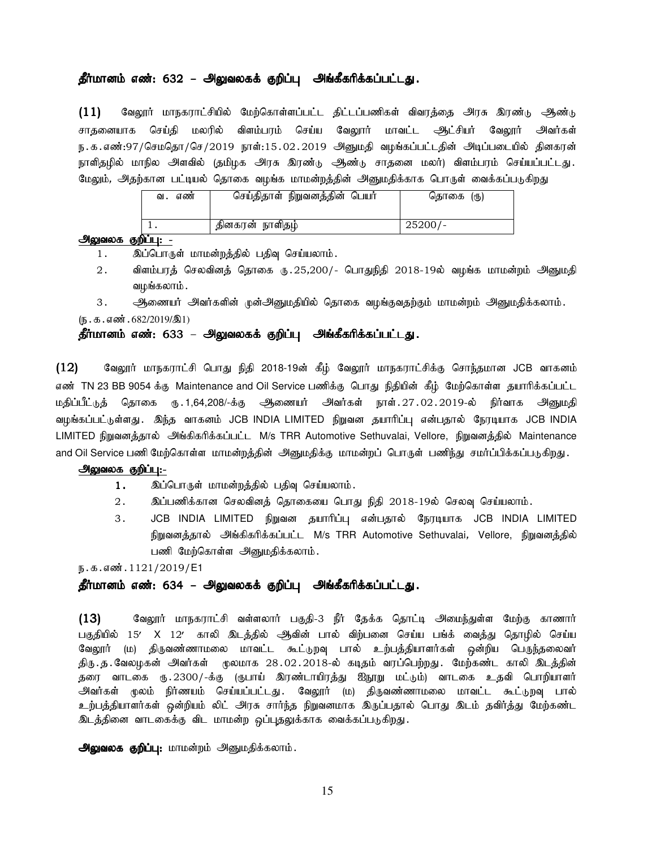### தீர்மானம் எண்: 632 – அலுவலகக் குறிப்பு அங்கீகரிக்கப்பட்டது.

(11) வேலூர் மாநகராட்சியில் மேற்கொள்ளப்பட்ட திட்டப்பணிகள் விவரத்தை அரசு இரண்டு ஆண்டு சாதனையாக செய்தி மலரில் விளம்பரம் செய்ய வேலூர் மாவட்ட <del>ஆ</del>ட்சியர் வேலூர் அவர்கள் ந.க.எண்:97/செமதொ/செ/2019 நாள்:15.02.2019 அனுமதி வழங்கப்பட்டதின் அடிப்படையில் தினகரன் நாளிதழில் மாநில அளவில் (தமிழக அரசு இரண்டு ஆண்டு சாதனை மலர்) விளம்பரம் செய்யப்பட்டது. மேலும், அதற்கான பட்டியல் தொகை வழங்க மாமன்றத்தின் அனுமதிக்காக பொருள் வைக்கப்படுகிறது

| எண<br>வ. | செய்திதாள் நிறுவனத்தின் பெயர் | தொகை (ரு) |
|----------|-------------------------------|-----------|
|          | தினகரன் நாளிதழ்               | $25200/-$ |

### <u>அலுவலக குறிப்பு: -</u>

- 1. இப்பொருள் மாமன்றத்தில் பதிவு செய்யலாம்.
- 2. விளம்பரத் செலவினத் தொகை ரு. 25,200/- பொதுநிதி 2018-19ல் வழங்க மாமன்றம் அனுமதி வமங்கலாம்.

3. அணையர் அவர்களின் முன்அனுமதியில் தொகை வழங்குவதற்கும் மாமன்றம் அனுமதிக்கலாம்.  $(\mathbb{F} \cdot \mathbb{F} \cdot \mathbb{F} \cdot \mathbb{F} \cdot \mathbb{F} \cdot \mathbb{F} \cdot \mathbb{F} \cdot \mathbb{F} \cdot \mathbb{F} \cdot \mathbb{F} \cdot \mathbb{F} \cdot \mathbb{F} \cdot \mathbb{F} \cdot \mathbb{F} \cdot \mathbb{F} \cdot \mathbb{F} \cdot \mathbb{F} \cdot \mathbb{F} \cdot \mathbb{F} \cdot \mathbb{F} \cdot \mathbb{F} \cdot \mathbb{F} \cdot \mathbb{F} \cdot \mathbb{F} \cdot \mathbb{F} \cdot \mathbb{F} \cdot \mathbb{F} \cdot \mathbb$ 

### தீர்மானம் எண்: 633 – அலுவலகக் குறிப்பு அங்கீகரிக்கப்பட்டது.

 $(12)$  Baலூர் மாநகராட்சி பொது நிதி 2018-19ன் கீழ் வேலூர் மாநகராட்சிக்கு சொந்தமான JCB வாகனம் எண் TN 23 BB 9054 க்கு Maintenance and Oil Service பணிக்கு பொது நிதியின் கீம் மேற்கொள்ள தயாரிக்கப்பட்ட மதிப்பீட்டுத் தொகை ரு.1,64,208/-க்கு ஆணையர் அவர்கள் நாள்.27.02.2019-ல் நிர்வாக அனுமதி வழங்கப்பட்டுள்ளது . இந்த வாகனம் JCB INDIA LIMITED நிறுவன தயாரிப்பு என்பதால் நேரடியாக JCB INDIA LIMITED நிறுவனத்தால் அங்கிகரிக்கப்பட்ட M/s TRR Automotive Sethuvalai, Vellore, நிறுவனத்தில் Maintenance and Oil Service பணி மேற்கொள்ள மாமன்றத்தின் அனுமதிக்கு மாமன்றப் பொருள் பணிந்து சமர்ப்பிக்கப்படுகிறது .

#### அலுவலக குறிப்பு:-

- 1. இப்பொருள் மாமன்றத்தில் பதிவு செய்யலாம்.
- $2.$   $\qquad$  இப்பணிக்கான செலவினத் தொகையை பொது நிதி 2018-19ல் செலவு செய்யலாம்.
- 3. JCB INDIA LIMITED நிறுவன தயாரிப்பு என்பதால் நேரடியாக JCB INDIA LIMITED நிறுவனத்தால் அங்கிகரிக்கப்பட்ட M/s TRR Automotive Sethuvalai, Vellore, நிறுவனத்தில் பணி மேற்கொள்ள அனுமதிக்கலாம்.

ந.க.எண்.1121/2019/E1

### தீர்மானம் எண்: 634 – அலுவலகக் குறிப்பு அங்கீகரிக்கப்பட்டது.

(13) கெலூர் மாநகராட்சி வள்ளலார் பகுதி-3 நீர் தேக்க தொட்டி அமைந்துள்ள மேற்கு காணார் பகுதியில் 15′ X 12′ காலி இடத்தில் ஆிவின் பால் விற்பனை செய்ய பங்க் வைத்து தொழில் செய்ய வேலூர் (ம) திருவண்ணாமலை மாவட்ட கூட்டுறவு பால் உற்பத்தியாளர்கள் ஒன்றிய பெருந்தலைவர் திரு.த.வேலழகன் அவர்கள் முலமாக 28.02.2018-ல் கடிதம் வரப்பெற்றது. மேற்கண்ட காலி இடத்தின் தரை வாடகை ரு.2300/-க்கு (ருபாய் இரண்டாயிரத்து ஐநூறு மட்டும்) வாடகை உதவி பொறியாளர் அவர்கள் முலம் நிர்ணயம் செய்யப்பட்டது. வேலூர் (ம) திருவண்ணாமலை மாவட்ட கூட்டுறவு பால் உற்பத்தியாளர்கள் ஒன்றியம் லிட் அரசு சார்ந்த நிறுவனமாக இருப்பதால் பொது இடம் தவிர்த்து மேற்கண்ட இடத்தினை வாடகைக்கு விட மாமன்ற ஒப்புதலுக்காக வைக்கப்படுகிறது.

அலுவலக குறிப்பு: மாமன்றம் அனுமதிக்கலாம்.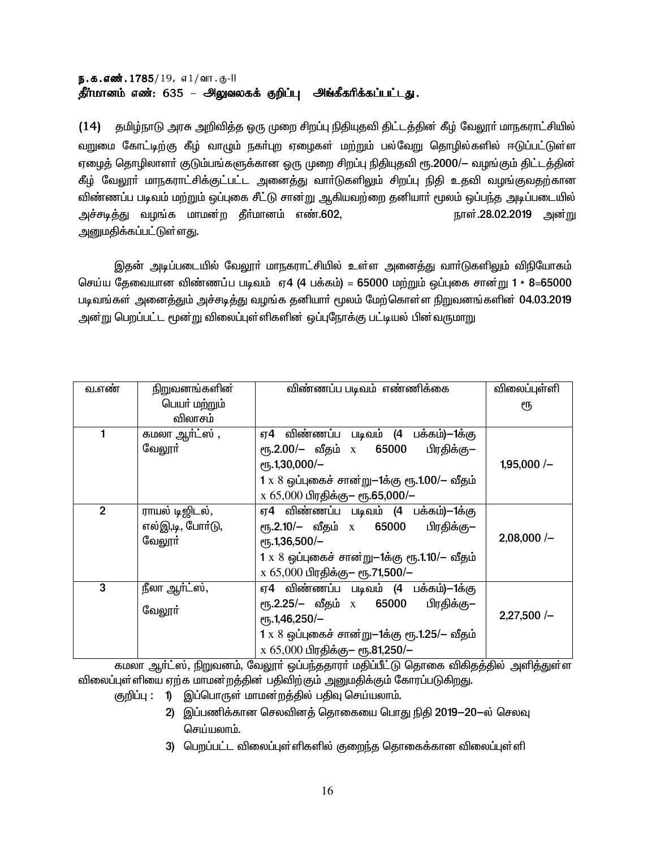# ந.க.எண்.1785/19, எ1/வா.கு-II தீர்மானம் எண்: 635 – அலுவலகக் குறிப்பு அங்கீகரிக்கப்பட்டது.

(14) தமிழ்நாடு அரசு அறிவித்த ஒரு முறை சிறப்பு நிதியுதவி திட்டத்தின் கீழ் வேலூர் மாநகராட்சியில் வறுமை கோட்டிற்கு கீழ் வாழும் நகர்புற ஏழைகள் மற்றும் பல்வேறு தொழில்களில் ஈடுப்பட்டுள்ள ஏழைத் தொழிலாளா் குடும்பங்களுக்கான ஒரு முறை சிறப்பு நிதியுதவி ரூ.2000/— வழங்கும் திட்டத்தின் கீழ் வேலூா் மாநகராட்சிக்குட்பட்ட அனைத்து வாா்டுகளிலும் சிறப்பு நிதி உதவி வழங்குவதற்கான விண்ணப்ப படிவம் மற்றும் ஒப்புகை சீட்டு சான்று ஆகியவற்றை தனியாா் மூலம் ஒப்பந்த அடிப்படையில் அச்சடித்து வழங்க மாமன்ற தீா்மானம் எண்.602, நாள்.28.02.2019 அன்று <u>அனுமதிக்கப்பட்டுள்ளது.</u>

இதன் அடிப்படையில் வேலூா் மாநகராட்சியில் உள்ள அனைத்து வாா்டுகளிலும் விநியோகம் செய்ய தேவையான விண்ணப்ப படிவம் ஏ4 (4 பக்கம்) = 65000 மற்றும் ஒப்புகை சான்று 1 \* 8=65000 படிவங்கள் அனைத்தும் அச்சடித்து வழங்க தனியார் மூலம் மேற்கொள்ள நிறுவனங்களின் 04.03.2019 அன்று பெறப்பட்ட மூன்று விலைப்புள்ளிகளின் ஒப்புநோக்கு பட்டியல் பின்வருமாறு

| வ.எண்          | நிறுவனங்களின்               | விண்ணப்ப படிவம் எண்ணிக்கை                           | விலைப்புள்ளி |
|----------------|-----------------------------|-----------------------------------------------------|--------------|
|                | பெயா் மற்றும்               |                                                     | ரூ           |
|                | விலாசம்                     |                                                     |              |
| 1              | கமலா ஆர்ட்ஸ $\overline{,}$  | ஏ4 விண்ணப்ப படிவம் (4 பக்கம்)—1க்கு                 |              |
|                | வேலூா்                      | ரூ.2.00/– வீதம் x 65000 பிரதிக்கு–                  |              |
|                |                             | $e$ гҕ.1,30,000/-                                   | $1,95,000/-$ |
|                |                             | 1 x 8 ஒப்புகைச் சான்று-1க்கு ரூ.1.00/- வீதம்        |              |
|                |                             | $x 65,000$ பிரதிக்கு– ரூ.65,000/–                   |              |
| $\overline{2}$ | ராயல் டிஜிடல்,              | ஏ4 விண்ணப்ப படிவம் (4 பக்கம்)—1க்கு                 |              |
|                | எல்இ,டி, போர்டு,            | பிரதிக்கு—<br>ரூ.2.10/– வீதம் x 65000               |              |
|                | வேலூா்                      | $\rm{e}$ гђ. 1,36,500/-                             | $2,08,000/-$ |
|                |                             | $1 \times 8$ ஒப்புகைச் சான்று-1க்கு ரூ.1.10/- வீதம் |              |
|                |                             | x 65,000 பிரதிக்கு– ரூ.71,500/–                     |              |
| 3              | நீலா ஆ <mark>ர்ட்ஸ்,</mark> | ஏ4 விண்ணப்ப படிவம் (4 பக்கம்)—1க்கு                 |              |
|                | வேலூா்                      | ரூ.2.25/– வீதம் x 65000 பிரதிக்கு–                  |              |
|                |                             | $e$ гђ. 1,46,250/-                                  | $2,27,500/-$ |
|                |                             | 1 x 8 ஒப்புகைச் சான்று-1க்கு ரூ.1.25/- வீதம்        |              |
|                |                             | x 65,000 பிரதிக்கு- ரூ.81,250/-                     |              |

கமலா ஆர்ட்ஸ், நிறுவனம், வேலூர் ஒப்பந்ததாரர் மதிப்பீட்டு தொகை விகிதத்தில் அளித்துள்ள விலைப்புள்ளியை ஏற்க மாமன்றத்தின் பதிவிற்கும் அனுமதிக்கும் கோரப்படுகிறது.

- குறிப்பு : 1) இப்பொருள் மாமன்றத்தில் பதிவ செய்யலாம்.
	- 2) இப்பணிக்கான செலவினத் தொகையை பொது நிதி 2019—20—ல் செலவு செய்யலாம்.
	- 3) பெறப்பட்ட விலைப்புள்ளிகளில் குறைந்த தொகைக்கான விலைப்புள்ளி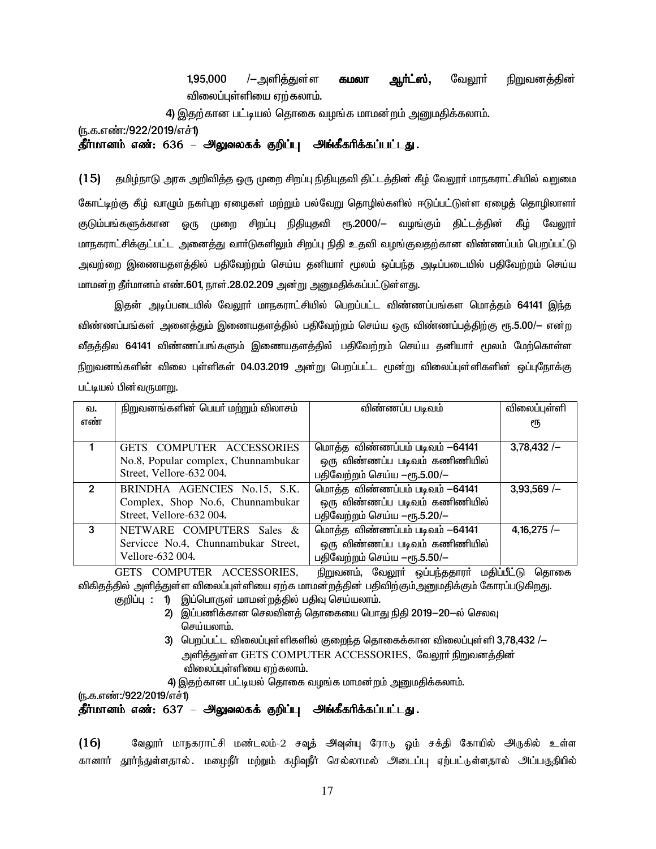1.95.000 /—அளிக்குள்ள வேலாா் நிறுவனக்கின் கமலா ஆர்ட்ஸ், விலைப்பள்ளியை எற்கலாம்.

4) இதற்கான பட்டியல் தொகை வழங்க மாமன்றம் அனுமதிக்கலாம்.

<u>(ந</u>.க.எண்:/922/2019/எச்1)

தீர்மானம் எண்: 636 – அலுவலகக் குறிப்பு அங்கீகரிக்கப்பட்டது.

 $(15)$ தமிழ்நாடு அரசு அறிவித்த ஒரு முறை சிறப்பு நிதியுதவி திட்டத்தின் கீழ் வேலூர் மாநகராட்சியில் வறுமை கோட்டிற்கு கீழ் வாமும் நகர்புற ஏழைகள் மற்றும் பல்வேறு தொழில்களில் ஈடுப்பட்டுள்ள ஏழைத் தொழிலாளர் குடும்பங்களுக்கான ஒரு முறை சிறப்பு நிதியுதவி ரூ.2000/— வமங்கும் கிட்டக்கின் கீம் வேலூர் மாநகராட்சிக்குட்பட்ட அனைத்து வார்டுகளிலும் சிறப்பு நிதி உதவி வழங்குவதற்கான விண்ணப்பம் பெறப்பட்டு அவற்றை இணையதளத்தில் பதிவேற்றம் செய்ய தனியாா் மூலம் ஒப்பந்த அடிப்படையில் பதிவேற்றம் செய்ய மாமன்ற தீர்மானம் எண்.601, நாள்.28.02.209 அன்று அனுமதிக்கப்பட்டுள்ளது.

இதன் அடிப்படையில் வேலூா் மாநகராட்சியில் பெறப்பட்ட விண்ணப்பங்கள மொத்தம் 64141 இந்த விண்ணப்பங்கள் அனைத்தும் இணையதளத்தில் பதிவேற்றம் செய்ய ஒரு விண்ணப்பத்திற்கு ரூ.5.00/— என்ற வீதத்தில 64141 விண்ணப்பங்களும் இணையதளத்தில் பதிவேற்றம் செய்ய தனியாா் மூலம் மேற்கொள்ள நிறுவனங்களின் விலை புள்ளிகள் 04.03.2019 அன்று பெறப்பட்ட மூன்று விலைப்புள்ளிகளின் ஒப்புநோக்கு பட்டியல் பின்வருமாறு.

| வ.             | நிறுவனங்களின் பெயர் மற்றும் விலாசம் | விண்ணப்ப படிவம்                | விலைப்புள்ளி |
|----------------|-------------------------------------|--------------------------------|--------------|
| எண்            |                                     |                                | €Ҧ           |
|                |                                     |                                |              |
|                | GETS COMPUTER ACCESSORIES           | மொத்த விண்ணப்பம் படிவம் -64141 | $3,78,432/-$ |
|                | No.8, Popular complex, Chunnambukar | ஒரு விண்ணப்ப படிவம் கணிணியில்  |              |
|                | Street, Vellore-632 004.            | பதிவேற்றம் செய்ய -ரூ.5.00/-    |              |
| $\overline{2}$ | BRINDHA AGENCIES No.15, S.K.        | மொத்த விண்ணப்பம் படிவம் -64141 | $3,93,569/-$ |
|                | Complex, Shop No.6, Chunnambukar    | ஒரு விண்ணப்ப படிவம் கணிணியில்  |              |
|                | Street, Vellore-632 004.            | பதிவேற்றம் செய்ய -ரூ.5.20/-    |              |
| 3              | NETWARE COMPUTERS Sales &           | மொத்த விண்ணப்பம் படிவம் -64141 | $4,16,275/-$ |
|                | Servicce No.4, Chunnambukar Street, | ஒரு விண்ணப்ப படிவம் கணிணியில்  |              |
|                | Vellore-632 004.                    | பதிவேற்றம் செய்ய -ரூ.5.50/-    |              |

GETS COMPUTER ACCESSORIES, நிறுவனம், வேலூா் ஒப்பந்ததாரா் மதிப்பீட்டு தொகை விகிதத்தில் அளித்துள்ள விலைப்புள்ளியை ஏற்க மாமன்றத்தின் பதிவிற்கும்அனுமதிக்கும் கோரப்படுகிறது.

- குறிப்பு: 1) இப்பொருள் மாமன்றத்தில் பதிவு செய்யலாம்.
	- 2) இப்பணிக்கான செலவினத் தொகையை பொது நிதி 2019—20—ல் செலவு செய்யலாம்.
		- 3) பெறப்பட்ட விலைப்புள்ளிகளில் குறைந்த தொகைக்கான விலைப்புள்ளி 3,78,432 /-அளித்துள்ள GETS COMPUTER ACCESSORIES, வேலூர் நிறுவனத்தின் விலைப்புள்ளியை ஏற்கலாம்.

4) இதற்கான பட்டியல் தொகை வழங்க மாமன்றம் அனுமதிக்கலாம்.

(ந.க.எண்:/922/2019/எச்1)

தீர்மானம் எண்: 637 – அலுவலகக் குறிப்பு அங்கீகரிக்கப்பட்டது.

 $(16)$ வேலூர் மாநகராட்சி மண்டலம்-2 சவுத் அவுன்யு ரோடு ஓம் சக்தி கோயில் அருகில் உள்ள கானார் தூர்ந்துள்ளதால். மழைநீர் மற்றும் கழிவுநீர் செல்லாமல் அடைப்பு ஏற்பட்டுள்ளதால் அப்பகுதியில்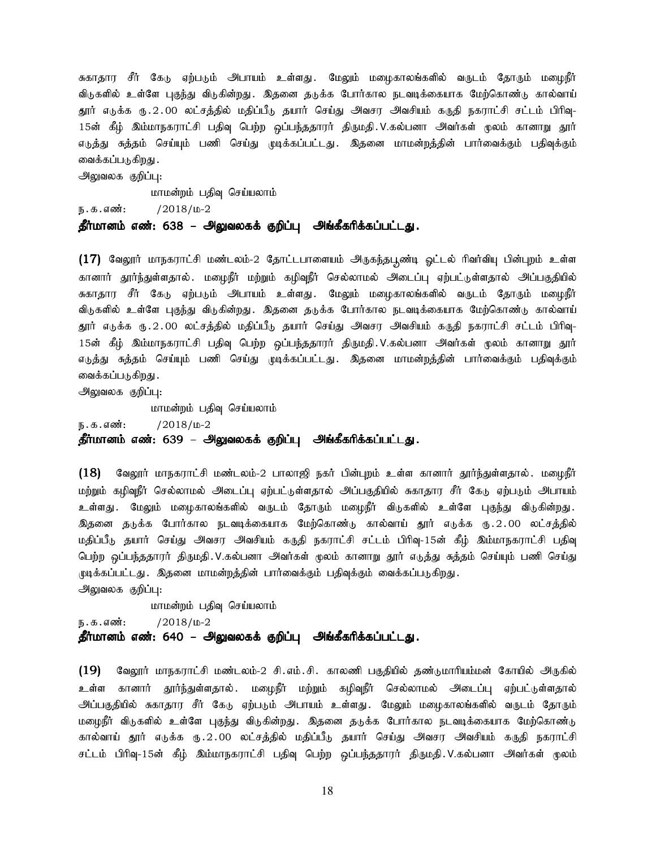சுகாதார சீர் கேடு ஏற்படும் அபாயம் உள்ளது. மேலும் மமைகாலங்களில் வருடம் கோரும் மமைநீர் விடுகளில் உள்ளே புகுந்து விடுகின்றது. இதனை தடுக்க போர்கால நடவடிக்கையாக மேற்கொண்டு கால்வாய் தூர் எடுக்க ரு.2.00 லட்சத்தில் மதிப்பீடு தயார் செய்து அவசர அவசியம் கருதி நகராட்சி சட்டம் பிரிவு-15ன் கீழ் இம்மாநகராட்சி பதிவு பெற்ற ஒப்பந்ததாரர் திருமதி.V.கல்பனா அவர்கள் முலம் கானாறு தூர் எடுத்து சுத்தம் செய்யும் பணி செய்து முடிக்கப்பட்டது. இதனை மாமன்றத்தின் பார்வைக்கும் பதிவுக்கும் வைக்கப்படுகிறது .

அலுவலக குறிப்பு:

மாமன்றம் பதிவு செய்யலாம்

 $/2018/\mu - 2$ ந. க. எண்:

### தீர்மானம் எண்: 638 – அலுவலகக் குறிப்பு அங்கீகரிக்கப்பட்டது.

(17) வேலூர் மாநகராட்சி மண்டலம்-2 தோட்டபாளையம் அருகந்தபூண்டி ஓட்டல் ரிவர்வியு பின்புறம் உள்ள கானார் தூர்ந்துள்ளதால் .மழைநீர் மற்றும் கழிவுநீர் செல்லாமல் அடைப்பு ஏற்பட்டுள்ளதால் அப்பகுதியில் சுகாதார சீர் கேடு ஏற்படும் அபாயம் உள்ளது. மேலும் மழைகாலங்களில் வருடம் தோரும் மழைநீர் விடுகளில் உள்ளே புகுந்து விடுகின்றது. இதனை தடுக்க போர்கால நடவடிக்கையாக மேற்கொண்டு கால்வாய் தூர் எடுக்க ரு.2.00 லட்சத்தில் மதிப்பீடு தயார் செய்து அவசர அவசியம் கருதி நகராட்சி சட்டம் பிரிவு-15ன் கீழ் இம்மாநகராட்சி பதிவு பெற்ற ஒப்பந்ததாரர் திருமதி V.கல்பனா அவர்கள் முலம் கானாறு தூர் எடுத்து சுத்தம் செய்யும் பணி செய்து முடிக்கப்பட்டது. இதனை மாமன்றத்தின் பார்வைக்கும் பதிவுக்கும் வைக்கப்படுகிறது .

அலுவலக குறிப்பு:

மாமன்றம் பதிவு செய்யலாம்

 $/2018/\mu-2$ ந. க. எண்:

தீர்மானம் எண்: 639 – அலுவலகக் குறிப்பு அங்கீகரிக்கப்பட்டது.

வேலூர் மாநகராட்சி மண்டலம்-2 பாலாஜி நகர் பின்புறம் உள்ள கானார் தூர்ந்துள்ளதால் .மழைநீர்  $(18)$ மற்றும் கழிவுநீர் செல்லாமல் அடைப்பு ஏற்பட்டுள்ளதால் அப்பகுதியில் சுகாதார சீர் கேடு ஏற்படும் அபாயம் உள்ளது .மேலும் மழைகாலங்களில் வருடம் தோரும் மழைநீர் விடுகளில் உள்ளே புகுந்து விடுகின்றது. இதனை தடுக்க போர்கால நடவடிக்கையாக மேற்கொண்டு கால்வாய் தூர் எடுக்க ரு.2.00 லட்சத்தில் மதிப்பீடு தயார் செய்து அவசர அவசியம் கருதி நகராட்சி சட்டம் பிரிவு-15ன் கீழ் இம்மாநகராட்சி பதிவு பெற்ற ஒப்பந்ததாரர் திருமதி. V.கல்பனா அவர்கள் முலம் கானாறு தூர் எடுத்து சுத்தம் செய்யும் பணி செய்து முடிக்கப்பட்டது . இதனை மாமன்றத்தின் பார்வைக்கும் பதிவுக்கும் வைக்கப்படுகிறது .

அலுவலக குறிப்பு:

மாமன்றம் பதிவு செய்யலாம்

ந. க. எண்:  $/2018/\mu - 2$ 

### தீர்மானம் எண்: 640 – அலுவலகக் குறிப்பு அங்கீகரிக்கப்பட்டது.

 $(19)$ வேலூர் மாநகராட்சி மண்டலம்-2 சி.எம்.சி. காலணி பகுதியில் தண்டுமாரியம்மன் கோயில் அருகில் உள்ள கானார் தூர்ந்துள்ளதால் .மழைநீர் மற்றும் கழிவுநீர் செல்லாமல் அடைப்பு ஏற்பட்டுள்ளதால் அப்பகுதியில் சுகாதார சீர் கேடு ஏற்படும் அபாயம் உள்ளது. மேலும் மழைகாலங்களில் வருடம் தோரும் மழைநீர் விடுகளில் உள்ளே புகுந்து விடுகின்றது. இதனை தடுக்க போர்கால நடவடிக்கையாக மேற்கொண்டு கால்வாய் தூர் எடுக்க ரு.2.00 லட்சத்தில் மதிப்பீடு தயார் செய்து அவசர அவசியம் கருதி நகராட்சி சட்டம் பிரிவு-15ன் கீழ் இம்மாநகராட்சி பதிவு பெற்ற ஒப்பந்ததாரர் திருமதி.V.கல்பனா அவர்கள் மூலம்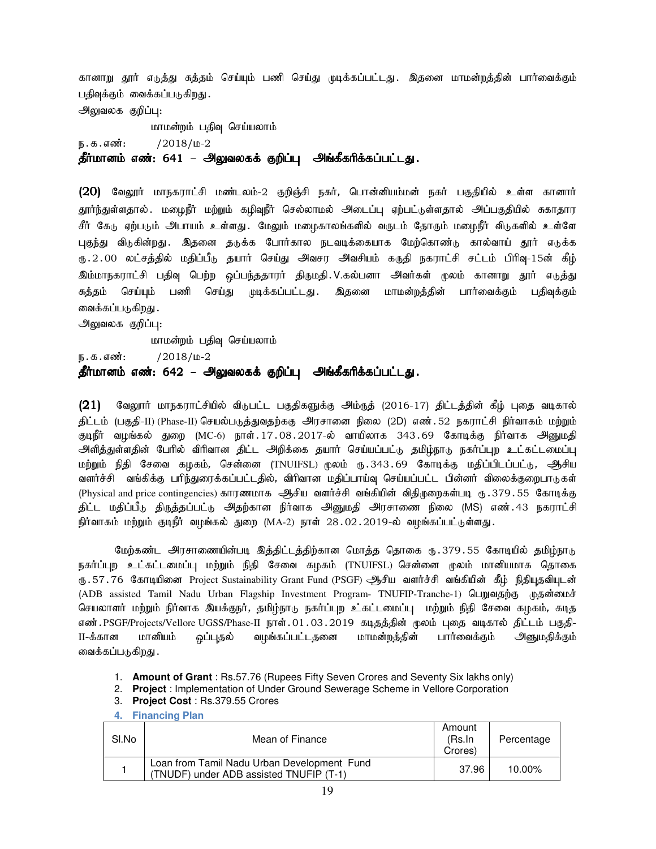கானாறு தூர் எடுத்து சுத்தம் செய்யும் பணி செய்து முடிக்கப்பட்டது. இதனை மாமன்றத்தின் பார்வைக்கும் பதிவுக்கும் வைக்கப்படுகிறது. அலுவலக குறிப்பு: மாமன்றம் பதிவு செய்யலாம் ந.க.எண்: /2018/ம-2 தீர்மானம் எண்: 641 – அலுவலகக் குறிப்பு அங்கீகரிக்கப்பட்டது. (20) வேலூர் மாநகராட்சி மண்டலம்-2 குறிஞ்சி நகர், பொன்னியம்மன் நகர் பகுதியில் உள்ள கானார்

தூர்ந்துள்ளதால் .மழைநீர் மற்றும் கழிவுநீர் செல்லாமல் அடைப்பு ஏற்பட்டுள்ளதால் அப்பகுதியில் சுகாதார சீர் கேரு ஏற்பரும் அபாயம் உள்ளது. மேலும் மமைகாலங்களில் வருடம் கோரும் மமைநீர் விருகளில் உள்ளே புகுந்து விடுகின்றது. இதனை தடுக்க போர்கால நடவடிக்கையாக மேற்கொண்டு கால்வாய் தூர் எடுக்க ரு.2.00 லட்சத்தில் மதிப்பீடு தயார் செய்து அவசர அவசியம் கருதி நகராட்சி சட்டம் பிரிவு-15ன் கீழ் இம்மாநகராட்சி பதிவு பெற்ற ஒப்பந்ததாரர் திருமதி.V.கல்பனா அவர்கள் முலம் கானாறு தூர் எடுத்து சுத்தம் செய்யும் பணி செய்து முடிக்கப்பட்டது. இதனை மாமன்றத்தின் பார்வைக்கும் பதிவுக்கும் வைக்கப்படுகிறது .

அலுவலக குறிப்பு:

மாமன்றம் பதிவு செய்யலாம்

ந.க.எண்: /2018/ம-2

# தீர்மானம் எண்: 642 – அலுவலகக் குறிப்பு அங்கீகரிக்கப்பட்டது.

 $(21)$  வேலூர் மாநகராட்சியில் விடுபட்ட பகுதிகளுக்கு அம்ருத் (2016-17) திட்டத்தின் கீழ் புதை வடிகால் திட்டம் (பகுதி-II) (Phase-II) செயல்படுத்துவதற்ககு அரசானை நிலை (2D) எண். 52 நகராட்சி நிர்வாகம் மற்றும் குடிநீர் வழங்கல் துறை (MC-6) நாள். $17.08.2017$ -ல் வாயிலாக 343.69 கோடிக்கு நிர்வாக அனுமதி அளித்துள்ளதின் பேரில் விரிவான திட்ட அறிக்கை தயார் செய்யப்பட்டு தமிழ்நாடு நகர்ப்புற உட்கட்டமைப்பு மற்றும் நிதி சேவை கழகம், சென்னை (TNUIFSL) மூலம் ரு.343.69 கோடிக்கு மதிப்பிடப்பட்டு, ஆிசிய வளர்ச்சி வங்கிக்கு பரிந்துரைக்கப்பட்டதில், விரிவான மதிப்பாய்வு செய்யப்பட்ட பின்னர் விலைக்குறைபாடுகள் (Physical and price contingencies) காரணமாக ஆசிய வளர்ச்சி வங்கியின் விதிமுறைகள்படி ரு. 379.55 கோடிக்கு திட்ட மதிப்பீடு திருத்தப்பட்டு அதற்கான நிர்வாக அனுமதி அரசாணை நிலை (MS) எண்.43 நகராட்சி நிர்வாகம் மற்றும் குடிநீர் வழங்கல் துறை (MA-2) நாள் 28.02.2019-ல் வழங்கப்பட்டுள்ளது.

மேற்கண்ட அரசாணையின்படி இத்திட்டத்திற்கான மொத்த தொகை ரு. 379.55 கோடியில் தமிழ்நாடு நகர்ப்புற உட்கட்டமைப்பு மற்றும் நிதி சேவை கழகம் (TNUIFSL) சென்னை முலம் மானியமாக தொகை ரூ . 57 . 76 கோடியினை Project Sustainability Grant Fund (PSGF) ஆசிய வளர்ச்சி வங்கியின் கீழ் நிதியுதவியுடன் (ADB assisted Tamil Nadu Urban Flagship Investment Program- TNUFIP-Tranche-1) பெறுவதற்கு முதன்மைச் செயலாளர் மற்றும் நிர்வாக இயக்குநர், தமிழ்நாடு நகர்ப்புற உகட்டமைப்பு மற்றும் நிதி சேவை கழகம், கடித எண்.PSGF/Projects/Vellore UGSS/Phase-II நாள்.01.03.2019 கடிதத்தின் மூலம் புதை வடிகால் திட்டம் பகுதி-II-க்கான மானியம் ஒப்புதல் வழங்கப்பட்டதனை மாமன்றத்தின் பார்வைக்கும் அனுமதிக்கும் வைக்கப்படுகிறது .

- 1. **Amount of Grant** : Rs.57.76 (Rupees Fifty Seven Crores and Seventy Six lakhs only)
- 2. **Project** : Implementation of Under Ground Sewerage Scheme in Vellore Corporation
- 3. **Project Cost** : Rs.379.55 Crores

#### **4. Financing Plan**

| SI.No | Mean of Finance                                                                        | Amount<br>(Rs.In<br>Crores) | Percentage |
|-------|----------------------------------------------------------------------------------------|-----------------------------|------------|
|       | Loan from Tamil Nadu Urban Development Fund<br>(TNUDF) under ADB assisted TNUFIP (T-1) | 37.96                       | 10.00%     |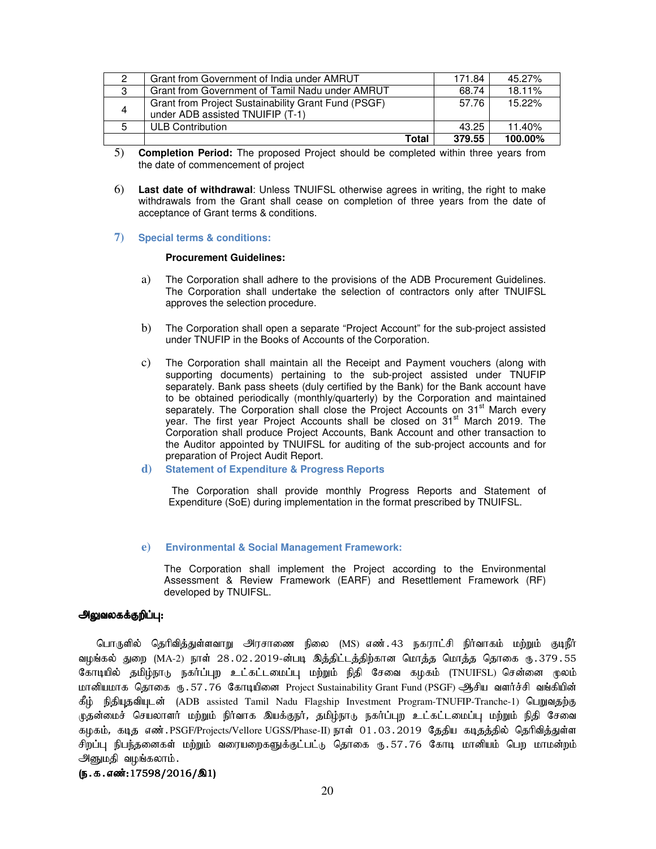|    | Grant from Government of India under AMRUT                                              | 171.84 | 45.27%  |
|----|-----------------------------------------------------------------------------------------|--------|---------|
| 3  | Grant from Government of Tamil Nadu under AMRUT                                         | 68.74  | 18.11%  |
| 4  | Grant from Project Sustainability Grant Fund (PSGF)<br>under ADB assisted TNUIFIP (T-1) | 57.76  | 15.22%  |
| .5 | ULB Contribution                                                                        | 43.25  | 11.40%  |
|    | Total                                                                                   | 379.55 | 100.00% |

- 5) **Completion Period:** The proposed Project should be completed within three years from the date of commencement of project
- 6) **Last date of withdrawal**: Unless TNUIFSL otherwise agrees in writing, the right to make withdrawals from the Grant shall cease on completion of three years from the date of acceptance of Grant terms & conditions.
- **7) Special terms & conditions:**

#### **Procurement Guidelines:**

- a) The Corporation shall adhere to the provisions of the ADB Procurement Guidelines. The Corporation shall undertake the selection of contractors only after TNUIFSL approves the selection procedure.
- b) The Corporation shall open a separate "Project Account" for the sub-project assisted under TNUFIP in the Books of Accounts of the Corporation.
- c) The Corporation shall maintain all the Receipt and Payment vouchers (along with supporting documents) pertaining to the sub-project assisted under TNUFIP separately. Bank pass sheets (duly certified by the Bank) for the Bank account have to be obtained periodically (monthly/quarterly) by the Corporation and maintained separately. The Corporation shall close the Project Accounts on 31<sup>st</sup> March every year. The first year Project Accounts shall be closed on 31<sup>st</sup> March 2019. The Corporation shall produce Project Accounts, Bank Account and other transaction to the Auditor appointed by TNUIFSL for auditing of the sub-project accounts and for preparation of Project Audit Report.
- **d) Statement of Expenditure & Progress Reports**

The Corporation shall provide monthly Progress Reports and Statement of Expenditure (SoE) during implementation in the format prescribed by TNUIFSL.

#### **e) Environmental & Social Management Framework:**

The Corporation shall implement the Project according to the Environmental Assessment & Review Framework (EARF) and Resettlement Framework (RF) developed by TNUIFSL.

#### அலுவலகக்குறிப்பு:

பொருளில் தெரிவித்துள்ளவாறு அரசாணை நிலை (MS) எண். 43 நகராட்சி நிர்வாகம் மற்றும் குடிநீர் வழங்கல் துறை (MA-2) நாள் 28.02.2019-ன்படி இத்திட்டத்திற்கான மொத்த மொத்த தொகை ரு.379.55 கோடியில் தமிழ்நாடு நகர்ப்புற உட்கட்டமைப்பு மற்றும் நிதி சேவை கழகம் (TNUIFSL) சென்னை மூலம் மானியமாக தொகை ரூ. 57.76 கோடியினை Project Sustainability Grant Fund (PSGF) ஆசிய வளர்ச்சி வங்கியின் கீழ் நிதியுதவியுடன் (ADB assisted Tamil Nadu Flagship Investment Program-TNUFIP-Tranche-1) பெறுவதற்கு முதன்மைச் செயலாளர் மற்றும் நிர்வாக இயக்குநர், தமிழ்நாடு நகர்ப்புற உட்கட்டமைப்பு மற்றும் நிதி சேவை கழகம், கடித எண்.PSGF/Projects/Vellore UGSS/Phase-II) நாள் 01.03.2019 தேதிய கடிதத்தில் தெரிவித்துள்ள சிறப்பு நிபந்தனைகள் மற்றும் வரையறைகளுக்குட்பட்டு தொகை ரு.57.76 கோடி மானியம் பெற மாமன்றம் அனுமதி வழங்கலாம்.

### $(5.5.5\omega:17598/2016/\text{a1})$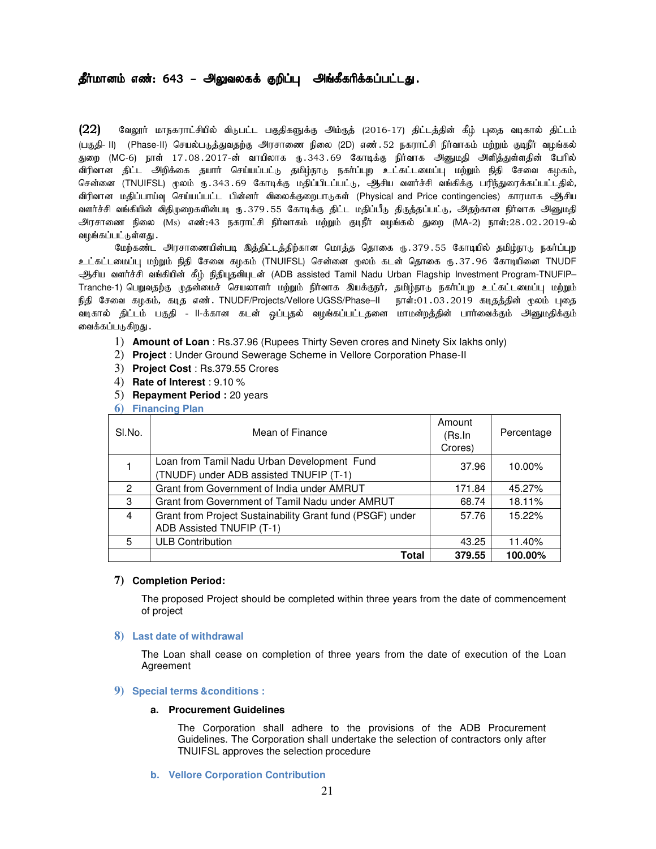# தீர்மானம் எண்: 643 – அலுவலகக் குறிப்பு அங்கீகரிக்கப்பட்டது.

 $(22)$  B்வலூர் மாநகராட்சியில் விடுபட்ட பகுதிகளுக்கு அம்ருத் (2016-17) திட்டத்தின் கீழ் புதை வடிகால் திட்டம் (பகுதி- II) (Phase-II) செயல்படுத்துவதற்கு அரசாணை நிலை (2D) எண். 52 நகராட்சி நிர்வாகம் மற்றும் குடிநீர் வழங்கல் துறை (MC-6) நாள் 17.08.2017-ன் வாயிலாக ரூ.343.69 கோடிக்கு நிர்வாக அனுமதி அளித்துள்ளதின் பேரில் விரிவான திட்ட அறிக்கை தயார் செய்யப்பட்டு தமிழ்நாடு நகர்ப்புற உட்கட்டமைப்பு மற்றும் நிதி சேவை கழகம், சென்னை (TNUIFSL) முலம் ரு.343.69 கோடிக்கு மதிப்பிடப்பட்டு, ஆசிய வளர்ச்சி வங்கிக்கு பரிந்துரைக்கப்பட்டதில், விரிவான மதிப்பாய்வு செய்யப்பட்ட பின்னர் விலைக்குறைபாடுகள் (Physical and Price contingencies) காரமாக ஆசிய வளர்ச்சி வங்கியின் விதிழறைகளின்படி ரு.379.55 கோடிக்கு திட்ட மதிப்பீடு திருத்தப்பட்டு, அதற்கான நிர்வாக அனுமதி அரசாணை நிலை (Ms) எண்:43 நகராட்சி நிர்வாகம் மற்றும் குடிநீர் வழங்கல் துறை (MA-2) நாள்:28.02.2019-ல் வழங்கப்பட்டுள்ளது .

மேற்கண்ட அரசாணையின்படி இத்திட்டத்திற்கான மொத்த தொகை ரு.379.55 கோடியில் தமிழ்நாடு நகர்ப்புற உட்கட்டமைப்பு மற்றும் நிதி சேவை கழகம் (TNUIFSL) சென்னை மூலம் கடன் தொகை ரூ.37.96 கோடியினை TNUDF ஆசிய வளர்ச்சி வங்கியின் கீழ் நிதியுதவியுடன் (ADB assisted Tamil Nadu Urban Flagship Investment Program-TNUFIP– Tranche-1) பெறுவதற்கு முதன்மைச் செயலாளர் மற்றும் நிர்வாக இயக்குநர், தமிழ்நாடு நகர்ப்புற உட்கட்டமைப்பு மற்றும் நிதி சேவை கழகம், கடித எண். TNUDF/Projects/Vellore UGSS/Phase–II நாள்:01.03.2019 கடிதத்தின் முலம் புதை வடிகால் திட்டம் பகுதி - II-க்கான கடன் ஒப்புதல் வழங்கப்பட்டதனை மாமன்றத்தின் பார்வைக்கும் அனுமதிக்கும் வைக்கப்படுகிறது .

- 1) **Amount of Loan** : Rs.37.96 (Rupees Thirty Seven crores and Ninety Six lakhs only)
- 2) **Project** : Under Ground Sewerage Scheme in Vellore Corporation Phase-II
- 3) **Project Cost** : Rs.379.55 Crores
- 4) **Rate of Interest** : 9.10 %
- 5) **Repayment Period :** 20 years

**6) Financing Plan** 

| SI.No. | Mean of Finance                                           | Amount<br>(Rs.In<br>Crores) | Percentage |
|--------|-----------------------------------------------------------|-----------------------------|------------|
|        | Loan from Tamil Nadu Urban Development Fund               | 37.96                       | 10.00%     |
|        | (TNUDF) under ADB assisted TNUFIP (T-1)                   |                             |            |
| 2      | Grant from Government of India under AMRUT                | 171.84                      | 45.27%     |
| 3      | Grant from Government of Tamil Nadu under AMRUT           | 68.74                       | 18.11%     |
| 4      | Grant from Project Sustainability Grant fund (PSGF) under | 57.76                       | 15.22%     |
|        | ADB Assisted TNUFIP (T-1)                                 |                             |            |
| 5.     | <b>ULB Contribution</b>                                   | 43.25                       | 11.40%     |
|        | <b>Total</b>                                              | 379.55                      | 100.00%    |

#### **7) Completion Period:**

The proposed Project should be completed within three years from the date of commencement of project

#### **8) Last date of withdrawal**

The Loan shall cease on completion of three years from the date of execution of the Loan Agreement

#### **9) Special terms &conditions :**

#### **a. Procurement Guidelines**

The Corporation shall adhere to the provisions of the ADB Procurement Guidelines. The Corporation shall undertake the selection of contractors only after TNUIFSL approves the selection procedure

**b. Vellore Corporation Contribution**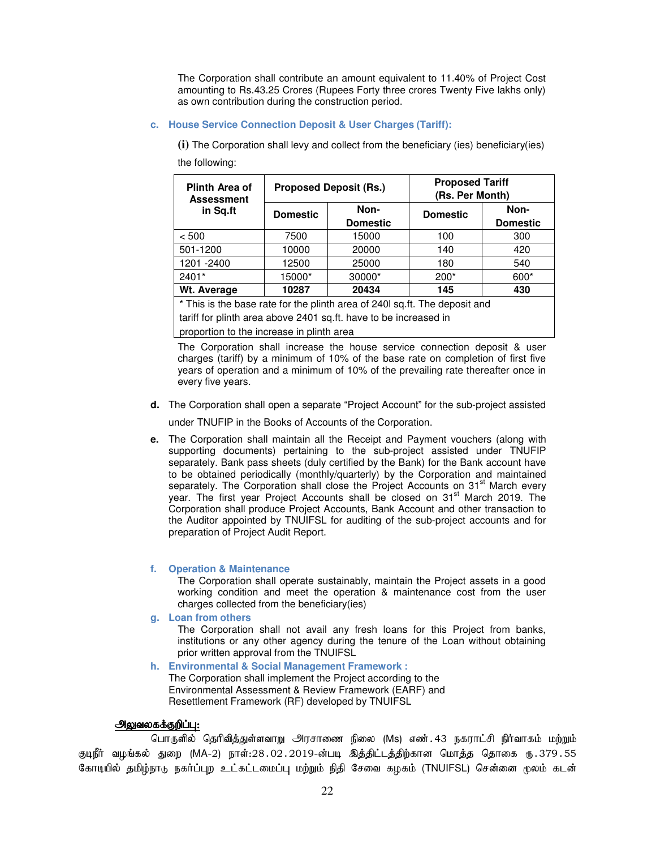The Corporation shall contribute an amount equivalent to 11.40% of Project Cost amounting to Rs.43.25 Crores (Rupees Forty three crores Twenty Five lakhs only) as own contribution during the construction period.

#### **c. House Service Connection Deposit & User Charges (Tariff):**

**(i)** The Corporation shall levy and collect from the beneficiary (ies) beneficiary(ies) the following:

| Plinth Area of<br><b>Assessment</b> |                 | <b>Proposed Deposit (Rs.)</b> | <b>Proposed Tariff</b><br>(Rs. Per Month) |                         |  |
|-------------------------------------|-----------------|-------------------------------|-------------------------------------------|-------------------------|--|
| in Sq.ft                            | <b>Domestic</b> | Non-<br><b>Domestic</b>       | <b>Domestic</b>                           | Non-<br><b>Domestic</b> |  |
| < 500                               | 7500            | 15000                         | 100                                       | 300                     |  |
| 501-1200                            | 10000           | 20000                         | 140                                       | 420                     |  |
| 1201 - 2400                         | 12500           | 25000                         | 180                                       | 540                     |  |
| 2401*                               | 15000*          | 30000*                        | $200*$                                    | 600*                    |  |
| Wt. Average                         | 10287           | 20434                         | 145                                       | 430                     |  |

\* This is the base rate for the plinth area of 240l sq.ft. The deposit and

tariff for plinth area above 2401 sq.ft. have to be increased in proportion to the increase in plinth area

The Corporation shall increase the house service connection deposit & user charges (tariff) by a minimum of 10% of the base rate on completion of first five years of operation and a minimum of 10% of the prevailing rate thereafter once in every five years.

**d.** The Corporation shall open a separate "Project Account" for the sub-project assisted

under TNUFIP in the Books of Accounts of the Corporation.

**e.** The Corporation shall maintain all the Receipt and Payment vouchers (along with supporting documents) pertaining to the sub-project assisted under TNUFIP separately. Bank pass sheets (duly certified by the Bank) for the Bank account have to be obtained periodically (monthly/quarterly) by the Corporation and maintained separately. The Corporation shall close the Project Accounts on 31<sup>st</sup> March every year. The first year Project Accounts shall be closed on 31<sup>st</sup> March 2019. The Corporation shall produce Project Accounts, Bank Account and other transaction to the Auditor appointed by TNUIFSL for auditing of the sub-project accounts and for preparation of Project Audit Report.

### **f. Operation & Maintenance**

The Corporation shall operate sustainably, maintain the Project assets in a good working condition and meet the operation & maintenance cost from the user charges collected from the beneficiary(ies)

**g. Loan from others** 

The Corporation shall not avail any fresh loans for this Project from banks, institutions or any other agency during the tenure of the Loan without obtaining prior written approval from the TNUIFSL

**h. Environmental & Social Management Framework :**  The Corporation shall implement the Project according to the Environmental Assessment & Review Framework (EARF) and Resettlement Framework (RF) developed by TNUIFSL

## அலுவலகக்குறிப்பு:

பொருளில் தெரிவித்துள்ளவாறு அரசாணை நிலை (Ms) எண். 43 நகராட்சி நிர்வாகம் மற்றும் குடிநீர் வழங்கல் துறை (MA-2) நாள்:28.02.2019-ன்படி இத்திட்டத்திற்கான மொத்த தொகை ரு.379.55 கோடியில் தமிழ்நாடு நகர்ப்புற உட்கட்டமைப்பு மற்றும் நிதி சேவை கழகம் (TNUIFSL) சென்னை முலம் கடன்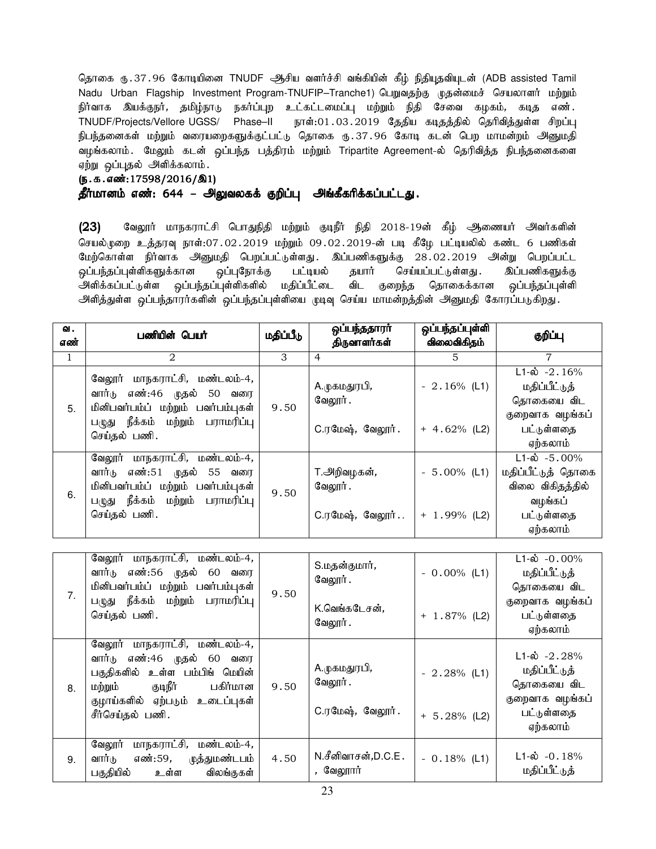தொகை ரு.37.96 கோடியினை TNUDF ஆசிய வளர்ச்சி வங்கியின் கீழ் நிதியுதவியுடன் (ADB assisted Tamil Nadu Urban Flagship Investment Program-TNUFIP–Tranche1) பெறுவதற்கு முதன்மைச் செயலாளர் மற்றும் .<br>நிர்வாக இயக்குநர், தமிழ்நாடு நகர்ப்புற உட்கட்டமைப்பு மற்றும் நிதி சேவை கழகம், கடித எண். TNUDF/Projects/Vellore UGSS/ Phase–II நாள்:01 . 03 . 2019 தேதிய கடிதத்தில் தெரிவித்துள்ள சிறப்பு .<br>நிபந்தனைகள் மற்றும் வரையறைகளுக்குட்பட்டு தொகை ரு.37.96 கோடி கடன் பெற மாமன்றம் அனுமதி வழங்கலாம். மேலும் கடன் ஒப்பந்த பத்திரம் மற்றும் Tripartite Agreement-ல் தெரிவித்த நிபந்தனைகளை ஏற்று ஒப்புதல் அளிக்கலாம்.

# (ந.க.எண்:17598/2016/இ1)

# தீர்மானம் எண்: 644 – அலுவலகக் குறிப்பு அங்கீகரிக்கப்பட்டது.

(23) வேலூர் மாநகராட்சி பொதுநிதி மற்றும் குடிநீர் நிதி 2018-19ன் கீழ் ஆணையர் அவர்களின் செயல்முறை உத்தரவு நாள்:07.02.2019 மற்றும் 09.02.2019-ன் படி கீழே பட்டியலில் கண்ட 6 பணிகள் மேற்கொள்ள நிர்வாக அனுமதி பெறப்பட்டுள்ளது. இப்பணிகளுக்கு 28.02.2019 அன்று பெறப்பட்ட ஒப்பந்தப்புள்ளிகளுக்கான ஒப்புநோக்கு பட்டியல் தயார் செய்யப்பட்டுள்ளது . இப்பணிகளுக்கு அளிக்கப்பட்டுள்ள ஒப்பந்தப்புள்ளிகளில் மதிப்பீட்டை விட குறைந்த தொகைக்கான ஒப்பந்தப்புள்ளி அிளித்துள்ள ஒப்பந்தாரர்களின் ஒப்பந்தப்புள்ளியை முடிவு செய்ய மாமன்றத்தின் அனுமதி கோரப்படுகிறது.

| வ.<br>எண்    | பணியின் பெயர்                                                                                                                                                                                    | மதிப்பீடு      | ஒப்பந்ததாரா்<br>திருவாளர்கள்                       | ஒப்பந்தப்புள்ளி<br>விலைவிகிதம்   | குறிப்பு                                                                                     |
|--------------|--------------------------------------------------------------------------------------------------------------------------------------------------------------------------------------------------|----------------|----------------------------------------------------|----------------------------------|----------------------------------------------------------------------------------------------|
| $\mathbf{1}$ | 2                                                                                                                                                                                                | $\overline{3}$ | $\overline{4}$                                     | 5                                | 7                                                                                            |
| 5.           | வேலூர் மாநகராட்சி, மண்டலம்-4,<br>வார்டு<br>எண்:46<br>முதல்<br>50<br>வரை<br>மினிபவர்பம்ப் மற்றும் பவர்பம்புகள்<br>பழுது நீக்கம்<br>மற்றும் பராமரிப்பு                                             | 9.50           | A.முகமதுரபி,<br>வேலூர்.<br><b>C.ரமேஷ், வேலூர்.</b> | $-2.16\%$ (L1)<br>$+ 4.62%$ (L2) | $L1 - \hat{\omega} - 2.16\%$<br>மதிப்பீட்டுத்<br>தொகையை விட<br>குறைவாக வழங்கப்<br>பட்டுள்ளதை |
|              | செய்தல் பணி.                                                                                                                                                                                     |                |                                                    |                                  | ஏற்கலாம்                                                                                     |
| 6.           | வேலூர் மாநகராட்சி, மண்டலம்-4,<br>வார்டு எண்:51 முதல்<br>55<br>வரை<br>மினிபவர்பம்ப் மற்றும் பவர்பம்புகள்<br>பழுது நீக்கம்<br>மற்றும் பராமரிப்பு                                                   | 9.50           | T.அறிவழகன்,<br>வேலூர்.                             | $-5.00\%$ (L1)                   | $L1-\dot{\omega} - 5.00\%$<br>மதிப்பீட்டுத் தொகை<br>விலை விகிதத்தில்<br>வழங்கப்              |
|              | செய்தல் பணி.                                                                                                                                                                                     |                | C.ரமேஷ், வேலூர்                                    | $+ 1.99%$ (L2)                   | பட்டுள்ளதை<br>ஏற்கலாம்                                                                       |
|              |                                                                                                                                                                                                  |                |                                                    |                                  |                                                                                              |
|              | வேலூர் மாநகராட்சி, மண்டலம்-4,<br>வார்டு<br>எண்:56 முதல் 60 வரை<br>மினிபவர்பம்ப் மற்றும் பவர்பம்புகள்                                                                                             |                | S.மதன்குமார்,<br>வேலூர்.                           | $-0.00\%$ (L1)                   | $L1-\dot{\omega}$ -0.00%<br>மதிப்பீட்டுத்<br>தொகையை விட                                      |
| 7.           | பழுது நீக்கம்<br>மற்றும் பராமரிப்பு<br>செய்தல் பணி.                                                                                                                                              | 9.50           | K.வெங்கடேசன்,<br>வேலூர்.                           | $+ 1.87\%$ (L2)                  | குறைவாக வழங்கப்<br>பட்டுள்ளதை<br>ஏற்கலாம்                                                    |
| 8.           | வேலூர் மாநகராட்சி, மண்டலம்-4,<br>வார்டு<br>எண்:46 முதல் 60<br>வரை<br>பகுதிகளில் உள்ள பம்பிங் மெயின்<br>குடிநீர்<br>பகிர்மான<br>மற்றும்<br>குழாய்களில் ஏற்படும்<br>உடைப்புகள்<br>சீர்செய்தல் பணி. | 9.50           | A.முகமதுரபி,<br>வேலூர்.<br><b>C.ரமேஷ், வேலூர்.</b> | $-2.28%$ (L1)<br>$+ 5.28%$ (L2)  | $L1-\dot{\omega}$ -2.28%<br>மதிப்பீட்டுத்<br>தொகையை விட<br>குறைவாக வழங்கப்<br>பட்டுள்ளதை     |
| 9.           | வேலூர் மாநகராட்சி, மண்டலம்-4,<br>வார்கு<br>எண்:59,<br>முத்துமண்டபம்<br>பகுதியில்<br>விலங்குகள்<br>உள்ள                                                                                           | 4.50           | N.சீனிவாசன்,D.C.E.<br>, வேலூார்                    | $-0.18%$ (L1)                    | ஏற்கலாம்<br>$L1-\dot{\omega}$ -0.18%<br>மதிப்பீட்டுத்                                        |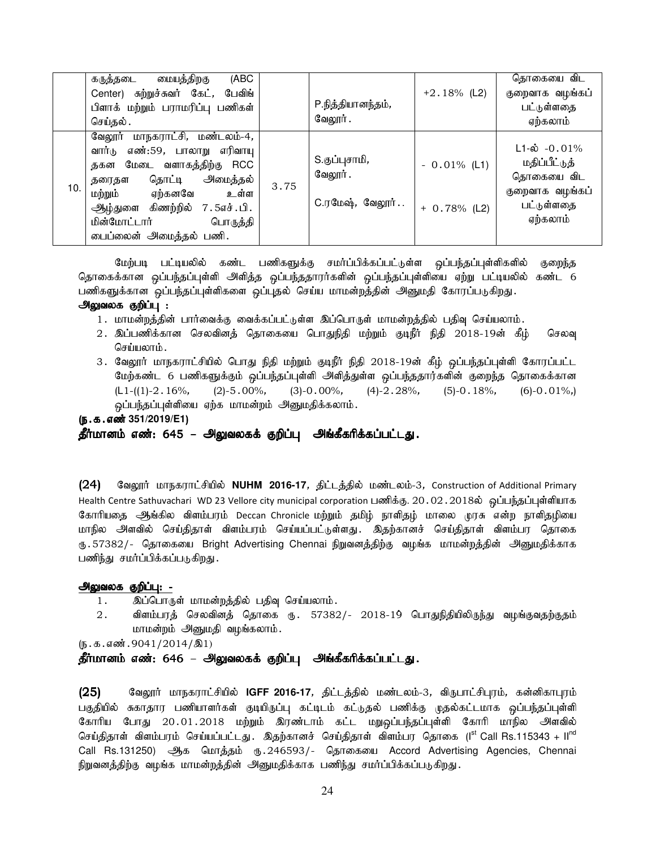|     | மையத்திறகு<br>(ABC<br>கருத்தடை                                                                                                                                                                                                           |      |                                                      |                                  | தொகையை விட                                                                                               |
|-----|------------------------------------------------------------------------------------------------------------------------------------------------------------------------------------------------------------------------------------------|------|------------------------------------------------------|----------------------------------|----------------------------------------------------------------------------------------------------------|
|     | Center) சுற்றுச்சுவர் கேட், பேவிங்                                                                                                                                                                                                       |      |                                                      | $+2.18\%$ (L2)                   | குறைவாக வழங்கப்                                                                                          |
|     | பிளாக் மற்றும் பராமரிப்பு பணிகள்                                                                                                                                                                                                         |      | P.நித்தியானந்தம்,                                    |                                  | பட்டுள்ளதை                                                                                               |
|     | செய்தல்.                                                                                                                                                                                                                                 |      | வேலூர் .                                             |                                  | ஏற்கலாம்                                                                                                 |
| 10. | வேலூர் மாநகராட்சி, மண்டலம்-4,<br>எண்:59, பாலாறு எரிவாயு<br>வார்டு<br>தகன மேடை வளாகத்திற்கு RCC<br>தொட்டி அமைத்தல்<br>தரைதள<br>மற்றும்<br>ஏற்கனவே உள்ள<br>ஆழ்துளை கிணற்றில் 7.5எச்.பி.<br>மின்மோட்டார் பொருத்தி<br>டைப்லைன் அமைத்தல் பணி. | 3.75 | S.குப்புசாமி <i>,</i><br>வேலூர் .<br>C.ரமேஷ், வேலூர் | $-0.01\%$ (L1)<br>$+ 0.78%$ (L2) | $L1 - \dot{\omega} - 0.01\%$<br>மதிப்பீட்டுத்<br>தொகையை விட<br>குறைவாக வழங்கப்<br>பட்டுள்ளதை<br>ஏற்கலாம் |

மேற்படி பட்டியலில் கண்ட பணிகளுக்கு சமா்ப்பிக்கப்பட்டுள்ள ஒப்பந்தப்புள்ளிகளில் குறைந்த தொகைக்கான ஒப்பந்தப்புள்ளி அளித்த ஒப்பந்ததாரர்களின் ஒப்பந்தப்புள்ளியை ஏற்று பட்டியலில் கண்ட 6 பணிகளுக்கான ஒப்பந்தப்புள்ளிகளை ஒப்புதல் செய்ய மாமன்றத்தின் அனுமதி கோரப்படுகிறது.

### அலுவலக குறிப்பு :

- 1. மாமன்றத்தின் பார்வைக்கு வைக்கப்பட்டுள்ள இப்பொருள் மாமன்றத்தில் பதிவு செய்யலாம்.
- 2. இப்பணிக்கான செலவினத் தொகையை பொதுநிதி மற்றும் குடிநீர் நிதி 2018-19ன் கீழ் செலவு செய்யலாம்.
- 3. வேலூர் மாநகராட்சியில் பொது நிதி மற்றும் குடிநீர் நிதி 2018-19ன் கீழ் ஒப்பந்தப்புள்ளி கோரப்பட்ட மேற்கண்ட 6 பணிகளுக்கும் ஒப்பந்தப்புள்ளி அளித்துள்ள ஒப்பந்ததார்களின் குறைந்த தொகைக்கான  $(L1-((1)-2.16\%, (2)-5.00\%, (3)-0.00\%, (4)-2.28\%, (5)-0.18\%, (6)-0.01\%,)$ ஒப்பந்தப்புள்ளியை ஏற்க மாமன்றம் அனுமதிக்கலாம்.

(ந.க.எண் 351/2019/E1)

தீர்மானம் எண்: 645 – அலுவலகக் குறிப்பு அங்கீகரிக்கப்பட்டது.

(24) வேலூர் மாநகராட்சியில் NUHM 2016-17, திட்டத்தில் மண்டலம்-3, Construction of Additional Primary Health Centre Sathuvachari WD 23 Vellore city municipal corporation பணிக்கு. 20․02․2018ல் வப்பந்தப்புள்ளியாக கோரியதை ஆங்கில விளம்பரம் Deccan Chronicle மற்றும் தமிழ் நாளிதழ் மாலை முரசு என்ற நாளிதழியை மாநில அளவில் செய்திதாள் விளம்பரம் செய்யப்பட்டுள்ளது . இதற்கானச் செய்திதாள் விளம்பர தொகை ரு . 57382/- தொகையை Bright Advertising Chennai நிறுவனத்திற்கு வழங்க மாமன்றத்தின் அனுமதிக்காக பணிந்து சமர்ப்பிக்கப்படுகிறது.

## அலுவலக குறிப்பு: -

- 1. இப்பொருள் மாமன்றத்தில் பதிவு செய்யலாம்.
- $2.$  விளம்பரத் செலவினத் தொகை ரு. 57382/- 2018-19 பொதுநிதியிலிருந்து வழங்குவதற்குதம் மாமன்றம் அனுமதி வழங்கலாம்.

 $(5.5.5.5 \text{...}0041/2014/\text{...})$ 

தீர்மானம் எண்: 646 – அலுவலகக் குறிப்பு அங்கீகரிக்கப்பட்டது.

(25) கேலூர் மாநகராட்சியில் IGFF 2016-17, திட்டத்தில் மண்டலம்-3, விருபாட்சிபுரம், கன்னிகாபுரம் பகுதியில் சுகாதார பணியாளர்கள் குடியிருப்பு கட்டிடம் கட்டுதல் பணிக்கு முதல்கட்டமாக ஒப்பந்தப்புள்ளி கோரிய போது 20.01.2018 மற்றும் இரண்டாம் கட்ட மறுஒப்பந்தப்புள்ளி கோரி மாநில அளவில் செய்திதாள் விளம்பரம் செய்யப்பட்டது. இதற்கானச் செய்திதாள் விளம்பர தொகை (I<sup>st</sup> Call Rs.115343 + II<sup>nd</sup> Call Rs.131250) ஆக மொத்தம் ரு. 246593/- தொகையை Accord Advertising Agencies, Chennai நிறுவனத்திற்கு வழங்க மாமன்றத்தின் அனுமதிக்காக பணிந்து சமர்ப்பிக்கப்படுகிறது.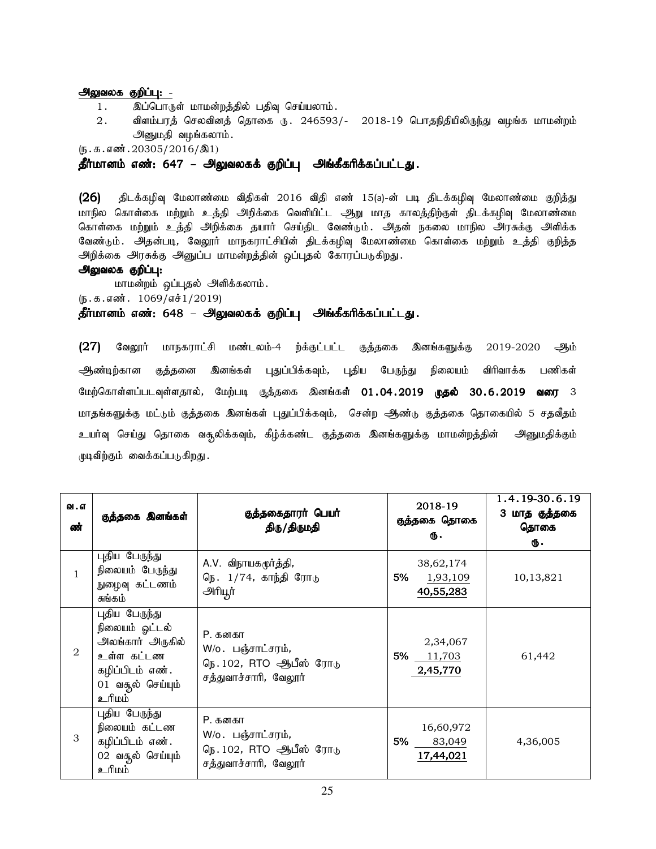### அலுவலக குறிப்பு: -

- 1. இப்பொருள் மாமன்றத்தில் பதிவு செய்யலாம்.
- $2.$  விளம்பரத் செலவினத் தொகை ரு. 246593/-  $2018-19$  பொதநிதியிலிருந்து வழங்க மாமன்றம் அனுமதி வழங்கலாம்.

 $(5.5.5.5\frac{1}{20305}/2016/\text{R}1)$ 

தீர்மானம் எண்: 647 – அலுவலகக் குறிப்பு அங்கீகரிக்கப்பட்டது.

 $(26)$  திடக்கழிவு மேலாண்மை விதிகள் 2016 விதி எண் 15(a)-ன் படி திடக்கழிவு மேலாண்மை குறித்து மாநில கொள்கை மற்றும் உத்தி அறிக்கை வெளியிட்ட அூறு மாத காலத்திற்குள் திடக்கழிவு மேலாண்மை கொள்கை மற்றும் உத்தி அறிக்கை தயார் செய்திட வேண்டும். அதன் நகலை மாநில அரசுக்கு அளிக்க வேண்டும். அதன்படி, வேலூர் மாநகராட்சியின் திடக்கழிவு மேலாண்மை கொள்கை மற்றும் உத்தி குறித்த அறிக்கை அரசுக்கு அனுப்ப மாமன்றத்தின் ஒப்புதல் கோரப்படுகிறது.

### அலுவலக குறிப்பு:

மாமன்றம் ஒப்புதல் அளிக்கலாம்.

 $(5.5.5 \cdot \frac{1069}{100} \cdot 1/2019)$ 

## தீர்மானம் எண்: 648 – அலுவலகக் குறிப்பு அங்கீகரிக்கப்பட்டது.

 $(27)$  வேலூர் மாநகராட்சி மண்டலம்-4 ற்க்குட்பட்ட குத்தகை இனங்களுக்கு 2019-2020 ஆம் ஆண்டிற்கான குத்தனை இனங்கள் புதுப்பிக்கவும், புதிய பேருந்து நிலையம் விரிவாக்க பணிகள் மேற்கொள்ளப்படவுள்ளதால், மேற்படி குத்தகை இனங்கள் 01.04.2019 **முதல்** 30.6.2019 **வரை** 3 மாதங்களுக்கு மட்டும் குத்தகை இனங்கள் புதுப்பிக்கவும், சென்ற ஆண்டு குத்தகை தொகையில் 5 சதவீதம் உயர்வு செய்து தொகை வசூலிக்கவும், கீழ்க்கண்ட குத்தகை இனங்களுக்கு மாமன்றத்தின் அனுமதிக்கும் முடிவிற்கும் வைக்கப்படுகிறது.

| வ . எ<br>ண்    | குத்தகை இனங்கள்                                                                                                               | குத்தகைதாரா் பெயா்<br>திரு/திருமதி                                                       | 2018-19<br>குத்தகை தொகை<br>Ф.            | 1.4.19-30.6.19<br>3 மாத குத்தகை<br>தொகை<br>Ф. |
|----------------|-------------------------------------------------------------------------------------------------------------------------------|------------------------------------------------------------------------------------------|------------------------------------------|-----------------------------------------------|
| $\mathbf{1}$   | புதிய பேருந்து<br>நிலையம் பேருந்து<br>நுழைவு கட்டணம்<br>சுங்கம்                                                               | A.V. விநாயகமூர்த்தி,<br>நெ. 1/74, காந்தி ரோடு<br>அரியூர்                                 | 38,62,174<br>1,93,109<br>5%<br>40,55,283 | 10,13,821                                     |
| $\mathfrak{D}$ | புதிய பேருந்து<br>நிலையம் ஓட்டல்<br>அலங்கார் அருகில்<br>உள்ள கட்டண<br>கழிப்பிடம் எண்.<br>01 வதூல் செய்யும்<br><u>ப்யிட் உ</u> | P. கனகா<br>W/o. பஞ்சாட்சரம் <i>,</i><br>நெ. 102, RTO ஆபீஸ் ரோடு<br>சத்துவாச்சாரி, வேலூர் | 2,34,067<br>5% 11,703<br>2,45,770        | 61,442                                        |
| 3              | புதிய பேருந்து<br>நிலையம் கட்டண<br>கழிப்பிடம் எண்.<br>02 வதூல் செய்யும்<br><u>ப்பரி உ</u>                                     | P. கனகா<br>W/o. பஞ்சாட்சரம் <i>,</i><br>நெ. 102, RTO ஆபீஸ் ரோடு<br>சத்துவாச்சாரி, வேலூர் | 16,60,972<br>5%<br>83,049<br>17,44,021   | 4,36,005                                      |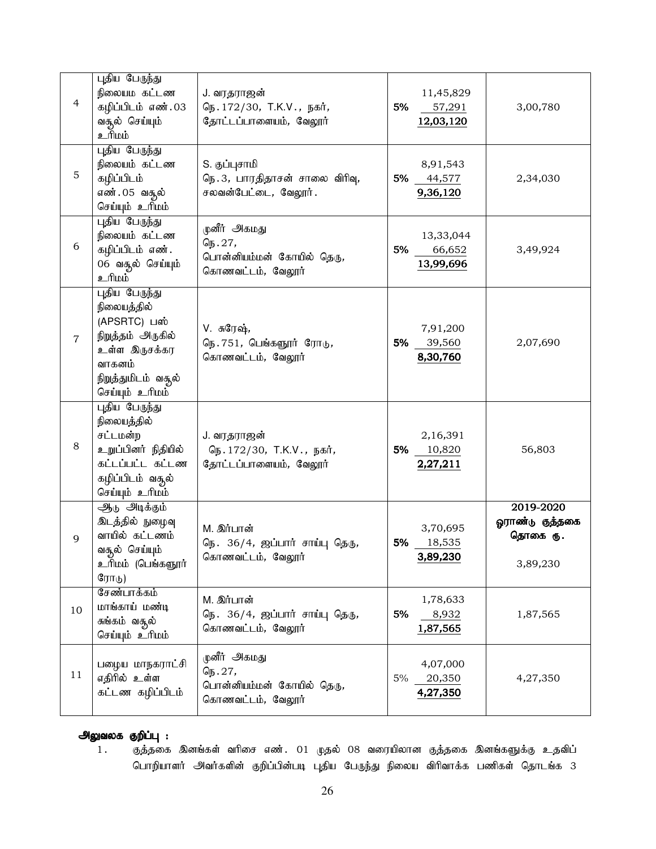| $\overline{4}$ | புதிய பேருந்து<br>நிலையம கட்டண<br>கழிப்பிடம் எண்.03<br>வசூல் செய்யும்<br><u>ப்பரி உ</u>                                                 | J. வரதராஜன்<br>நெ. 172/30, T.K.V., நகர்,<br>தோட்டப்பாளையம், வேலூர்             | 5% | 11,45,829<br>57,291<br>12,03,120  | 3,00,780                                             |
|----------------|-----------------------------------------------------------------------------------------------------------------------------------------|--------------------------------------------------------------------------------|----|-----------------------------------|------------------------------------------------------|
| 5              | புதிய பேருந்து<br>நிலையம் கட்டண<br>கழிப்பிடம்<br>எண்.05 வசூல்<br>செய்யும் உரிமம்                                                        | S. குப்புசாமி<br>நெ.3, பாரதிதாசன் சாலை விரிவு,<br>சலவன்பேட்டை, வேலூர்.         |    | 8,91,543<br>5% 44,577<br>9,36,120 | 2,34,030                                             |
| 6              | புதிய பேருந்து<br>நிலையம் கட்டண<br>கழிப்பிடம் எண்.<br>06 வசூல் செய்யும்<br><u>ப்யிட் உ</u>                                              | முனீர் அகமது<br>நெ. 27,<br>பொன்னியம்மன் கோயில் தெரு,<br>கொணவட்டம், வேலூர்      | 5% | 13,33,044<br>66,652<br>13,99,696  | 3,49,924                                             |
| $\overline{7}$ | புதிய பேருந்து<br>நிலையத்தில்<br>(APSRTC) பஸ்<br>நிறுத்தம் அருகில்<br>உள்ள இருசக்கர<br>வாகனம்<br>நிறுத்துமிடம் வசூல்<br>செய்யும் உரிமம் | V. சுரேஷ்,<br>நெ. 751, பெங்களூர் ரோடு,<br>கொணவட்டம், வேலூர்                    | 5% | 7,91,200<br>39,560<br>8,30,760    | 2,07,690                                             |
| 8              | புதிய பேருந்து<br>நிலையத்தில்<br>சட்டமன்ற<br>உறுப்பினர் நிதியில்<br>கட்டப்பட்ட கட்டண<br>கழிப்பிடம் வசூல்<br>செய்யும் உரிமம்             | J. வரதராஜன்<br>நெ. 172/30, T.K.V., நகர்,<br>தோட்டப்பாளையம், வேலூர்             | 5% | 2,16,391<br>10,820<br>2,27,211    | 56,803                                               |
| 9              | ஆடு அடிக்கும்<br>இடத்தில் நுழைவு<br>வாயில் கட்டணம்<br>வசூல் செய்யும்<br>உரிமம் (பெங்களூர்<br>ரோடு)                                      | M. இர்பான்<br>நெ. 36/4, ஜப்பார் சாய்பு தெரு,<br>கொணவட்டம், வேலூர்              | 5% | 3,70,695<br>18,535<br>3,89,230    | 2019-2020<br>ஓராண்டு குத்தகை<br>தொகை ரு.<br>3,89,230 |
| 10             | சேண்பாக்கம்<br>மாங்காய் மண்டி<br>சுங்கம் வசூல்<br>செய்யும் உரிமம்                                                                       | M. இர்பான்<br>நெ. 36/4, ஜப்பார் சாய்பு தெரு,<br>கொணவட்டம், வேலூர்              | 5% | 1,78,633<br>8,932<br>1,87,565     | 1,87,565                                             |
| 11             | பழைய மாநகராட்சி<br>எதிரில் உள்ள<br>கட்டண கழிப்பிடம்                                                                                     | முனீர் அகமது<br>$G_{15}.27,$<br>பொன்னியம்மன் கோயில் தெரு,<br>கொணவட்டம், வேலூர் | 5% | 4,07,000<br>20,350<br>4,27,350    | 4,27,350                                             |

# அலுவலக குறிப்பு :

1. Fj;jif ndA;fs; thpir vz;. 01 Kjy; 08 tiuapyhd Fj;jif ndA;fSf;F cjtpg; பொறியாளர் அவர்களின் குறிப்பின்படி புதிய பேருந்து நிலைய விரிவாக்க பணிகள் தொடங்க 3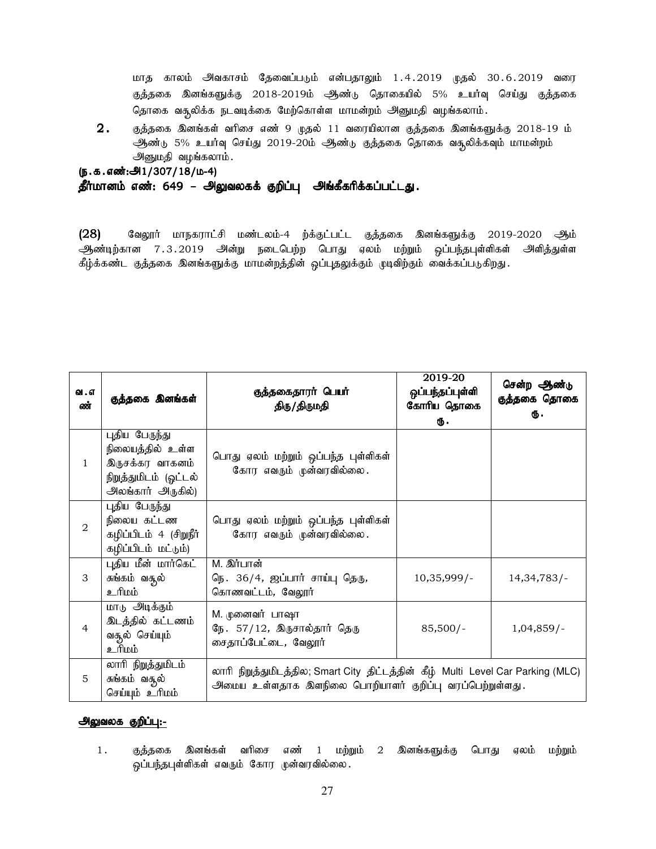மாத காலம் அவகாசம் தேவைப்படும் என்பதாலும் 1.4.2019 முதல் 30.6.2019 வரை குத்தகை இனங்களுக்கு 2018-2019ம் ஆண்டு தொகையில் 5% உயர்வு செய்து குத்தகை தொகை வசூலிக்க நடவடிக்கை மேற்கொள்ள மாமன்றம் அனுமதி வழங்கலாம்.

 $2.$  நைத்தகை இனங்கள் வரிசை எண் 9 முதல் 11 வரையிலான குத்தகை இனங்களுக்கு 2018-19 ம் ஆண்டு 5% உயர்வு செய்து 2019-20ம் ஆண்டு குத்தகை தொகை வசூலிக்கவும் மாமன்றம் அனுமதி வழங்கலாம்.

### (ந.க.எண்:அ1/307/18/ம-4)

### தீர்மானம் எண்: 649 – அலுவலகக் குறிப்பு அங்கீகரிக்கப்பட்டது.

 $(28)$  கேலூர் மாநகராட்சி மண்டலம்-4 ற்க்குட்பட்ட குத்தகை இனங்களுக்கு 2019-2020 ஆம் ஆண்டிற்கான 7.3.2019 அன்று நடைபெற்ற பொது ஏலம் மற்றும் ஒப்பந்தபுள்ளிகள் அளித்துள்ள கீழ்க்கண்ட குத்தகை இனங்களுக்கு மாமன்றத்தின் ஒப்புதலுக்கும் முடிவிற்கும் வைக்கப்படுகிறது.

| வ . எ<br>ண்    | குத்தகை இனங்கள்                                                                                     | குத்தகைதாரர் பெயர்<br>திரு/திருமதி                                                                                                          | 2019-20<br>ஒப்பந்தப்புள்ளி<br>கோரிய தொகை<br>Ф. | சென்ற ஆண்டு<br>குத்தகை தொகை<br>Ф. |
|----------------|-----------------------------------------------------------------------------------------------------|---------------------------------------------------------------------------------------------------------------------------------------------|------------------------------------------------|-----------------------------------|
| $\mathbf{1}$   | புதிய பேருந்து<br>நிலையத்தில் உள்ள<br>இருசக்கர வாகனம்<br>நிறுத்துமிடம் (ஓட்டல்<br>அலங்கார் அருகில்) | பொது ஏலம் மற்றும் ஒப்பந்த புள்ளிகள்<br>கோர எவரும் முன்வரவில்லை.                                                                             |                                                |                                   |
| $\overline{2}$ | புதிய பேருந்து<br>நிலைய கட்டண<br>கழிப்பிடம் 4 (சிறுநீர்<br>(வ்குட்பிடம் மட்டும்                     | பொது ஏலம் மற்றும் ஒப்பந்த புள்ளிகள்<br>கோர எவரும் முன்வரவில்லை.                                                                             |                                                |                                   |
| 3              | புதிய மீன் மார்கெட்<br>சுங்கம் வசூல்<br><u>ப்யிட் உ</u>                                             | M. இர்பான்<br>நெ. 36/4, ஜப்பார் சாய்பு தெரு,<br>கொணவட்டம், வேலூர்                                                                           | $10,35,999/$ -                                 | 14,34,783/                        |
| $\overline{4}$ | மாடு அடிக்கும்<br>இடத்தில் கட்டணம்<br>வசூல் செய்யும்<br><u>ப்யிட் உ</u>                             | M. முனைவர் பாஷா<br>நே. 57/12, இருசால்தார் தெரு<br>சைதாப்பேட்டை, வேலூர்                                                                      | $85,500/-$                                     | $1,04,859/$ -                     |
| 5              | லாரி நிறத்துமிடம்<br>சுங்கம் வசூல்<br>செய்யும் உரிமம்                                               | லாரி நிறுத்துமிடத்தில; Smart City திட்டத்தின் கீழ் Multi Level Car Parking (MLC)<br>அமைய உள்ளதாக இளநிலை பொறியாளர் குறிப்பு வரப்பெற்றுள்ளது. |                                                |                                   |

### அலுவலக குறிப்பு:-

1. குத்தகை இனங்கள் வரிசை எண் 1 மற்றும் 2 இனங்களுக்கு பொது ஏலம் மற்றும் ஒப்பந்தபுள்ளிகள் எவரும் கோர முன்வரவில்லை.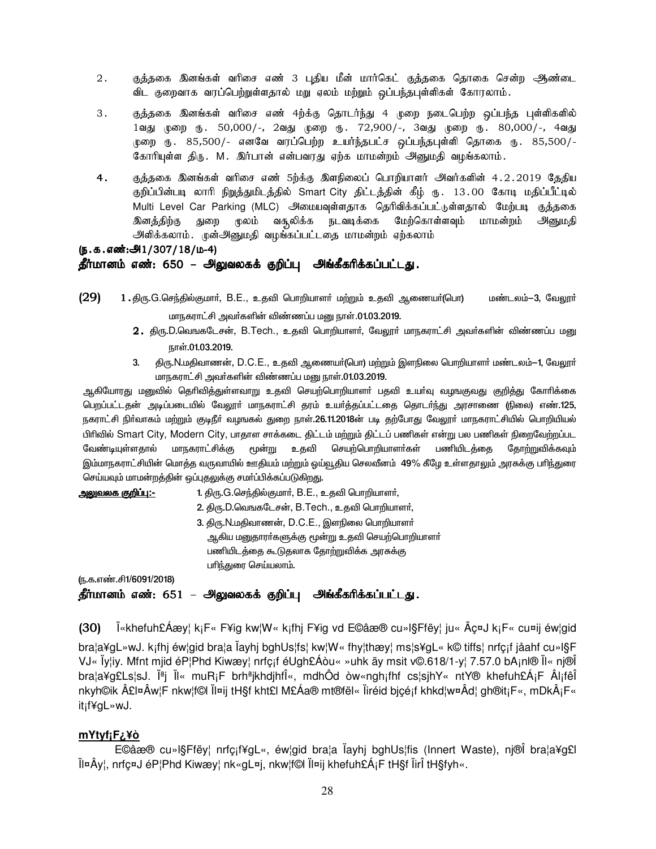- 2. Fj;jif ndA;fs; thpir vz; 3 g[jpa kPd; khh;bfl; Fj;jif bjhif brd;w Mz;il விட குறைவாக வரப்பெற்றுள்ளதால் மறு ஏலம் மற்றும் ஒப்பந்தபுள்ளிகள் கோரலாம்.
- 3. சுத்தகை இனங்கள் வரிசை எண் 4ற்க்கு தொடர்ந்து 4 முறை நடைபெற்ற ஒப்பந்த புள்ளிகளில் 1வது முறை ரு. 50,000/-, 2வது முறை ரு. 72,900/-, 3வது முறை ரு. 80,000/-, 4வது .<br>முறை ரு. 85,500/- எனவே வரப்பெற்ற உயர்ந்தபட்ச ஒப்பந்தபுள்ளி தொகை ரு. 85,500/-கோரியுள்ள திரு. M. இர்பான் என்பவரது ஏற்க மாமன்றம் அனுமதி வழங்கலாம்.
- 4. Fj;jif ndA;fs; thpir vz; 5w;f;F nsepiyg; bghwpahsh; mth;fspd; 4.2.2019 Bjjpa குறிப்பின்படி லாரி நிறுத்துமிடத்தில் Smart City திட்டத்தின் கீழ் ரு. 13.00 கோடி மதிப்பீட்டில் Multi Level Car Parking (MLC) அிமையவுள்ளதாக தெரிவிக்கப்பட்டுள்ளதால் மேற்படி குத்தகை இனத்திற்கு துறை முலம் வசூலிக்க நடவடிக்கை மேற்கொள்ளவும் மாமன்றம் அனுமதி அளிக்கலாம். முன்அனுமதி வழங்கப்பட்டதை மாமன்றம் ஏற்கலாம்

### (ந.க.எண்:அி $1/307/18/\mu$ -4) தீர்மானம் எண்: 650 – அலுவலகக் குறிப்பு அங்கீகரிக்கப்பட்டது.

- $(29)$  1 . திரு.G.செந்தில்குமார், B.E., உதவி பொறியாளர் மற்றும் உதவி ஆணையர்(பொ) மண்டலம்—3, வேலூர் மாநகராட்சி அவர்களின் விண்ணப்ப மனு நாள்.01.03.2019.
	- $2.$  திரு.D.வெஙகடேசன், B.Tech., உதவி பொறியாளர், வேலூர் மாநகராட்சி அவர்களின் விண்ணப்ப மனு நாள்.01.03.2019.
	- 3. திரு.N.மதிவாணன், D.C.E., உதவி ஆணையா்(பொ) மற்றும் இளநிலை பொறியாளா் மண்டலம்–1, வேலூா் மாநகராட்சி அவர்களின் விண்ணப்ப மனு நாள்.01.03.2019.

ஆகியோரது மனுவில் தெரிவித்துள்ளவாறு உதவி செயற்பொறியாளா் பதவி உயா்வு வழஙகுவது குறித்து கோாிக்கை பெறப்பட்டதன் அடிப்படையில் வேலூா் மாநகராட்சி தரம் உயா்த்தப்பட்டதை தொடா்ந்து அரசாணை (நிலை) எண்.125, நகராட்சி நிா்வாகம் மற்றும் குடிநீா் வழஙகல் துறை நாள்.26.11.2018ன் படி தற்போது வேலூா் மாநகராட்சியில் பொறியியல் பிரிவில் Smart City, Modern City, பாதாள சாக்கடை திட்டம் மற்றும் திட்டப் பணிகள் என்று பல பணிகள் நிறைவேற்றப்பட வேண்டியுள்ளதால் மாநகராட்சிக்கு மூன்று உதவி செயற்பொறியாளர்கள் பணியிடத்தை தோற்றுவிக்கவும் இம்மாநகராட்சியின் மொத்த வருவாயில் ஊதியம் மற்றும் ஒய்வூதிய செலவீனம் 49% கீழே உள்ளதாலும் அரசுக்கு பரிந்துரை செய்யவும் மாமன்றத்தின் ஒப்புதலுக்கு சமா்ப்பிக்கப்படுகிறது.

| <u> அலுவலக குறிப்ப:-</u> | 1. திரு.G.செந்தில்குமார், B.E., உதவி பொறியாளர், |
|--------------------------|-------------------------------------------------|
|                          | 2. திரு.D.வெஙகடேசன், B.Tech., உதவி பொறியாளர்,   |
|                          | 3. திரு. N.மதிவாணன், D.C.E., இளநிலை பொறியாளர்   |
|                          | ஆகிய மனுதாரா்களுக்கு மூன்று உதவி செயற்பொறியாளா் |
|                          | பணியிடத்தை கூடுதலாக தோற்றுவிக்க அரசுக்கு        |
|                          | பரிந்துரை செய்யலாம்.                            |
| ரு.க.எண்.சி1/6091/2018)  |                                                 |

தீர்மானம் எண்: 651 – அலுவலகக் குறிப்பு அங்கீகரிக்கப்பட்டது.

(30) Ï«khefuh£Áæy¦ k¡F« F¥ig kw¦W« k¡fhj F¥ig vd E©âæ® cu»l§Ffëy¦ ju« Ãç¤J k¡F« cu¤ij éw¦gid

bra¦a¥gL»wJ. k¡fhj éw¦gid bra¦a Ïayhj bghUs¦fs¦ kw¦W« fhy¦thæy¦ ms¦s¥gL« k© tiffs¦ nrfç¡f jåahf cu»l§F VJ« Ïy¦iy. Mfnt mjid éP¦Phd Kiwæy¦ nrfç¡f éUgh£Áòu« »uhk ãy msit v©.618/1-y¦ 7.57.0 bA¡nl® Ïl« nj®Î bra¦a¥g£Ls¦sJ. Ϫj Ïl« muRiF brhªjkhdjhfΫ, mdhÔd òw«ngh¡fhf cs¦sjhY« ntY® khefuh£Á¡F Âl¡fêÎ nkyh©ik £l¤Âw¦F nkw¦f©l Ïl¤ij tH§f kht£l M£Áa® mt®fël« Ïiréid bjçé¡f khkd¦w¤Âd¦ gh®it¡F«, mDk¡F« it¡f¥gL»wJ.

# **mYtyf¡F¿¥ò**

 E©âæ® cu»l§Ffëy¦ nrfç¡f¥gL«, éw¦gid bra¦a Ïayhj bghUs¦fis (Innert Waste), nj®Î bra¦a¥g£l Ïl¤Ây¦, nrfç¤J éP¦Phd Kiwæy¦ nk«gL¤j, nkw¦f©l Ïl¤ij khefuh£Á¡F tH§f ÏirÎ tH§fyh«.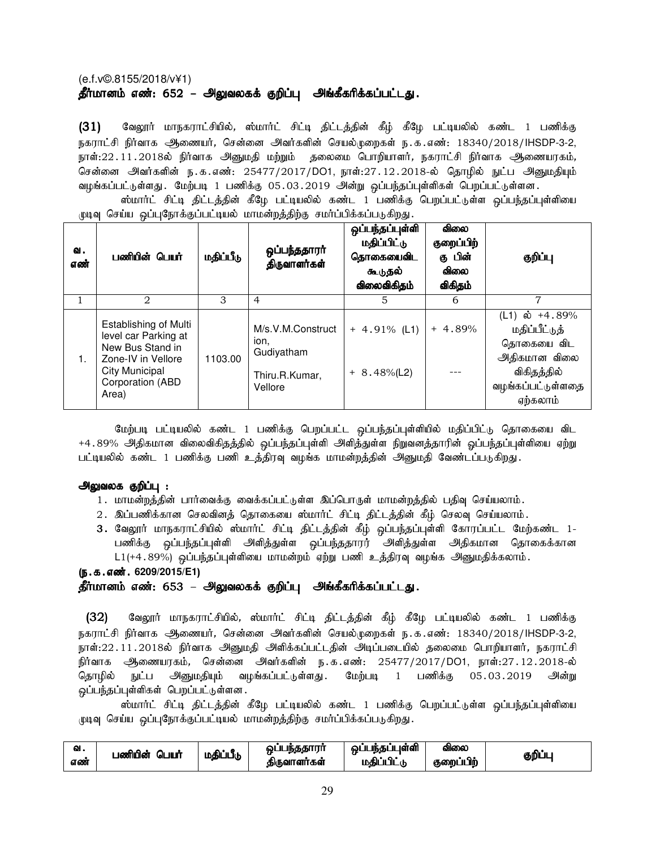# (e.f.v©.8155/2018/v¥1) தீர்மானம் எண்: 652 – அலுவலகக் குறிப்பு அங்கீகரிக்கப்பட்டது.

(31) வேலூர் மாநகராட்சியில், ஸ்மார்ட் சிட்டி திட்டத்தின் கீழ் கீழே பட்டியலில் கண்ட 1 பணிக்கு நகராட்சி நிர்வாக ஆணையர், சென்னை அவர்களின் செயல்முறைகள் ந.க.எண்: 18340/2018/IHSDP-3-2, நாள்:22.11.2018ல் நிர்வாக அனுமதி மற்றும் தலைமை பொறியாளர், நகராட்சி நிர்வாக அணையரகம், சென்னை அவர்களின் ந.க.எண்: 25477/2017/DO1, நாள்:27.12.2018-ல் தொழில் நுட்ப அனுமதியும் வழங்கப்பட்டுள்ளது . மேற்படி 1 பணிக்கு 05.03.2019 அன்று ஒப்பந்தப்புள்ளிகள் பெறப்பட்டுள்ளன .

ஸ்மார்ட் சிட்டி திட்டத்தின் கீழே பட்டியலில் கண்ட 1 பணிக்கு பெறப்பட்டுள்ள ஒப்பந்தப்புள்ளியை முடிவு செய்ய ஒப்புநோக்குப்பட்டியல் மாமன்றத்திற்கு சமர்ப்பிக்கப்படுகிறது.

| ഖ.<br>எண் | பணியின் பெயர்                                                                                                                                 | மதிப்பீடு | ஒப்பந்ததாரா்<br>திருவாளர்கள்                                         | ஒப்பந்தப்புள்ளி<br>மதிப்பிட்டு<br>தொகையைவிட<br>கூடுதல்<br>விலைவிகிதம் | விலை<br>குறைப்பிற்<br>கு பின்<br><b>விலை</b><br>விகிதம் | குறிப்பு                                                                                                      |
|-----------|-----------------------------------------------------------------------------------------------------------------------------------------------|-----------|----------------------------------------------------------------------|-----------------------------------------------------------------------|---------------------------------------------------------|---------------------------------------------------------------------------------------------------------------|
|           | 2                                                                                                                                             | 3         | $\overline{4}$                                                       | 5                                                                     | 6                                                       | 7                                                                                                             |
| 1.        | Establishing of Multi<br>level car Parking at<br>New Bus Stand in<br>Zone-IV in Vellore<br><b>City Municipal</b><br>Corporation (ABD<br>Area) | 1103.00   | M/s.V.M.Construct<br>ion.<br>Gudiyatham<br>Thiru.R.Kumar,<br>Vellore | $+ 4.91\%$ (L1)<br>$+ 8.48\%$ (L2)                                    | $+4.89%$                                                | (L1) ல் +4.89%<br>மதிப்பீட்டுத்<br>தொகையை விட<br>அதிகமான விலை<br>விகிதத்தில்<br>வழங்கப்பட்டுள்ளதை<br>ஏற்கலாம் |

மேற்படி பட்டியலில் கண்ட 1 பணிக்கு பெறப்பட்ட ஒப்பந்தப்புள்ளியில் மதிப்பிட்டு தொகையை விட +4.89% அதிகமான விலைவிகிதத்தில் ஒப்பந்தப்புள்ளி அளித்துள்ள நிறுவனத்தாரின் ஒப்பந்தப்புள்ளியை ஏற்று பட்டியலில் கண்ட 1 பணிக்கு பணி உத்திரவு வழங்க மாமன்றத்தின் அனுமதி வேண்டப்படுகிறது.

## அலுவலக குறிப்பு :

- 1. மாமன்றத்தின் பார்வைக்கு வைக்கப்பட்டுள்ள இப்பொருள் மாமன்றத்தில் பதிவு செய்யலாம்.
- 2. இப்பணிக்கான செலவினத் தொகையை ஸ்மார்ட் சிட்டி திட்டத்தின் கீழ் செலவு செய்யலாம்.
- 3. வேலூர் மாநகராட்சியில் ஸ்மார்ட் சிட்டி திட்டத்தின் கீழ் ஒப்பந்தப்புள்ளி கோரப்பட்ட மேற்கண்ட 1-பணிக்கு ஒப்பந்தப்புள்ளி அளித்துள்ள ஒப்பந்ததாரர் அளித்துள்ள அதிகமான தொகைக்கான  $L1$ (+4.89%) ஒப்பந்தப்புள்ளியை மாமன்றம் ஏற்று பணி உத்திரவு வழங்க அனுமதிக்கலாம்.

## (ந.க.எண். 6209/2015/E1)

## தீர்மானம் எண்: 653 – அலுவலகக் குறிப்பு அங்கீகரிக்கப்பட்டது.

(32) மேலூர் மாநகராட்சியில், ஸ்மார்ட் சிட்டி திட்டத்தின் கீழ் கீழே பட்டியலில் கண்ட 1 பணிக்கு நகராட்சி நிர்வாக அிணையர், சென்னை அவர்களின் செயல்முறைகள் ந.க.எண்: 18340/2018/IHSDP-3-2, நாள்:22.11.2018ல் நிர்வாக அனுமதி அளிக்கப்பட்டதின் அடிப்படையில் தலைமை பொறியாளர், நகராட்சி நிர்வாக அிணையரகம், சென்னை அவர்களின் ந.க.எண்: 25477/2017/DO1, நாள்:27.12.2018-ல் தொழில் நுட்ப அனுமதியும் வழங்கப்பட்டுள்ளது .மேற்படி 1 பணிக்கு 05.03.2019 அன்று ஒப்பந்தப்புள்ளிகள் பெறப்பட்டுள்ளன.

ஸ்மார்ட் சிட்டி திட்டத்தின் கீழே பட்டியலில் கண்ட 1 பணிக்கு பெறப்பட்டுள்ள ஒப்பந்தப்புள்ளியை முடிவு செய்ய ஒப்புநோக்குப்பட்டியல் மாமன்றத்திற்கு சமர்ப்பிக்கப்படுகிறது.

| w.  | பணியின்<br>JWŇ | மதிப்பீடு | . s seri<br>JБ<br>m | பள்ளி  | <b>ഖി</b> ഌെ | கமி |
|-----|----------------|-----------|---------------------|--------|--------------|-----|
| எண் | الما           |           | கிருவாளர்கள்        | $\sim$ | குறைப்பிற்   |     |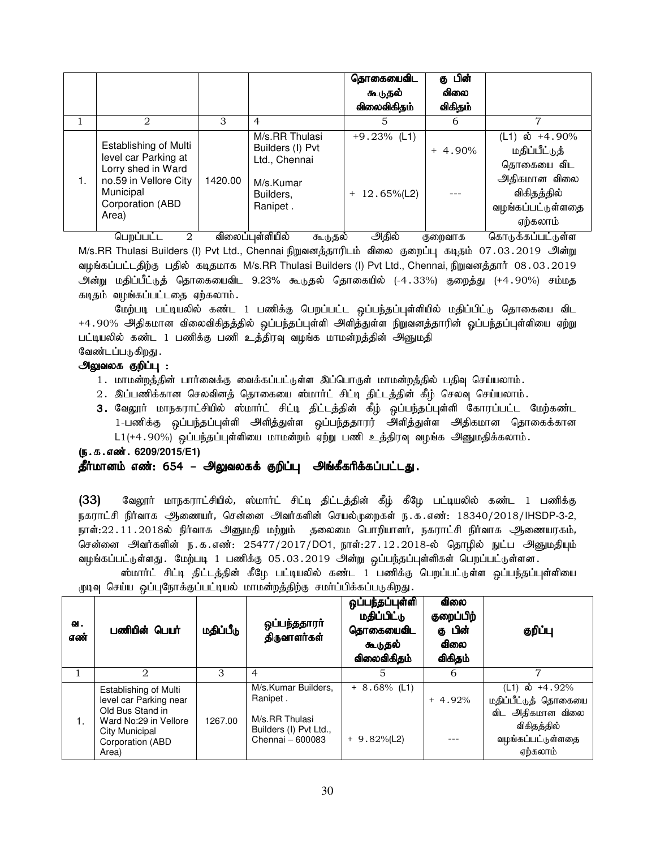|    |                                                                                                                                                                |                   |                                                                                                                          | தொகையைவிட<br>கூடுதல்<br>விலைவிகிதம்                        | கு பின்<br>விலை<br>விகிதம் |                                                                                                                              |
|----|----------------------------------------------------------------------------------------------------------------------------------------------------------------|-------------------|--------------------------------------------------------------------------------------------------------------------------|------------------------------------------------------------|----------------------------|------------------------------------------------------------------------------------------------------------------------------|
|    | $\mathfrak{D}_{\mathfrak{p}}$                                                                                                                                  | 3                 | $\overline{4}$                                                                                                           | 5                                                          | 6                          | 7                                                                                                                            |
| 1. | Establishing of Multi<br>level car Parking at<br>Lorry shed in Ward<br>no.59 in Vellore City<br>Municipal<br>Corporation (ABD<br>Area)<br>$\ddot{\phantom{1}}$ | 1420.00<br>$\sim$ | M/s.RR Thulasi<br>Builders (I) Pvt<br>Ltd., Chennai<br>M/s.Kumar<br>Builders,<br>Ranipet.<br>$\sim$ $\sim$ $\sim$ $\sim$ | $+9.23\%$ (L1)<br>$+ 12.65\%$ (L2)<br>$\sim$ $\sim$ $\sim$ | $+4.90%$                   | (L1) ல் +4.90%<br>மதிப்பீட்டுத்<br>தொகையை விட<br>அதிகமான விலை<br>விகிதத்தில்<br>வழங்கப்பட்டுள்ளதை<br>ஏற்கலாம்<br>$\sim$<br>. |

பெறப்பட்ட 2 விலைப்புள்ளியில் கூடுதல் அிதில் குறைவாக கொடுக்கப்பட்டுள்ள M/s.RR Thulasi Builders (I) Pvt Ltd., Chennai நிறுவனத்தாரிடம் விலை குறைப்பு கடிதம் 07.03.2019 அன்று வழங்கப்பட்டதிற்கு பதில் கடிதமாக M/s.RR Thulasi Builders (I) Pvt Ltd., Chennai, நிறுவனத்தார் 08.03.2019 அன்று மதிப்பீட்டுத் தொகையைவிட 9.23% கூடுதல் தொகையில் (-4.33%) குறைத்து (+4.90%) சம்மத கடிதம் வழங்கப்பட்டதை ஏற்கலாம்.

மேற்படி பட்டியலில் கண்ட 1 பணிக்கு பெறப்பட்ட ஒப்பந்தப்புள்ளியில் மதிப்பிட்டு தொகையை விட +4.90% அதிகமான விலைவிகிதத்தில் ஒப்பந்தப்புள்ளி அளித்துள்ள நிறுவனத்தாரின் ஓப்பந்தப்புள்ளியை ஏற்று பட்டியலில் கண்ட 1 பணிக்கு பணி உத்திரவு வழங்க மாமன்றத்தின் அனுமதி வேண்டப்படுகிறது .

### அலுவலக குறிப்பு :

- 1. மாமன்றத்தின் பார்வைக்கு வைக்கப்பட்டுள்ள இப்பொருள் மாமன்றத்தில் பதிவு செய்யலாம்.
- 2. இப்பணிக்கான செலவினத் தொகையை ஸ்மார்ட் சிட்டி திட்டத்தின் கீழ் செலவு செய்யலாம்.
- 3. வேலூர் மாநகராட்சியில் ஸ்மார்ட் சிட்டி திட்டத்தின் கீழ் ஒப்பந்தப்புள்ளி கோரப்பட்ட மேற்கண்ட 1-பணிக்கு ஒப்பந்தப்புள்ளி அளித்துள்ள ஒப்பந்ததாரர் அளித்துள்ள அதிகமான தொகைக்கான  $L1$ (+4.90%) ஒப்பந்தப்புள்ளியை மாமன்றம் ஏற்று பணி உத்திரவு வழங்க அனுமதிக்கலாம்.

### (ந.க.எண். 6209/2015/E1)

# தீர்மானம் எண்: 654 – அலுவலகக் குறிப்பு அங்கீகரிக்கப்பட்டது.

(33) மேலூர் மாநகராட்சியில், ஸ்மார்ட் சிட்டி திட்டத்தின் கீழ் கீழே பட்டியலில் கண்ட 1 பணிக்கு நகராட்சி நிர்வாக ஆணையர், சென்னை அவர்களின் செயல்முறைகள் ந.க.எண்: 18340/2018/IHSDP-3-2, நாள்:22.11.2018ல் நிர்வாக அனுமதி மற்றும் தலைமை பொறியாளர், நகராட்சி நிர்வாக ஆணையரகம், சென்னை அவர்களின் ந.க.எண்: 25477/2017/DO1, நாள்:27.12.2018-ல் தொழில் நுட்ப அனுமதியும் வழங்கப்பட்டுள்ளது . மேற்படி 1 பணிக்கு 05.03.2019 அன்று ஒப்பந்தப்புள்ளிகள் பெறப்பட்டுள்ளன .

|  |  |  |                                                                          |  |  | ஸ்மார்ட் சிட்டி திட்டத்தின் கீழே பட்டியலில் கண்ட 1 பணிக்கு பெறப்பட்டுள்ள ஒப்பந்தப்புள்ளியை |
|--|--|--|--------------------------------------------------------------------------|--|--|--------------------------------------------------------------------------------------------|
|  |  |  | முடிவு செய்ய ஒப்புநோக்குப்பட்டியல் மாமன்றத்திற்கு சமா்ப்பிக்கப்படுகிறது. |  |  |                                                                                            |

| வ.<br>எண் | பணியின் பெயர்                                                                                | மதிப்பீடு | ஒப்பந்ததாரா<br>திருவாளர்கள்                       | ஒப்பந்தப்புள்ளி<br>மதிப்பிட்டு<br>தொகையைவிட<br>கூடுதல்<br>விலைவிகிதம் | <b>விலை</b><br>குறைப்பிற்<br>கு பின்<br>விலை<br>விகிதம் | குறிப்பு                                                   |
|-----------|----------------------------------------------------------------------------------------------|-----------|---------------------------------------------------|-----------------------------------------------------------------------|---------------------------------------------------------|------------------------------------------------------------|
|           | 2                                                                                            | 3         | 4                                                 | 5                                                                     | 6                                                       |                                                            |
| 1.        | Establishing of Multi<br>level car Parking near<br>Old Bus Stand in<br>Ward No:29 in Vellore | 1267.00   | M/s.Kumar Builders.<br>Ranipet.<br>M/s.RR Thulasi | $+8.68\%$ (L1)                                                        | $+4.92%$                                                | (L1) ல் +4.92%<br>மதிப்பீட்டுத் தொகையை<br>விட அதிகமான விலை |
|           | City Municipal<br>Corporation (ABD<br>Area)                                                  |           | Builders (I) Pvt Ltd.,<br>Chennai - 600083        | $+9.82\%$ (L2)                                                        |                                                         | விகிதத்தில்<br>வழங்கப்பட்டுள்ளதை<br>ஏற்கலாம்               |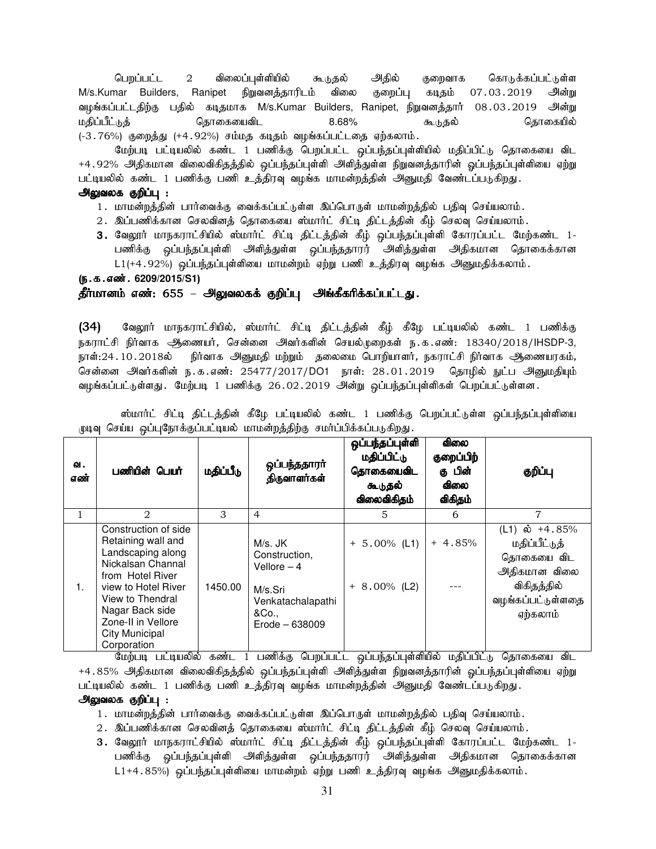பெறப்பட்ட 2 விலைப்புள்ளியில் கூடுதல் அதில் குறைவாக கொடுக்கப்பட்டுள்ள M/s.Kumar Builders, Ranipet நிறுவனத்தாரிடம் விலை குறைப்பு கடிதம் 07.03.2019 அன்று வழங்கப்பட்டதிற்கு பதில் கடிதமாக M/s.Kumar Builders, Ranipet, நிறுவனத்தார் 08.03.2019 அன்று kjpg;gPl;Lj; bjhifiatpl 8.68% TLjy; bjhifapy;  $(-3.76%)$  குறைத்து  $(+4.92%)$  சம்மத கடிதம் வழங்கப்பட்டதை ஏற்கலாம்.

மேற்படி பட்டியலில் கண்ட 1 பணிக்கு பெறப்பட்ட ஒப்பந்தப்புள்ளியில் மதிப்பிட்டு தொகையை விட +4.92% அதிகமான விலைவிகிதத்தில் ஒப்பந்தப்புள்ளி அளித்துள்ள நிறுவனத்தாரின் ஓப்பந்தப்புள்ளியை ஏற்று பட்டியலில் கண்ட 1 பணிக்கு பணி உத்திரவு வழங்க மாமன்றத்தின் அனுமதி வேண்டப்படுகிறது.

### அலுவலக குறிப்பு :

- 1. மாமன்றத்தின் பார்வைக்கு வைக்கப்பட்டுள்ள இப்பொருள் மாமன்றத்தில் பதிவு செய்யலாம்.
- 2. இப்பணிக்கான செலவினத் தொகையை ஸ்மார்ட் சிட்டி திட்டத்தின் கீழ் செலவு செய்யலாம்.
- 3. வேலூர் மாநகராட்சியில் ஸ்மார்ட் சிட்டி திட்டத்தின் கீழ் ஒப்பந்தப்புள்ளி கோரப்பட்ட மேற்கண்ட 1-பணிக்கு ஒப்பந்தப்புள்ளி அளித்துள்ள ஒப்பந்ததாரர் அளித்துள்ள அதிகமான தொகைக்கான  $L1(+4.92%)$  ஒப்பந்தப்புள்ளியை மாமன்றம் ஏற்று பணி உத்திரவு வழங்க அனுமதிக்கலாம்.

### (**ந.க.எண். 6209/2015/S1**)

# தீர்மானம் எண்: 655 – அலுவலகக் குறிப்பு அங்கீகரிக்கப்பட்டது.

(34) வேலூர் மாநகராட்சியில், ஸ்மார்ட் சிட்டி திட்டத்தின் கீழ் கீழே பட்டியலில் கண்ட 1 பணிக்கு நகராட்சி நிர்வாக அணையர், சென்னை அவர்களின் செயல்முறைகள் ந.க.எண்: 18340/2018/IHSDP-3, நாள்:24.10.2018ல் நிர்வாக அனுமதி மற்றும் தலைமை பொறியாளர், நகராட்சி நிர்வாக ஆணையரகம், சென்னை அவர்களின் ந.க.எண்: 25477/2017/DO1 நாள்: 28.01.2019 தொழில் நுட்ப அனுமதியும் வழங்கப்பட்டுள்ளது. மேற்படி 1 பணிக்கு 26.02.2019 அன்று ஒப்பந்தப்புள்ளிகள் பெறப்பட்டுள்ளன.

| வ.<br>எண் | பணியின் பெயர்                                                                                                                                                                                                                        | மதிப்பீடு | ஒப்பந்ததாரா்<br>திருவாளர்கள்                                                                          | ஒப்பந்தப்புள்ளி<br>மதிப்பிட்டு<br>தொகையைவிட<br>கூடுதல்<br>விலைவிகிதம் | <b>விலை</b><br>குறைப்பிற்<br>கு பின்<br><b>விலை</b><br>விகிதம் | குறிப்பு                                                                                                      |
|-----------|--------------------------------------------------------------------------------------------------------------------------------------------------------------------------------------------------------------------------------------|-----------|-------------------------------------------------------------------------------------------------------|-----------------------------------------------------------------------|----------------------------------------------------------------|---------------------------------------------------------------------------------------------------------------|
|           | 2                                                                                                                                                                                                                                    | 3         | $\overline{4}$                                                                                        | 5                                                                     | 6                                                              | 7                                                                                                             |
| 1.        | Construction of side<br>Retaining wall and<br>Landscaping along<br>Nickalsan Channal<br>from Hotel River<br>view to Hotel River<br>View to Thendral<br>Nagar Back side<br>Zone-II in Vellore<br><b>City Municipal</b><br>Corporation | 1450.00   | M/s. JK<br>Construction,<br>Vellore $-4$<br>M/s.Sri<br>Venkatachalapathi<br>&Co.,<br>$Erode - 638009$ | $+ 5.00\%$ (L1)<br>$+ 8.00\%$ (L2)                                    | $+4.85%$                                                       | (L1) ல் +4.85%<br>மதிப்பீட்டுத்<br>தொகையை விட<br>அதிகமான விலை<br>விகிதத்தில்<br>வழங்கப்பட்டுள்ளதை<br>ஏற்கலாம் |

ஸ்மார்ட் சிட்டி திட்டத்தின் கீழே பட்டியலில் கண்ட 1 பணிக்கு பெறப்பட்டுள்ள ஒப்பந்தப்புள்ளியை முடிவு செய்ய ஒப்புநோக்குப்பட்டியல் மாமன்றத்திற்கு சமர்ப்பிக்கப்படுகிறது.

மேற்படி பட்டியலில் கண்ட 1 பணிக்கு பெறப்பட்ட ஒப்பந்தப்புள்ளியில் மதிப்பிட்டு தொகையை விட +4 . 85% அதிகமான விலைவிகிதத்தில் ஒப்பந்தப்புள்ளி அளித்துள்ள நிறுவனத்தாரின் ஓப்பந்தப்புள்ளியை ஏற்று பட்டியலில் கண்ட 1 பணிக்கு பணி உத்திரவு வழங்க மாமன்றத்தின் அனுமதி வேண்டப்படுகிறது.

### அலுவலக குறிப்பு :

- 1. மாமன்றத்தின் பார்வைக்கு வைக்கப்பட்டுள்ள இப்பொருள் மாமன்றத்தில் பதிவு செய்யலாம்.
- 2. இப்பணிக்கான செலவினத் தொகையை ஸ்மார்ட் சிட்டி திட்டத்தின் கீழ் செலவு செய்யலாம்.
- 3. வேலூர் மாநகராட்சியில் ஸ்மார்ட் சிட்டி திட்டத்தின் கீழ் ஒப்பந்தப்புள்ளி கோரப்பட்ட மேற்கண்ட 1-பணிக்கு ஒப்பந்தப்புள்ளி அளித்துள்ள ஒப்பந்ததாரர் அளித்துள்ள அதிகமான தொகைக்கான  $L1+4.85%$ ) ஒப்பந்தப்புள்ளியை மாமன்றம் ஏற்று பணி உத்திரவு வழங்க அனுமதிக்கலாம்.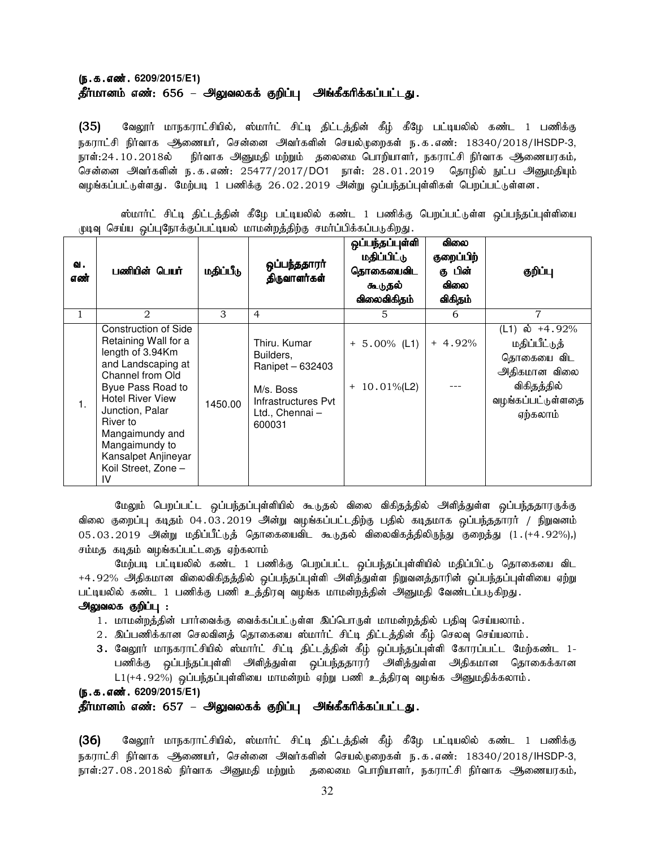## (ந.க.எண். 6209/2015/E1) தீர்மானம் எண்: 656 – அலுவலகக் குறிப்பு அங்கீகரிக்கப்பட்டது.

(35) வேலூர் மாநகராட்சியில், ஸ்மார்ட் சிட்டி திட்டத்தின் கீழ் கீழே பட்டியலில் கண்ட 1 பணிக்கு நகராட்சி நிர்வாக அணையர், சென்னை அவர்களின் செயல்முறைகள் ந.க.எண்: 18340/2018/IHSDP-3, நாள்:24 . 10 . 2018ல் நிர்வாக அனுமதி மற்றும் தலைமை பொறியாளர், நகராட்சி நிர்வாக அணையரகம், சென்னை அிவர்களின் ந.க.எண்: 25477/2017/DO1 நாள்: 28.01.2019 தொழில் நுட்ப அினுமதியும் வழங்கப்பட்டுள்ளது . மேற்படி 1 பணிக்கு 26.02.2019 அன்று ஒப்பந்தப்புள்ளிகள் பெறப்பட்டுள்ளன .

ஸ்மார்ட் சிட்டி திட்டத்தின் கீழே பட்டியலில் கண்ட 1 பணிக்கு பெறப்பட்டுள்ள ஒப்பந்தப்புள்ளியை முடிவு செய்ய ஒப்புநோக்குப்பட்டியல் மாமன்றத்திற்கு சமர்ப்பிக்கப்படுகிறது.

| வ.<br>எண்      | பணியின் பெயர்                                                                                                                                                                                                                                                                             | மதிப்பீடு | ஒப்பந்ததாரா<br>திருவாளர்கள்                                                                                   | ஒப்பந்தப்புள்ளி<br>மதிப்பிட்டு<br>தொகையைவிட<br>கூடுதல்<br>விலைவிகிதம் | விலை<br>குறைப்பிற்<br>கு பின்<br>விலை<br>விகிதம் | குறிப்பு                                                                                                      |
|----------------|-------------------------------------------------------------------------------------------------------------------------------------------------------------------------------------------------------------------------------------------------------------------------------------------|-----------|---------------------------------------------------------------------------------------------------------------|-----------------------------------------------------------------------|--------------------------------------------------|---------------------------------------------------------------------------------------------------------------|
| $\mathbf 1$    | 2                                                                                                                                                                                                                                                                                         | 3         | $\overline{4}$                                                                                                | 5                                                                     | 6                                                | 7                                                                                                             |
| $\mathbf{1}$ . | <b>Construction of Side</b><br>Retaining Wall for a<br>length of 3.94Km<br>and Landscaping at<br>Channel from Old<br>Byue Pass Road to<br><b>Hotel River View</b><br>Junction, Palar<br>River to<br>Mangaimundy and<br>Mangaimundy to<br>Kansalpet Anjineyar<br>Koil Street, Zone -<br>IV | 1450.00   | Thiru, Kumar<br>Builders.<br>Ranipet - 632403<br>M/s. Boss<br>Infrastructures Pvt<br>Ltd., Chennai-<br>600031 | $+ 5.00\%$ (L1)<br>$+10.01\%$ (L2)                                    | $+4.92%$                                         | (L1) ல் +4.92%<br>மதிப்பீட்டுத்<br>தொகையை விட<br>அதிகமான விலை<br>விகிதத்தில்<br>வழங்கப்பட்டுள்ளதை<br>ஏற்கலாம் |

மேலும் பெறப்பட்ட ஒப்பந்தப்புள்ளியில் கூடுதல் விலை விகிதத்தில் அிளித்துள்ள ஒப்பந்ததாரருக்கு விலை குறைப்பு கடிதம் 04.03.2019 அின்று வழங்கப்பட்டதிற்கு பதில் கடிதமாக ஒப்பந்ததாரா் / நிறுவனம் 05.03.2019 அன்று மதிப்பீட்டுத் தொகையைவிட கூடுதல் விலைவிகத்திலிருந்து குறைத்து (1.(+4.92%),) சம்மத கடிதம் வழங்கப்பட்டதை ஏற்கலாம்

மேற்படி பட்டியலில் கண்ட 1 பணிக்கு பெறப்பட்ட ஒப்பந்தப்புள்ளியில் மதிப்பிட்டு தொகையை விட +4.92% அதிகமான விலைவிகிதத்தில் ஒப்பந்தப்புள்ளி அளித்துள்ள நிறுவனத்தாரின் ஓப்பந்தப்புள்ளியை ஏற்று பட்டியலில் கண்ட 1 பணிக்கு பணி உத்திரவு வழங்க மாமன்றத்தின் அனுமதி வேண்டப்படுகிறது.

### அலுவலக குறிப்பு :

- 1. மாமன்றத்தின் பார்வைக்கு வைக்கப்பட்டுள்ள இப்பொருள் மாமன்றத்தில் பதிவு செய்யலாம்.
- 2. இப்பணிக்கான செலவினத் தொகையை ஸ்மார்ட் சிட்டி திட்டத்தின் கீழ் செலவு செய்யலாம்.
- 3. வேலூர் மாநகராட்சியில் ஸ்மார்ட் சிட்டி திட்டத்தின் கீழ் ஒப்பந்தப்புள்ளி கோரப்பட்ட மேற்கண்ட 1-பணிக்கு ஒப்பந்தப்புள்ளி அளித்துள்ள ஒப்பந்ததாரர் அளித்துள்ள அதிகமான தொகைக்கான  $L1$ (+4.92%) ஒப்பந்தப்புள்ளியை மாமன்றம் ஏற்று பணி உத்திரவு வழங்க அனுமதிக்கலாம்.

(ந.க.எண். 6209/2015/E1)

தீர்மானம் எண்: 657 – அலுவலகக் குறிப்பு அங்கீகரிக்கப்பட்டது.

 $(36)$  வேலூர் மாநகராட்சியில், ஸ்மார்ட் சிட்டி திட்டத்தின் கீழ் கீழே பட்டியலில் கண்ட 1 பணிக்கு நகராட்சி நிர்வாக ஆணையர், சென்னை அவர்களின் செயல்முறைகள் ந.க.எண்: 18340/2018/IHSDP-3, நாள்:27.08.2018ல் நிர்வாக அனுமதி மற்றும் தலைமை பொறியாளர், நகராட்சி நிர்வாக ஆணையரகம்,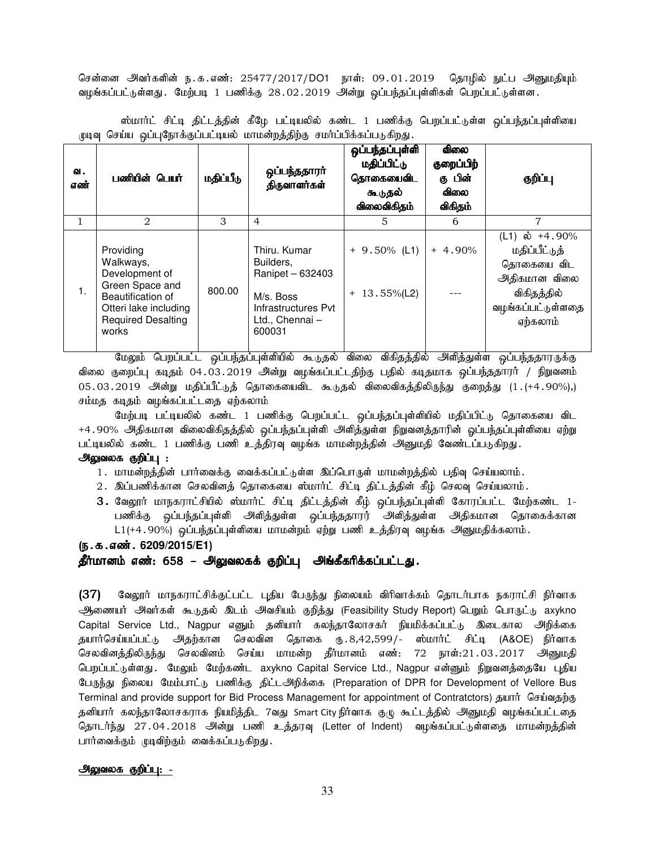சென்னை அவர்களின் ந.க.எண்: 25477/2017/DO1 நாள்: 09.01.2019 தொழில் நுட்ப அனுமதியும் வழங்கப்பட்டுள்ளது . மேற்படி 1 பணிக்கு 28.02.2019 அன்று ஒப்பந்தப்புள்ளிகள் பெறப்பட்டுள்ளன .

ஸ்மார்ட் சிட்டி திட்டத்தின் கீழே பட்டியலில் கண்ட 1 பணிக்கு பெறப்பட்டுள்ள ஒப்பந்தப்புள்ளியை முடிவு செய்ய ஒப்புநோக்குப்பட்டியல் மாமன்றத்திற்கு சமர்ப்பிக்கப்படுகிறது.

| ഖ.<br>எண் | பணியின் பெயர்                                                                                                                                   | மதிப்பீடு | ஒப்பந்ததாரா்<br>திருவாளர்கள்                                                                                  | ஒப்பந்தப்புள்ளி<br>மதிப்பிட்டு<br>தொகையைவிட<br>கூடுதல்<br>விலைவிகிதம் | ഖിതல<br>குறைப்பிற்<br>கு பின்<br><b>விலை</b><br>விகிதம் | குறிப்பு                                                                                                                  |
|-----------|-------------------------------------------------------------------------------------------------------------------------------------------------|-----------|---------------------------------------------------------------------------------------------------------------|-----------------------------------------------------------------------|---------------------------------------------------------|---------------------------------------------------------------------------------------------------------------------------|
|           | 2                                                                                                                                               | 3         | $\overline{4}$                                                                                                | 5                                                                     | 6                                                       | 7                                                                                                                         |
| 1.        | Providing<br>Walkways,<br>Development of<br>Green Space and<br>Beautification of<br>Otteri lake including<br><b>Required Desalting</b><br>works | 800.00    | Thiru. Kumar<br>Builders,<br>Ranipet - 632403<br>M/s. Boss<br>Infrastructures Pvt<br>Ltd., Chennai-<br>600031 | $+9.50\%$ (L1)<br>$+ 13.55\%$ (L2)                                    | $+4.90%$                                                | (L1) $\dot{\omega}$ +4.90%<br>மதிப்பீட்டுத்<br>தொகையை விட<br>அதிகமான விலை<br>விகிதத்தில்<br>வழங்கப்பட்டுள்ளதை<br>ஏற்கலாம் |

மேலும் பெறப்பட்ட ஒப்பந்தப்புள்ளியில் கூடுதல் விலை விகிதத்தில் அிளித்துள்ள ஒப்பந்ததாரருக்கு விலை குறைப்பு கடிதம் 04.03.2019 அின்று வழங்கப்பட்டதிற்கு பதில் கடிதமாக ஒப்பந்ததாரர் / நிறுவனம்  $05.03.2019$  அன்று மதிப்பீட்டுத் தொகையைவிட கூடுதல் விலைவிகத்திலிருந்து குறைத்து ( $1.$ (+4.90%),) சம்மத கடிதம் வழங்கப்பட்டதை ஏற்கலாம்

மேற்படி பட்டியலில் கண்ட 1 பணிக்கு பெறப்பட்ட <u>ஒ</u>ப்பந்தப்புள்ளியில் மதிப்பிட்டு தொகையை விட +4.90% அதிகமான விலைவிகிதத்தில் ஒப்பந்தப்புள்ளி அளித்துள்ள நிறுவனத்தாரின் ஓப்பந்தப்புள்ளியை ஏற்று பட்டியலில் கண்ட 1 பணிக்கு பணி உத்திரவு வழங்க மாமன்றத்தின் அனுமதி வேண்டப்படுகிறது.

### அலுவலக குறிப்பு :

- 1. மாமன்றத்தின் பார்வைக்கு வைக்கப்பட்டுள்ள இப்பொருள் மாமன்றத்தில் பதிவு செய்யலாம்.
- 2. இப்பணிக்கான செலவினத் தொகையை ஸ்மார்ட் சிட்டி திட்டத்தின் கீழ் செலவு செய்யலாம்.
- 3. வேலூர் மாநகராட்சியில் ஸ்மார்ட் சிட்டி திட்டத்தின் கீழ் ஒப்பந்தப்புள்ளி கோரப்பட்ட மேற்கண்ட 1-பணிக்கு ஒப்பந்தப்புள்ளி அளித்துள்ள ஒப்பந்ததாரர் அளித்துள்ள அதிகமான தொகைக்கான L1(+4.90%) ஒப்பந்தப்புள்ளியை மாமன்றம் ஏற்று பணி உத்திரவு வழங்க அனுமதிக்கலாம்.

### (ந.க.எண். 6209/2015/E1)

### தீர்மானம் எண்: 658 – அலுவலகக் குறிப்பு அங்கீகரிக்கப்பட்டது.

 $(37)$  வேலூர் மாநகராட்சிக்குட்பட்ட புதிய பேருந்து நிலையம் விரிவாக்கம் தொடர்பாக நகராட்சி நிர்வாக ஆணையர் அவர்கள் கூடுதல் இடம் அவசியம் குறித்து (Feasibility Study Report) பெறும் பொருட்டு axykno Capital Service Ltd., Nagpur எனும் தனியார் கலந்தாலோசகர் நியமிக்கப்பட்டு இடைகால அிறிக்கை தயார்செய்யப்பட்டு அதற்கான செலவின தொகை ரு.8,42,599/- ஸ்மார்ட் சிட்டி (A&OE) நிர்வாக செலவினத்திலிருந்து செலவினம் செய்ய மாமன்ற தீர்மானம் எண்: 72 நாள்:21.03.2017 அனுமதி பெறப்பட்டுள்ளது. மேலும் மேற்கண்ட axykno Capital Service Ltd., Nagpur என்னும் நிறுவனத்தையே புதிய பேருந்து நிலைய மேம்பாட்டு பணிக்கு திட்டஅிறிக்கை (Preparation of DPR for Development of Vellore Bus Terminal and provide support for Bid Process Management for appointment of Contratctors) தயார் செய்வதற்கு தனியார் கலந்தாலோசகராக நியமித்திட 7வது Smart City நிர்வாக குழு கூட்டத்தில் அனுமதி வழங்கப்பட்டதை தொடர்ந்து 27.04.2018 அன்று பணி உத்தரவு (Letter of Indent) வழங்கப்பட்டுள்ளதை மாமன்றத்தின் பார்வைக்கும் முடிவிற்கும் வைக்கப்படுகிறது.

### அலுவலக குறிப்பு: -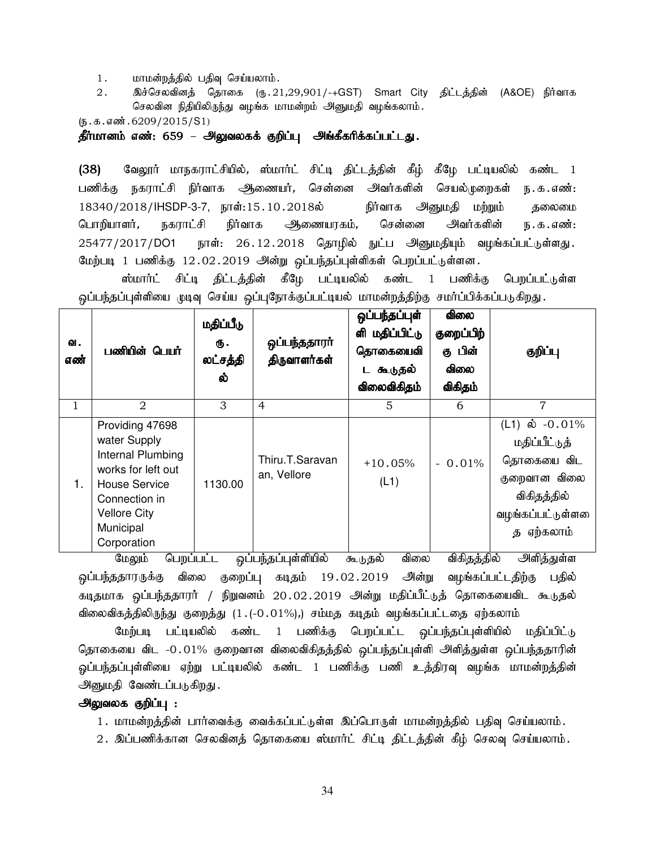- 1. மாமன்றத்தில் பதிவு செய்யலாம்.
- 2. இச்செலவினத் தொகை (ரு.21,29,901/-+GST) Smart City திட்டத்தின் (A&OE) நிர்வாக செலவின நிதியிலிருந்து வழங்க மாமன்றம் அனுமதி வழங்கலாம்.

 $(5.5.5.5\text{...}6209/2015/S1)$ 

தீர்மானம் எண்: 659 – அலுவலகக் குறிப்பு அங்கீகரிக்கப்பட்டது.

(38) வேலூர் மாநகராட்சியில், ஸ்மார்ட் சிட்டி திட்டத்தின் கீழ் கீழே பட்டியலில் கண்ட 1 பணிக்கு நகராட்சி நிர்வாக அூணையர், சென்னை அவர்களின் செயல்முறைகள் ந.க.எண்: 18340/2018/IHSDP-3-7, நாள்:15.10.2018ல் நிர்வாக அனுமதி மற்றும் தலைமை பொறியாளர், நகராட்சி நிர்வாக அணையரகம், சென்னை அவர்களின் ந.க.எண்:  $25477/2017/D$ O1 நாள் $: 26.12.2018$  தொழில் நுட்ப அனுமதியும் வழங்கப்பட்டுள்ளது. மேற்படி 1 பணிக்கு 12.02.2019 அன்று ஒப்பந்தப்புள்ளிகள் பெறப்பட்டுள்ளன.

ஸ்மார்ட் சிட்டி திட்டத்தின் கீழே பட்டியலில் கண்ட 1 பணிக்கு பெறப்பட்டுள்ள ஒப்பந்தப்புள்ளியை முடிவு செய்ய ஒப்புநோக்குப்பட்டியல் மாமன்றத்திற்கு சமர்ப்பிக்கப்படுகிறது.

| ഖ.<br>எண்<br>$\mathbf{1}$ | பணியின் பெயர்<br>2                                                                                                                                                     | மதிப்பீடு<br>₲.<br>லட்சத்தி<br>ல்<br>3 | ஒப்பந்ததாரா்<br>திருவாளர்கள்<br>$\overline{4}$             | ஒப்பந்தப்புள்<br>மதிப்பிட்டு<br>ளி<br>தொகையைவி<br>டகூடுதல்<br>விலைவிகிதம்<br>5 | விலை<br>குறைப்பிற்<br>கு பின்<br>விலை<br>விகிதம்<br>6 | குறிப்பு<br>$\overline{7}$                                                                                                                       |
|---------------------------|------------------------------------------------------------------------------------------------------------------------------------------------------------------------|----------------------------------------|------------------------------------------------------------|--------------------------------------------------------------------------------|-------------------------------------------------------|--------------------------------------------------------------------------------------------------------------------------------------------------|
| 1.                        | Providing 47698<br>water Supply<br>Internal Plumbing<br>works for left out<br><b>House Service</b><br>Connection in<br><b>Vellore City</b><br>Municipal<br>Corporation | 1130.00                                | Thiru.T.Saravan<br>an, Vellore<br>$\overline{\phantom{a}}$ | $+10.05%$<br>(L1)                                                              | $-0.01\%$<br>$\ddotsc$<br>$\sim$ $\sim$               | $(L1)$ ல் $-0.01\%$<br>மதிப்பீட்டுத்<br>தொகையை விட<br>குறைவான விலை<br>விகிதத்தில்<br>வழங்கப்பட்டுள்ளலை<br>த ஏற்கலாம்<br>$\overline{\phantom{a}}$ |

மேலும் பெறப்பட்ட ஒப்பந்தப்புள்ளியில் கூடுதல் விலை விகிதத்தில் அளித்துள்ள ஒப்பந்ததாரருக்கு விலை குறைப்பு கடிதம் 19.02.2019 அின்று வழங்கப்பட்டதிற்கு பதில் கடிதமாக ஒப்பந்ததாரர் / நிறுவனம் 20.02.2019 அன்று மதிப்பீட்டுத் தொகையைவிட கூடுதல் விலைவிகத்திலிருந்து குறைத்து (1.(-0.01%),) சம்மத கடிதம் வழங்கப்பட்டதை ஏற்கலாம்

மேற்படி பட்டியலில் கண்ட 1 பணிக்கு பெறப்பட்ட ஒப்பந்தப்புள்ளியில் மதிப்பிட்டு தொகையை விட -0.01% குறைவான விலைவிகிதத்தில் ஒப்பந்தப்புள்ளி அளித்துள்ள ஒப்பந்ததாரின் ஓப்பந்தப்புள்ளியை ஏற்று பட்டியலில் கண்ட 1 பணிக்கு பணி உத்திரவு வழங்க மாமன்றத்தின் அனுமதி வேண்டப்படுகிறது.

### அலுவலக குறிப்பு :

- 1 . மாமன்றத்தின் பார்வைக்கு வைக்கப்பட்டுள்ள இப்பொருள் மாமன்றத்தில் பதிவு செய்யலாம் .
- 2. இப்பணிக்கான செலவினத் தொகையை ஸ்மார்ட் சிட்டி திட்டத்தின் கீழ் செலவு செய்யலாம்.